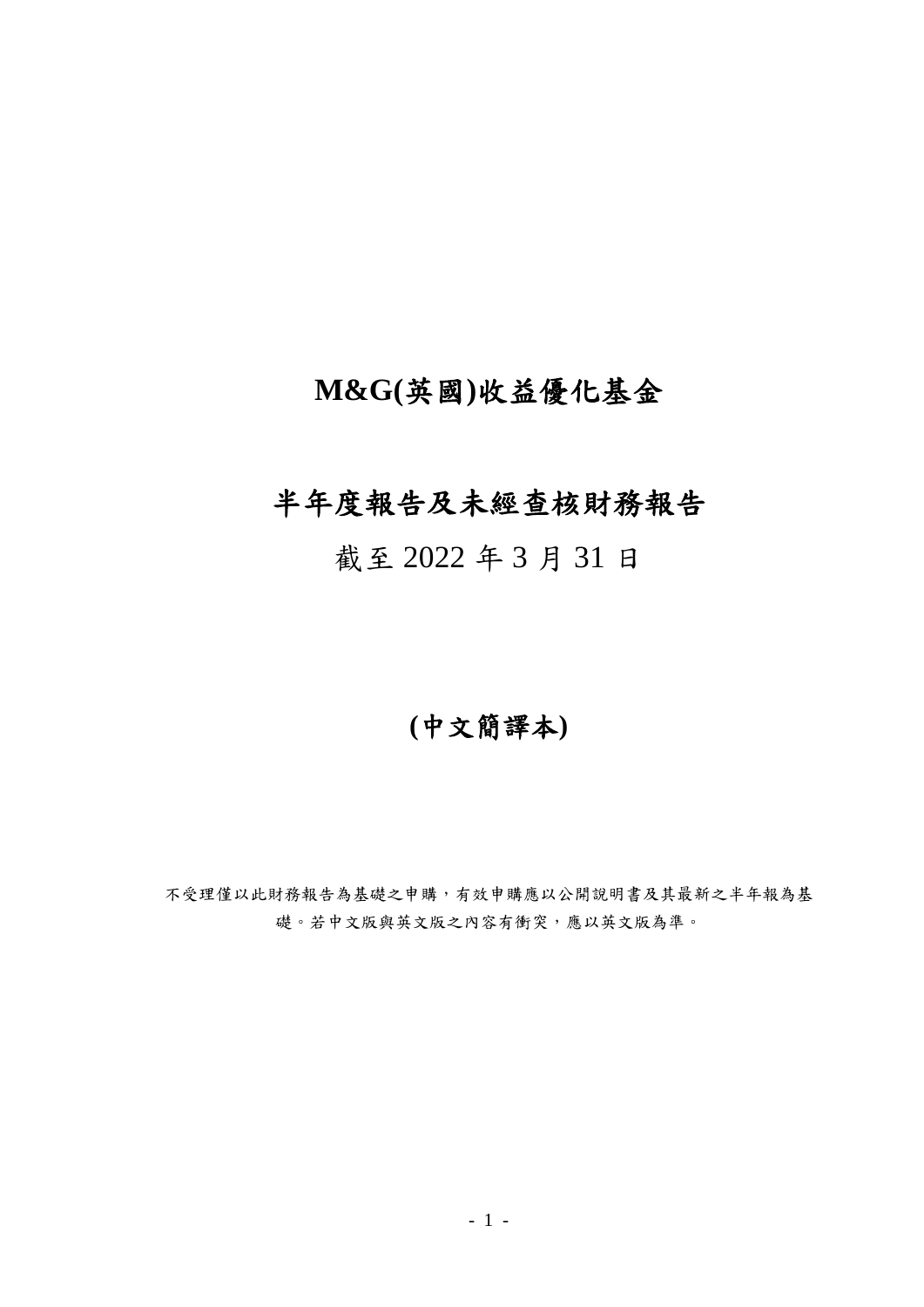# **M&G(**英國**)**收益優化基金

# 半年度報告及未經查核財務報告

截至 2022 年 3 月 31 日

# **(**中文簡譯本**)**

不受理僅以此財務報告為基礎之申購,有效申購應以公開說明書及其最新之半年報為基 礎。若中文版與英文版之內容有衝突,應以英文版為準。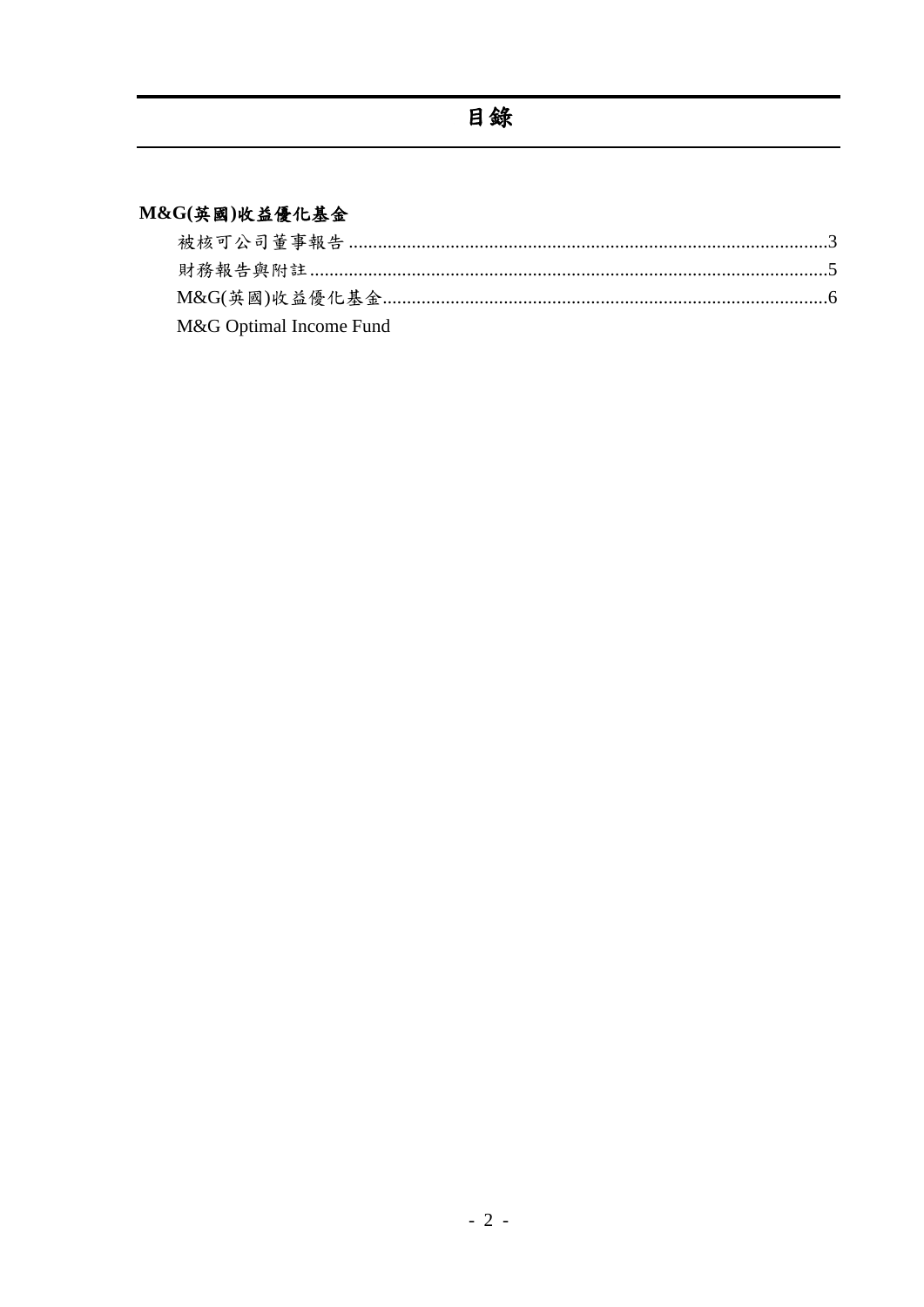## M&G(英國)收益優化基金

| M&G Optimal Income Fund |  |
|-------------------------|--|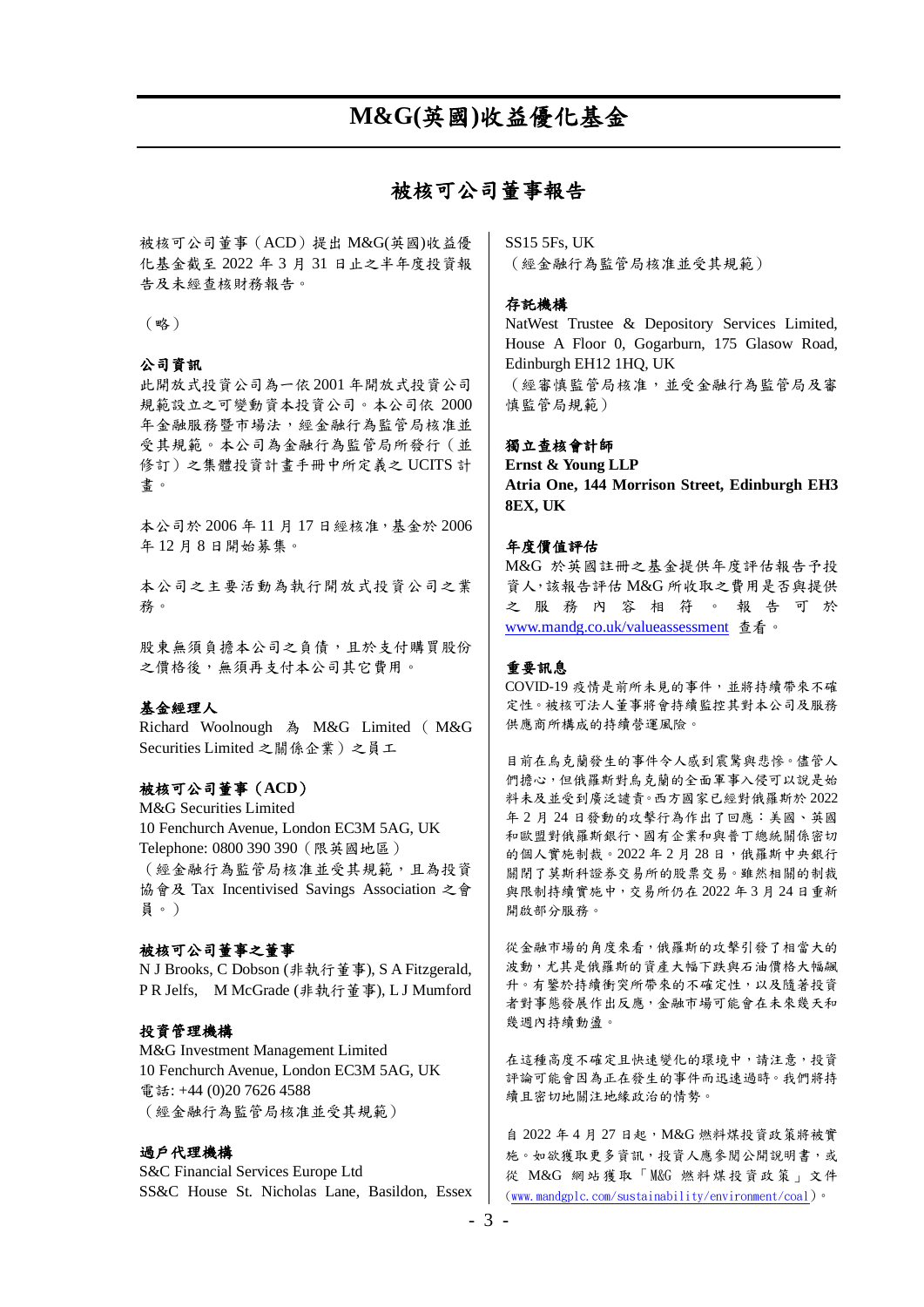### 被核可公司董事報告

<span id="page-2-0"></span>被核可公司董事(ACD)提出 M&G(英國)收益優 化基金截至 2022 年 3 月 31 日止之半年度投資報 告及未經查核財務報告。

(略)

#### 公司資訊

此開放式投資公司為一依 2001 年開放式投資公司 規範設立之可變動資本投資公司。本公司依 2000 年金融服務暨市場法,經金融行為監管局核准並 受其規範。本公司為金融行為監管局所發行(並 修訂)之集體投資計畫手冊中所定義之 UCITS 計 畫。

本公司於 2006 年 11 月 17 日經核准,基金於 2006 年 12 月 8 日開始募集。

本公司之主要活動為執行開放式投資公司之業 務。

股東無須負擔本公司之負債,且於支付購買股份 之價格後,無須再支付本公司其它費用。

#### 基金經理人

Richard Woolnough 為 M&G Limited ( M&G Securities Limited 之關係企業)之員工

#### 被核可公司董事(**ACD**)

M&G Securities Limited 10 Fenchurch Avenue, London EC3M 5AG, UK Telephone: 0800 390 390(限英國地區) (經金融行為監管局核准並受其規範,且為投資 協會及 Tax Incentivised Savings Association 之會 員。)

#### 被核可公司董事之董事

N J Brooks, C Dobson (非執行董事), S A Fitzgerald, P R Jelfs, M McGrade (非執行董事), L J Mumford

#### 投資管理機構

M&G Investment Management Limited 10 Fenchurch Avenue, London EC3M 5AG, UK 電話: +44 (0)20 7626 4588 (經金融行為監管局核准並受其規範)

#### 過戶代理機構

S&C Financial Services Europe Ltd SS&C House St. Nicholas Lane, Basildon, Essex SS15 5Fs, UK (經金融行為監管局核准並受其規範)

#### 存託機構

NatWest Trustee & Depository Services Limited, House A Floor 0, Gogarburn, 175 Glasow Road, Edinburgh EH12 1HQ, UK (經審慎監管局核准,並受金融行為監管局及審 慎監管局規範)

#### 獨立查核會計師

**Ernst & Young LLP Atria One, 144 Morrison Street, Edinburgh EH3 8EX, UK**

#### 年度價值評估

M&G 於英國註冊之基金提供年度評估報告予投 資人,該報告評估 M&G 所收取之費用是否與提供 之 服 務 內 容 相 符 。 報 告 可 於 [www.mandg.co.uk/valueassessment](http://www.mandg.co.uk/valueassessment) 查看。

#### 重要訊息

COVID-19 疫情是前所未見的事件,並將持續帶來不確 定性。被核可法人董事將會持續監控其對本公司及服務 供應商所構成的持續營運風險。

目前在烏克蘭發生的事件令人感到震驚與悲慘。儘管人 們擔心,但俄羅斯對烏克蘭的全面軍事入侵可以說是始 料未及並受到廣泛譴責。西方國家已經對俄羅斯於 2022 年 2 月 24 日發動的攻擊行為作出了回應:美國、英國 和歐盟對俄羅斯銀行、國有企業和與普丁總統關係密切 的個人實施制裁。2022年2月28日,俄羅斯中央銀行 關閉了莫斯科證券交易所的股票交易。雖然相關的制裁 與限制持續實施中,交易所仍在 2022 年 3 月 24 日重新 開啟部分服務。

從金融市場的角度來看,俄羅斯的攻擊引發了相當大的 波動,尤其是俄羅斯的資產大幅下跌與石油價格大幅飆 升。有鑒於持續衝突所帶來的不確定性,以及隨著投資 者對事態發展作出反應,金融市場可能會在未來幾天和 幾週內持續動盪。

在這種高度不確定且快速變化的環境中,請注意,投資 評論可能會因為正在發生的事件而迅速過時。我們將持 續且密切地關注地緣政治的情勢。

自 2022 年 4 月 27 日起,M&G 燃料煤投資政策將被實 施。如欲獲取更多資訊,投資人應參閱公開說明書,或 從 M&G 網站獲取「M&G 燃料煤投資政策」文件 [\(www.mandgplc.com/sustainability/environment/coal](http://www.mandgplc.com/sustainability/environment/coal))。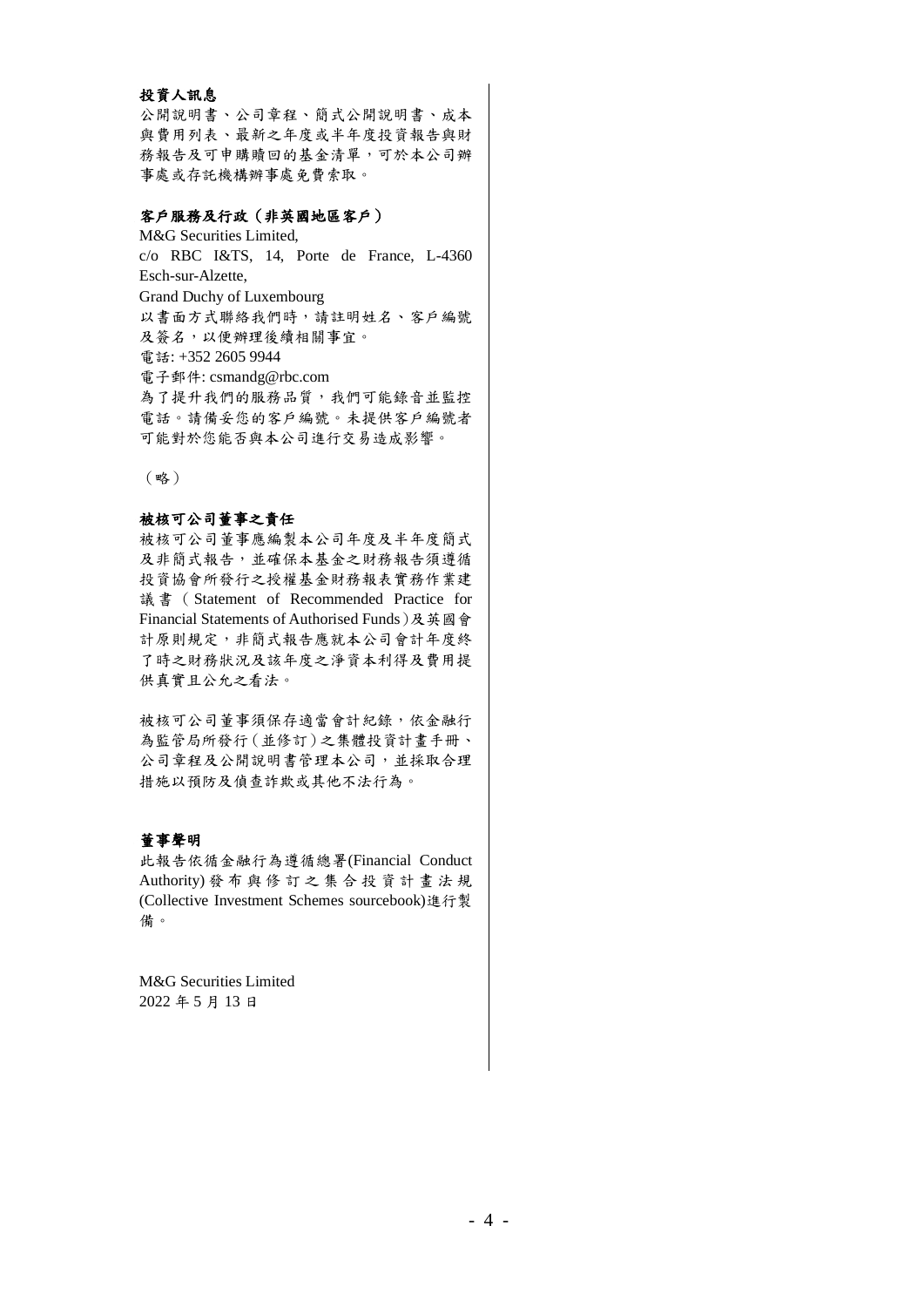#### 投資人訊息

公開說明書、公司章程、簡式公開說明書、成本 與費用列表、最新之年度或半年度投資報告與財 務報告及可申購贖回的基金清單,可於本公司辦 事處或存託機構辦事處免費索取。

#### 客戶服務及行政(非英國地區客戶)

M&G Securities Limited, c/o RBC I&TS, 14, Porte de France, L-4360 Esch-sur-Alzette, Grand Duchy of Luxembourg 以書面方式聯絡我們時,請註明姓名、客戶編號 及簽名,以便辦理後續相關事宜。 電話: +352 2605 9944 電子郵件: csmandg@rbc.com 為了提升我們的服務品質,我們可能錄音並監控 電話。請備妥您的客戶編號。未提供客戶編號者 可能對於您能否與本公司進行交易造成影響。

(略)

#### 被核可公司董事之責任

被核可公司董事應編製本公司年度及半年度簡式 及非簡式報告,並確保本基金之財務報告須遵循 投資協會所發行之授權基金財務報表實務作業建 議書( Statement of Recommended Practice for Financial Statements of Authorised Funds)及英國會 計原則規定,非簡式報告應就本公司會計年度終 了時之財務狀況及該年度之淨資本利得及費用提 供真實且公允之看法。

被核可公司董事須保存適當會計紀錄,依金融行 為監管局所發行(並修訂)之集體投資計畫手冊、 公司章程及公開說明書管理本公司,並採取合理 措施以預防及偵查詐欺或其他不法行為。

#### 董事聲明

此報告依循金融行為遵循總署(Financial Conduct Authority) 發 布 與 修 訂 之 集 合 投 資 計 畫 法 規 (Collective Investment Schemes sourcebook)進行製 備。

M&G Securities Limited 2022 年 5 月 13 日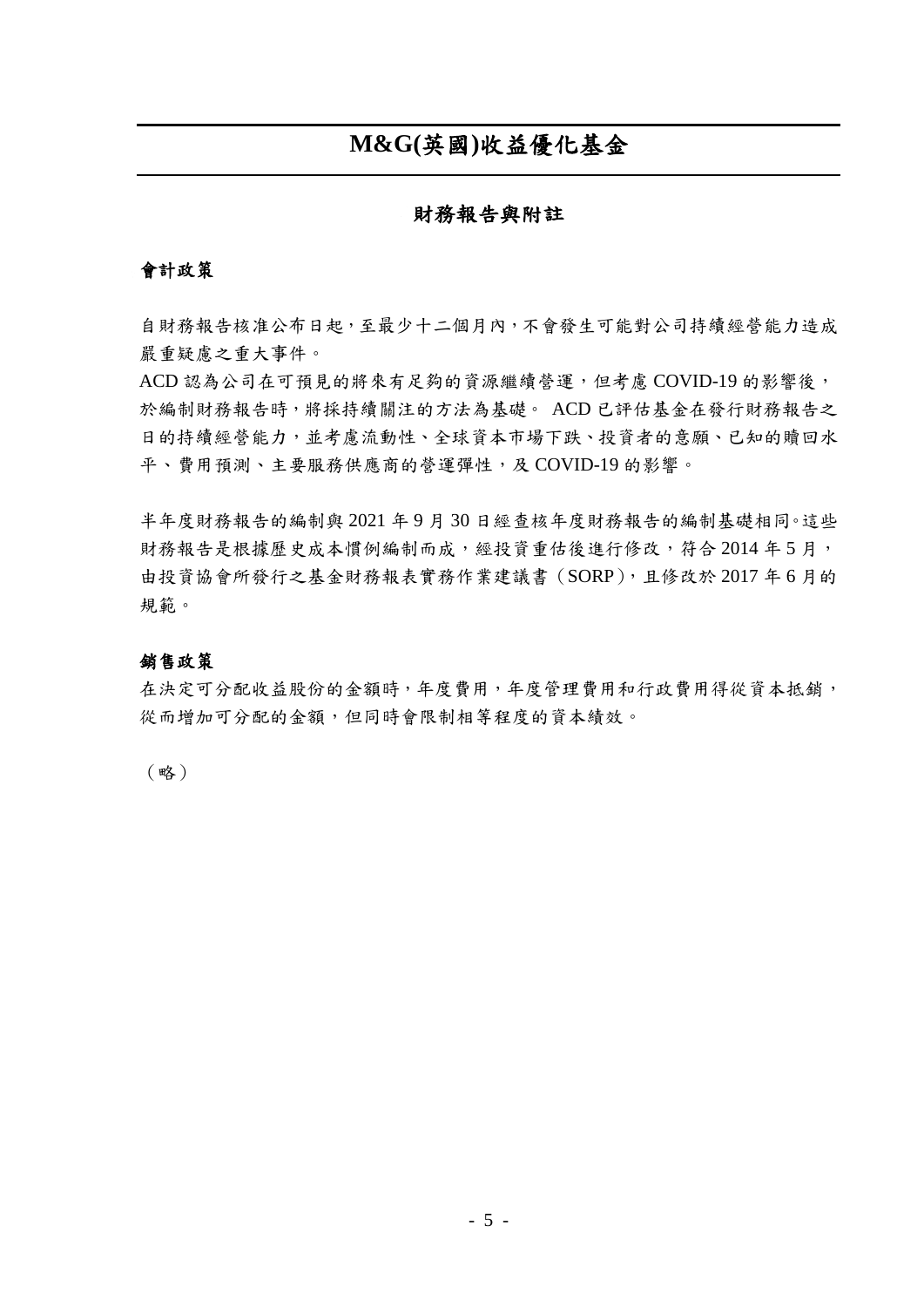## **M&G(**英國**)**收益優化基金

#### 財務報告與附註

### <span id="page-4-0"></span>會計政策

自財務報告核准公布日起,至最少十二個月內,不會發生可能對公司持續經營能力造成 嚴重疑慮之重大事件。

ACD 認為公司在可預見的將來有足夠的資源繼續營運,但考慮 COVID-19 的影響後, 於編制財務報告時,將採持續關注的方法為基礎。 ACD 已評估基金在發行財務報告之 日的持續經營能力,並考慮流動性、全球資本市場下跌、投資者的意願、已知的贖回水 平、費用預測、主要服務供應商的營運彈性,及 COVID-19 的影響。

半年度財務報告的編制與 2021 年 9 月 30 日經查核年度財務報告的編制基礎相同。這些 財務報告是根據歷史成本慣例編制而成,經投資重估後進行修改,符合 2014 年 5 月, 由投資協會所發行之基金財務報表實務作業建議書(SORP),且修改於 2017 年 6 月的 規範。

#### 銷售政策

在決定可分配收益股份的金額時,年度費用,年度管理費用和行政費用得從資本抵銷, 從而增加可分配的金額,但同時會限制相等程度的資本績效。

(略)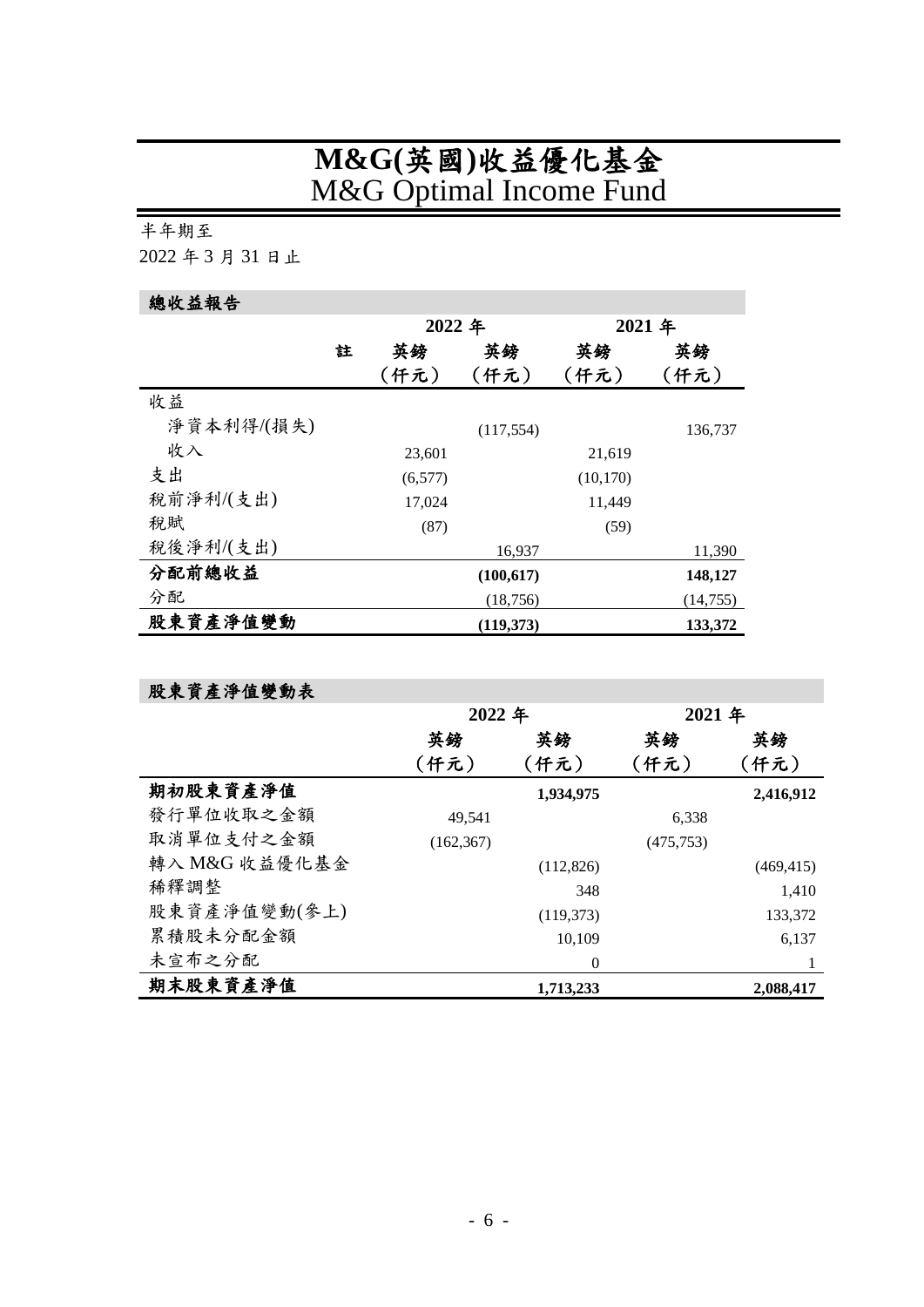# **M&G(**英國**)**收益優化基金 M&G Optimal Income Fund

### <span id="page-5-0"></span>半年期至

2022 年 3 月 31 日止

# 總收益報告

|            |   | 2022 年  |            | 2021 年    |           |
|------------|---|---------|------------|-----------|-----------|
|            | 註 | 英鎊      | 英鎊         | 英鎊        | 英鎊        |
|            |   | (仟元)    | (仟元)       | (仟元)      | (仟元)      |
| 收益         |   |         |            |           |           |
| 淨資本利得/(損失) |   |         | (117, 554) |           | 136,737   |
| 收入         |   | 23,601  |            | 21,619    |           |
| 支出         |   | (6,577) |            | (10, 170) |           |
| 稅前淨利/(支出)  |   | 17,024  |            | 11,449    |           |
| 税賦         |   | (87)    |            | (59)      |           |
| 稅後淨利/(支出)  |   |         | 16,937     |           | 11,390    |
| 分配前總收益     |   |         | (100, 617) |           | 148,127   |
| 分配         |   |         | (18, 756)  |           | (14, 755) |
| 股東資產淨值變動   |   |         | (119,373)  |           | 133,372   |

## 股東資產淨值變動表

|               | 2022 年     |            | 2021年      |            |
|---------------|------------|------------|------------|------------|
|               | 英鎊         | 英鎊         | 英鎊         | 英鎊         |
|               | (仟元)       | (仟元)       | (仟元)       | (仟元)       |
| 期初股東資產淨值      |            | 1,934,975  |            | 2,416,912  |
| 發行單位收取之金額     | 49,541     |            | 6,338      |            |
| 取消單位支付之金額     | (162, 367) |            | (475, 753) |            |
| 轉入 M&G 收益優化基金 |            | (112,826)  |            | (469, 415) |
| 稀釋調整          |            | 348        |            | 1,410      |
| 股東資產淨值變動(參上)  |            | (119, 373) |            | 133,372    |
| 累積股未分配金額      |            | 10,109     |            | 6,137      |
| 未宣布之分配        |            | $\Omega$   |            |            |
| 期末股東資產淨值      |            | 1,713,233  |            | 2,088,417  |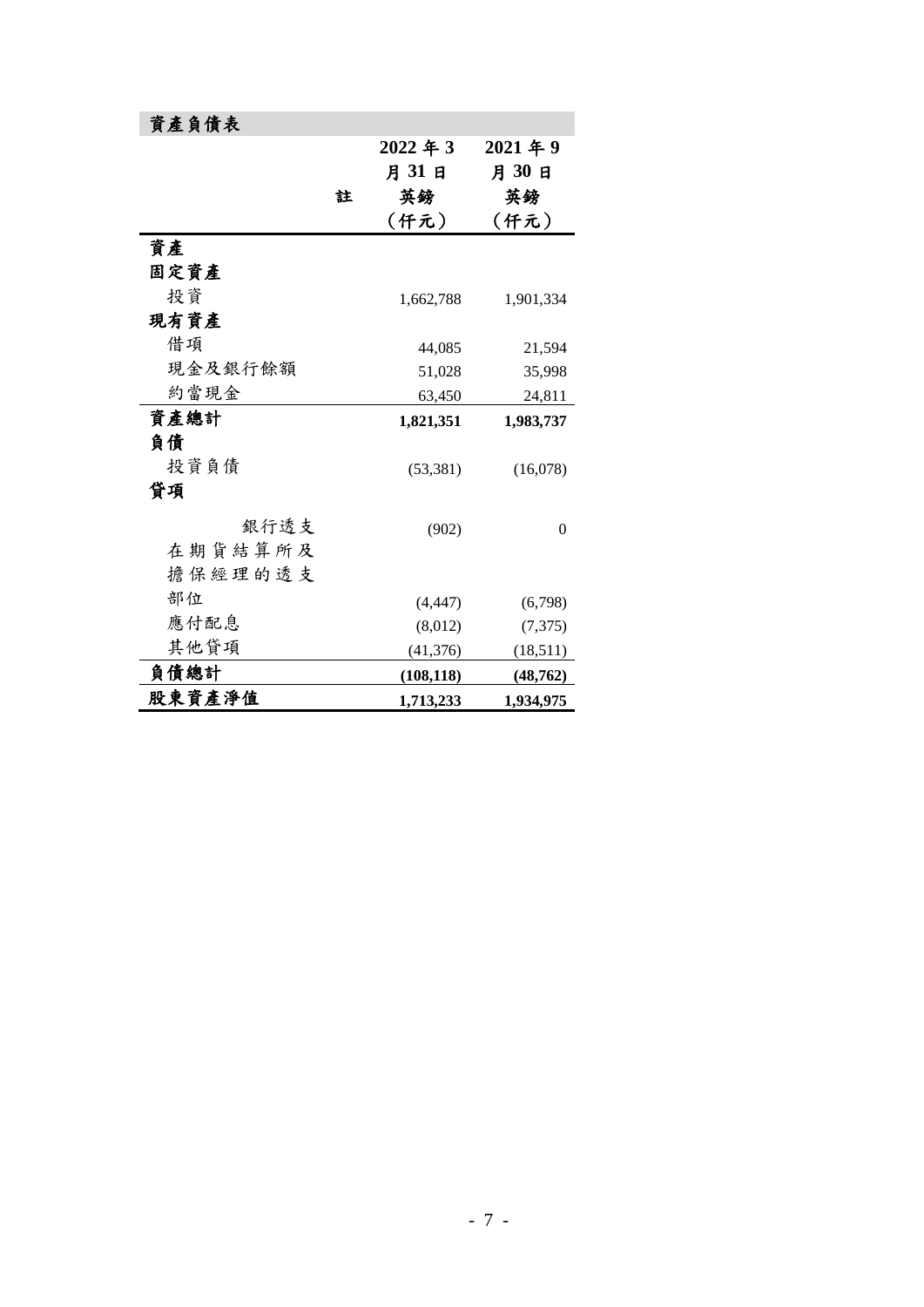| 資產負債表   |   |            |            |
|---------|---|------------|------------|
|         |   | 2022年3     | $2021$ 年 9 |
|         |   | 月31日       | 月30日       |
|         | 註 | 英鎊         | 英鎊         |
|         |   | (仟元)       | (仟元)       |
| 資產      |   |            |            |
| 固定資產    |   |            |            |
| 投資      |   | 1,662,788  | 1,901,334  |
| 現有資產    |   |            |            |
| 借項      |   | 44,085     | 21,594     |
| 現金及銀行餘額 |   | 51,028     | 35,998     |
| 約當現金    |   | 63,450     | 24,811     |
| 資產總計    |   | 1,821,351  | 1,983,737  |
| 負債      |   |            |            |
| 投資負債    |   | (53, 381)  | (16,078)   |
| 貸項      |   |            |            |
| 銀行透支    |   | (902)      | 0          |
| 在期貨結算所及 |   |            |            |
| 擔保經理的透支 |   |            |            |
| 部位      |   | (4, 447)   | (6,798)    |
| 應付配息    |   | (8,012)    | (7,375)    |
| 其他貸項    |   | (41, 376)  | (18,511)   |
| 負債總計    |   | (108, 118) | (48, 762)  |
| 股東資產淨值  |   | 1,713,233  | 1,934,975  |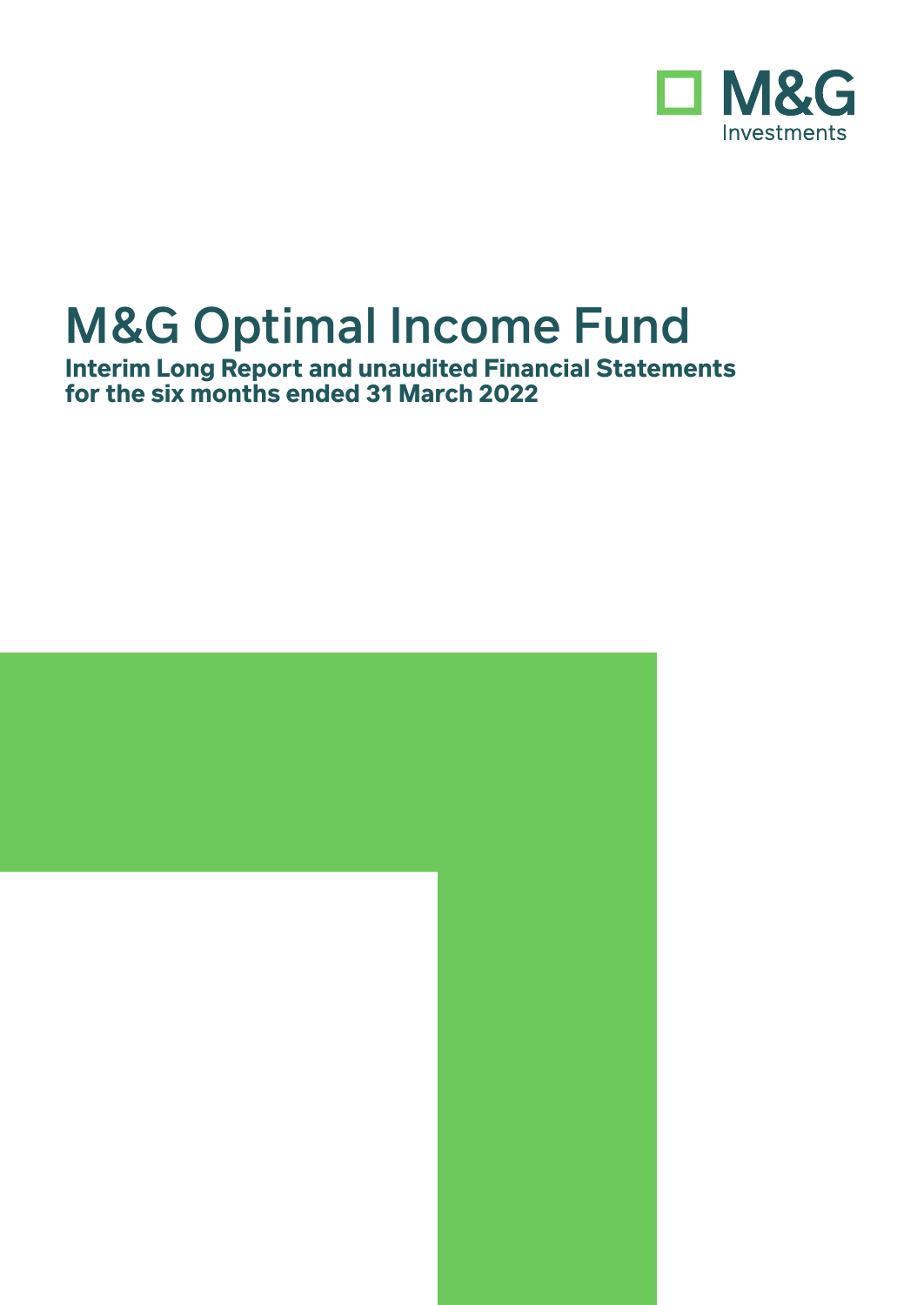

**Interim Long Report and unaudited Financial Statements for the six months ended 31 March 2022**

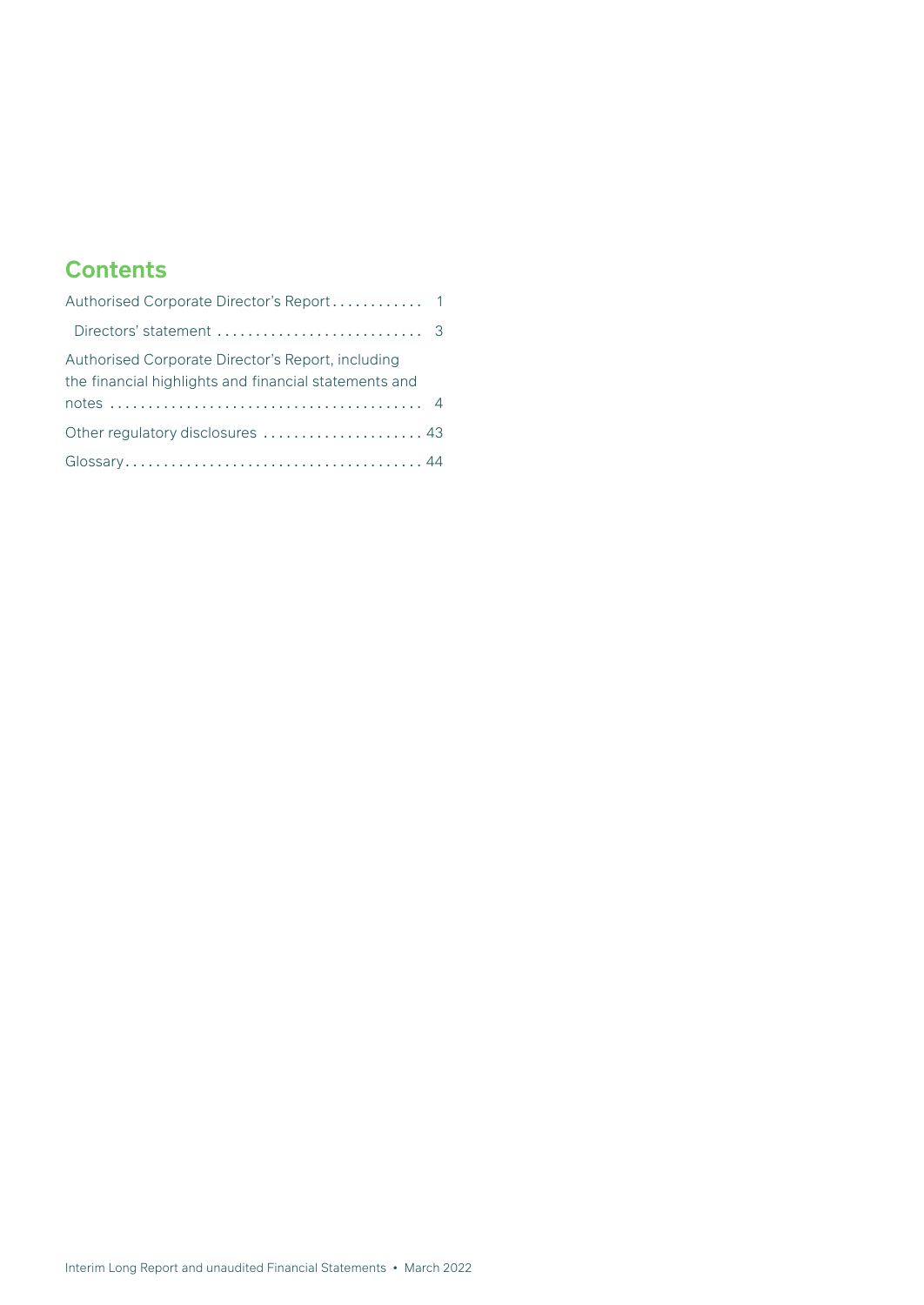# **Contents**

| Directors' statement $\ldots, \ldots, \ldots, \ldots, \ldots, \ldots, \ldots$                              |  |
|------------------------------------------------------------------------------------------------------------|--|
| Authorised Corporate Director's Report, including<br>the financial highlights and financial statements and |  |
| Other regulatory disclosures  43                                                                           |  |
|                                                                                                            |  |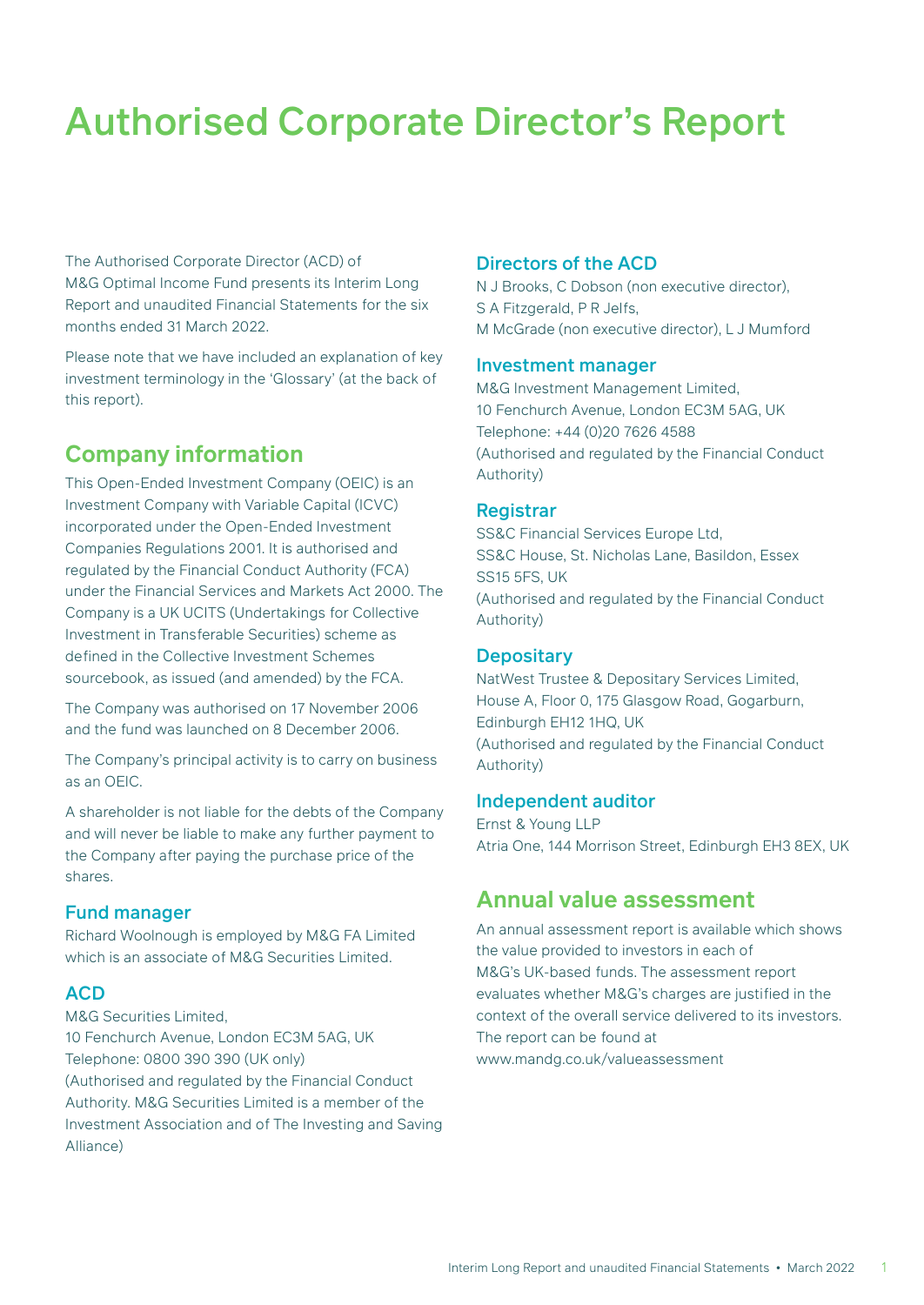The Authorised Corporate Director (ACD) of M&G Optimal Income Fund presents its Interim Long Report and unaudited Financial Statements for the six months ended 31 March 2022.

Please note that we have included an explanation of key investment terminology in the 'Glossary' (at the back of this report).

# **Company information**

This Open-Ended Investment Company (OEIC) is an Investment Company with Variable Capital (ICVC) incorporated under the Open-Ended Investment Companies Regulations 2001. It is authorised and regulated by the Financial Conduct Authority (FCA) under the Financial Services and Markets Act 2000. The Company is a UK UCITS (Undertakings for Collective Investment in Transferable Securities) scheme as defined in the Collective Investment Schemes sourcebook, as issued (and amended) by the FCA.

The Company was authorised on 17 November 2006 and the fund was launched on 8 December 2006.

The Company's principal activity is to carry on business as an OEIC.

A shareholder is not liable for the debts of the Company and will never be liable to make any further payment to the Company after paying the purchase price of the shares.

#### Fund manager

Richard Woolnough is employed by M&G FA Limited which is an associate of M&G Securities Limited.

### **ACD**

M&G Securities Limited, 10 Fenchurch Avenue, London EC3M 5AG, UK Telephone: 0800 390 390 (UK only) (Authorised and regulated by the Financial Conduct Authority. M&G Securities Limited is a member of the Investment Association and of The Investing and Saving Alliance)

#### Directors of the ACD

N J Brooks, C Dobson (non executive director), S A Fitzgerald, P R Jelfs, M McGrade (non executive director), L J Mumford

#### Investment manager

M&G Investment Management Limited, 10 Fenchurch Avenue, London EC3M 5AG, UK Telephone: +44 (0)20 7626 4588 (Authorised and regulated by the Financial Conduct Authority)

#### **Registrar**

SS&C Financial Services Europe Ltd, SS&C House, St. Nicholas Lane, Basildon, Essex SS15 5FS, UK (Authorised and regulated by the Financial Conduct Authority)

#### **Depositary**

NatWest Trustee & Depositary Services Limited, House A, Floor 0, 175 Glasgow Road, Gogarburn, Edinburgh EH12 1HQ, UK (Authorised and regulated by the Financial Conduct Authority)

#### Independent auditor

Ernst & Young LLP Atria One, 144 Morrison Street, Edinburgh EH3 8EX, UK

## **Annual value assessment**

An annual assessment report is available which shows the value provided to investors in each of M&G's UK-based funds. The assessment report evaluates whether M&G's charges are justified in the context of the overall service delivered to its investors. The report can be found at www.mandg.co.uk/valueassessment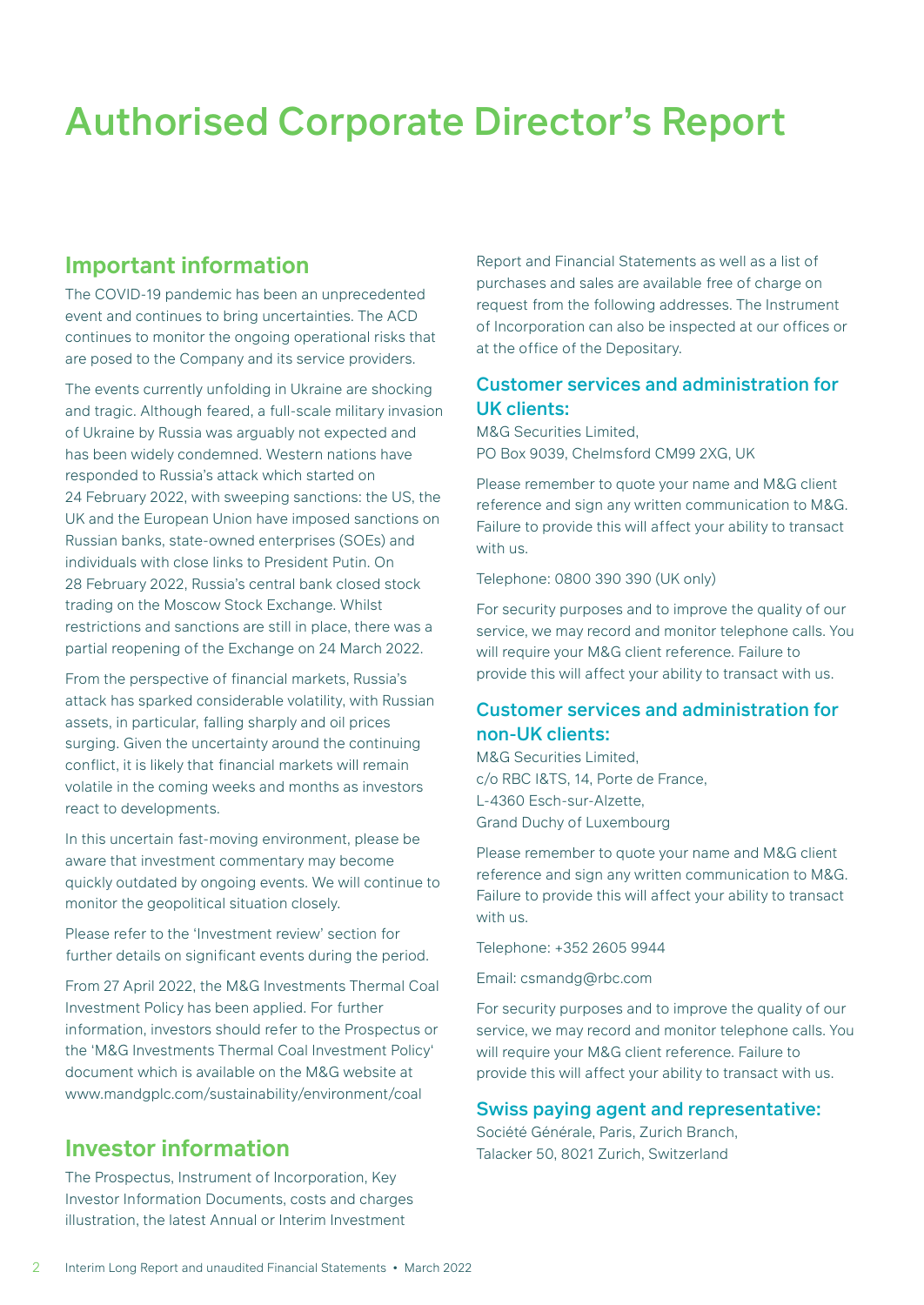## **Important information**

The COVID-19 pandemic has been an unprecedented event and continues to bring uncertainties. The ACD continues to monitor the ongoing operational risks that are posed to the Company and its service providers.

The events currently unfolding in Ukraine are shocking and tragic. Although feared, a full-scale military invasion of Ukraine by Russia was arguably not expected and has been widely condemned. Western nations have responded to Russia's attack which started on 24 February 2022, with sweeping sanctions: the US, the UK and the European Union have imposed sanctions on Russian banks, state-owned enterprises (SOEs) and individuals with close links to President Putin. On 28 February 2022, Russia's central bank closed stock trading on the Moscow Stock Exchange. Whilst restrictions and sanctions are still in place, there was a partial reopening of the Exchange on 24 March 2022.

From the perspective of financial markets, Russia's attack has sparked considerable volatility, with Russian assets, in particular, falling sharply and oil prices surging. Given the uncertainty around the continuing conflict, it is likely that financial markets will remain volatile in the coming weeks and months as investors react to developments.

In this uncertain fast-moving environment, please be aware that investment commentary may become quickly outdated by ongoing events. We will continue to monitor the geopolitical situation closely.

Please refer to the 'Investment review' section for further details on significant events during the period.

From 27 April 2022, the M&G Investments Thermal Coal Investment Policy has been applied. For further information, investors should refer to the Prospectus or the 'M&G Investments Thermal Coal Investment Policy' document which is available on the M&G website at www.mandgplc.com/sustainability/environment/coal

## **Investor information**

The Prospectus, Instrument of Incorporation, Key Investor Information Documents, costs and charges illustration, the latest Annual or Interim Investment

Report and Financial Statements as well as a list of purchases and sales are available free of charge on request from the following addresses. The Instrument of Incorporation can also be inspected at our offices or at the office of the Depositary.

### Customer services and administration for UK clients:

M&G Securities Limited, PO Box 9039, Chelmsford CM99 2XG, UK

Please remember to quote your name and M&G client reference and sign any written communication to M&G. Failure to provide this will affect your ability to transact with us.

Telephone: 0800 390 390 (UK only)

For security purposes and to improve the quality of our service, we may record and monitor telephone calls. You will require your M&G client reference. Failure to provide this will affect your ability to transact with us.

## Customer services and administration for non-UK clients:

M&G Securities Limited, c/o RBC I&TS, 14, Porte de France, L-4360 Esch-sur-Alzette, Grand Duchy of Luxembourg

Please remember to quote your name and M&G client reference and sign any written communication to M&G. Failure to provide this will affect your ability to transact with us.

Telephone: +352 2605 9944

Email: csmandg@rbc.com

For security purposes and to improve the quality of our service, we may record and monitor telephone calls. You will require your M&G client reference. Failure to provide this will affect your ability to transact with us.

#### Swiss paying agent and representative:

Société Générale, Paris, Zurich Branch, Talacker 50, 8021 Zurich, Switzerland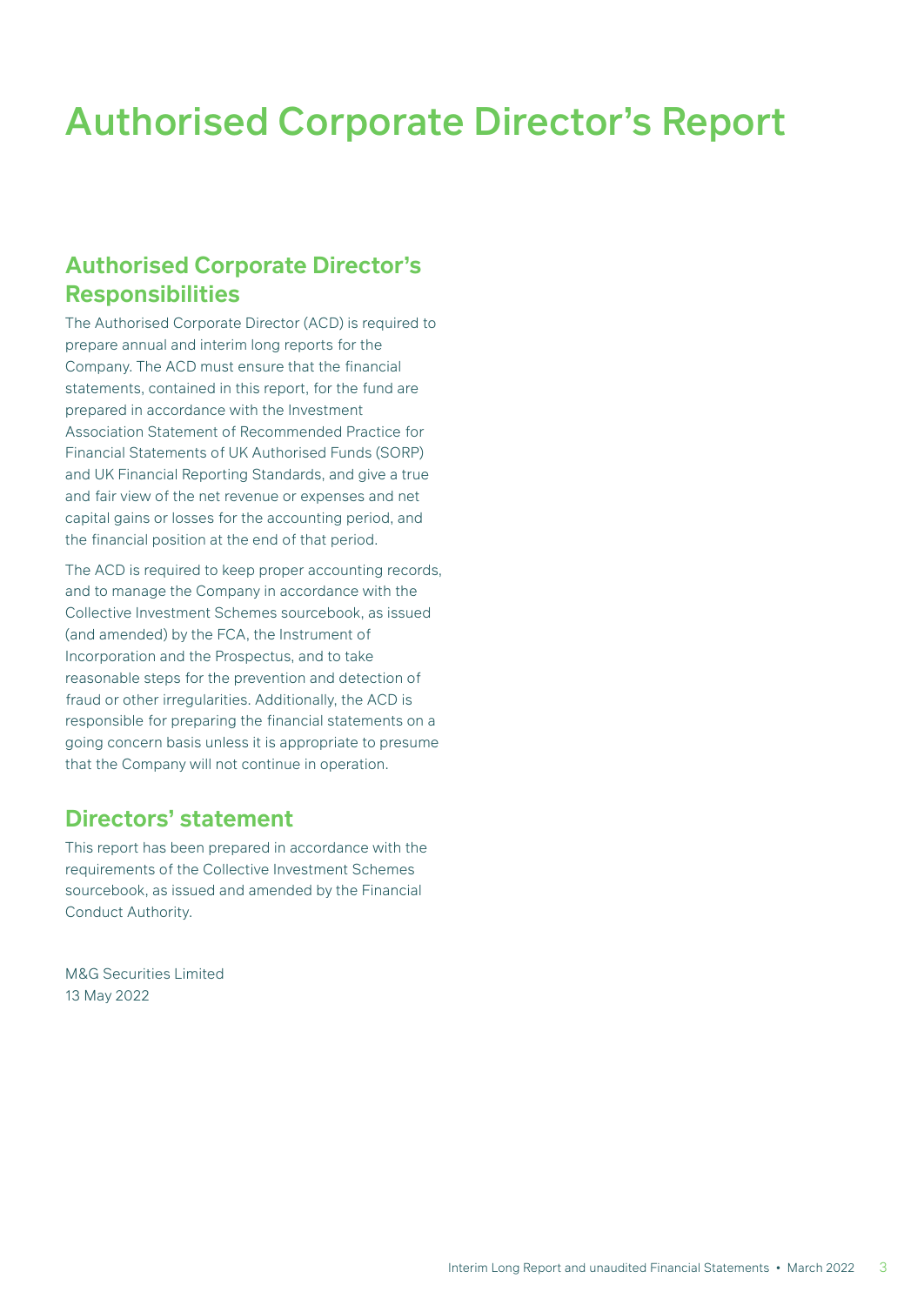## **Authorised Corporate Director's Responsibilities**

The Authorised Corporate Director (ACD) is required to prepare annual and interim long reports for the Company. The ACD must ensure that the financial statements, contained in this report, for the fund are prepared in accordance with the Investment Association Statement of Recommended Practice for Financial Statements of UK Authorised Funds (SORP) and UK Financial Reporting Standards, and give a true and fair view of the net revenue or expenses and net capital gains or losses for the accounting period, and the financial position at the end of that period.

The ACD is required to keep proper accounting records, and to manage the Company in accordance with the Collective Investment Schemes sourcebook, as issued (and amended) by the FCA, the Instrument of Incorporation and the Prospectus, and to take reasonable steps for the prevention and detection of fraud or other irregularities. Additionally, the ACD is responsible for preparing the financial statements on a going concern basis unless it is appropriate to presume that the Company will not continue in operation.

## **Directors' statement**

This report has been prepared in accordance with the requirements of the Collective Investment Schemes sourcebook, as issued and amended by the Financial Conduct Authority.

M&G Securities Limited 13 May 2022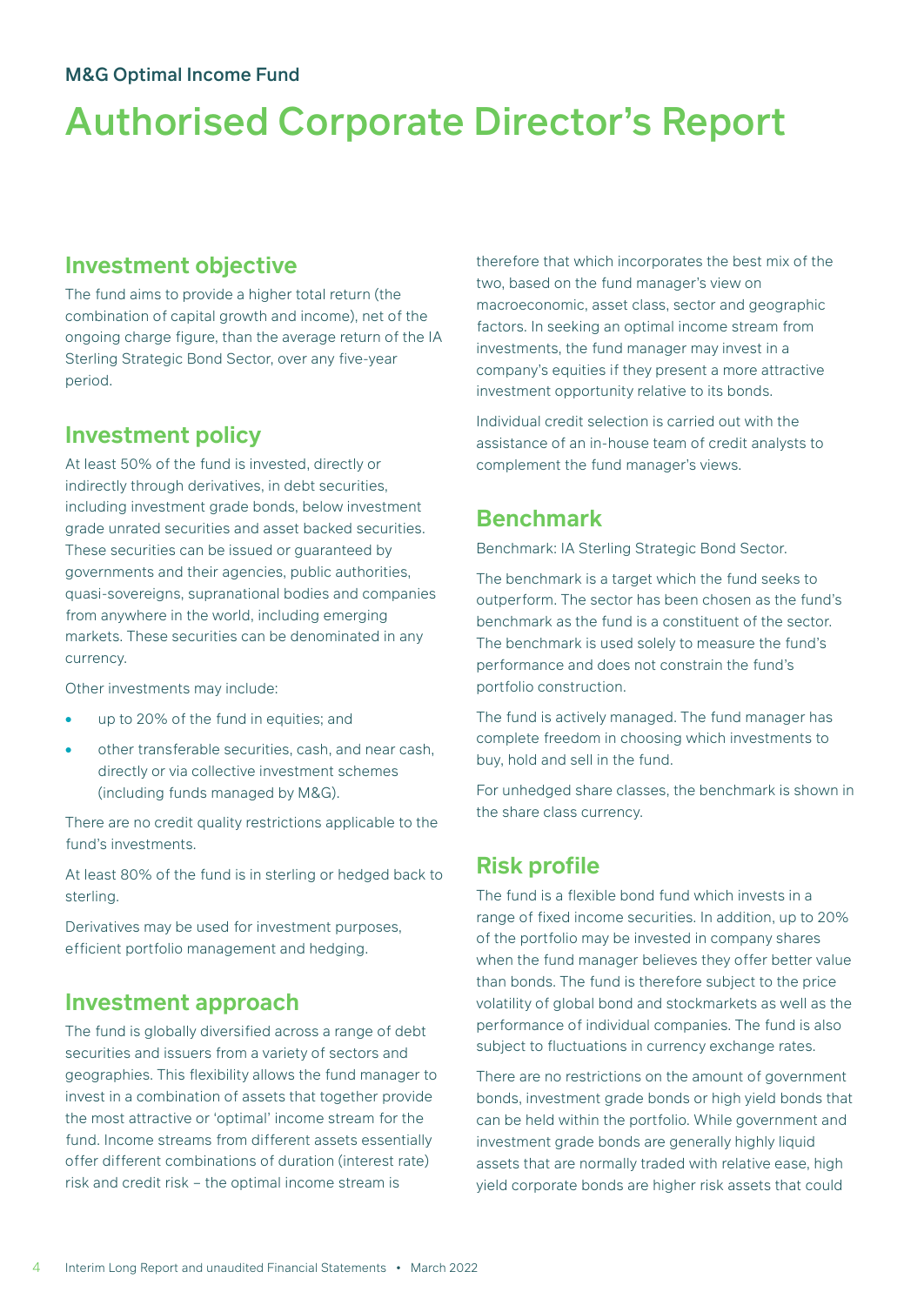## **Investment objective**

The fund aims to provide a higher total return (the combination of capital growth and income), net of the ongoing charge figure, than the average return of the IA Sterling Strategic Bond Sector, over any five-year period.

## **Investment policy**

At least 50% of the fund is invested, directly or indirectly through derivatives, in debt securities, including investment grade bonds, below investment grade unrated securities and asset backed securities. These securities can be issued or guaranteed by governments and their agencies, public authorities, quasi-sovereigns, supranational bodies and companies from anywhere in the world, including emerging markets. These securities can be denominated in any currency.

Other investments may include:

- up to 20% of the fund in equities; and
- other transferable securities, cash, and near cash, directly or via collective investment schemes (including funds managed by M&G).

There are no credit quality restrictions applicable to the fund's investments.

At least 80% of the fund is in sterling or hedged back to sterling.

Derivatives may be used for investment purposes, efficient portfolio management and hedging.

## **Investment approach**

The fund is globally diversified across a range of debt securities and issuers from a variety of sectors and geographies. This flexibility allows the fund manager to invest in a combination of assets that together provide the most attractive or 'optimal' income stream for the fund. Income streams from different assets essentially offer different combinations of duration (interest rate) risk and credit risk – the optimal income stream is

therefore that which incorporates the best mix of the two, based on the fund manager's view on macroeconomic, asset class, sector and geographic factors. In seeking an optimal income stream from investments, the fund manager may invest in a company's equities if they present a more attractive investment opportunity relative to its bonds.

Individual credit selection is carried out with the assistance of an in-house team of credit analysts to complement the fund manager's views.

## **Benchmark**

Benchmark: IA Sterling Strategic Bond Sector.

The benchmark is a target which the fund seeks to outperform. The sector has been chosen as the fund's benchmark as the fund is a constituent of the sector. The benchmark is used solely to measure the fund's performance and does not constrain the fund's portfolio construction.

The fund is actively managed. The fund manager has complete freedom in choosing which investments to buy, hold and sell in the fund.

For unhedged share classes, the benchmark is shown in the share class currency.

## **Risk profile**

The fund is a flexible bond fund which invests in a range of fixed income securities. In addition, up to 20% of the portfolio may be invested in company shares when the fund manager believes they offer better value than bonds. The fund is therefore subject to the price volatility of global bond and stockmarkets as well as the performance of individual companies. The fund is also subject to fluctuations in currency exchange rates.

There are no restrictions on the amount of government bonds, investment grade bonds or high yield bonds that can be held within the portfolio. While government and investment grade bonds are generally highly liquid assets that are normally traded with relative ease, high yield corporate bonds are higher risk assets that could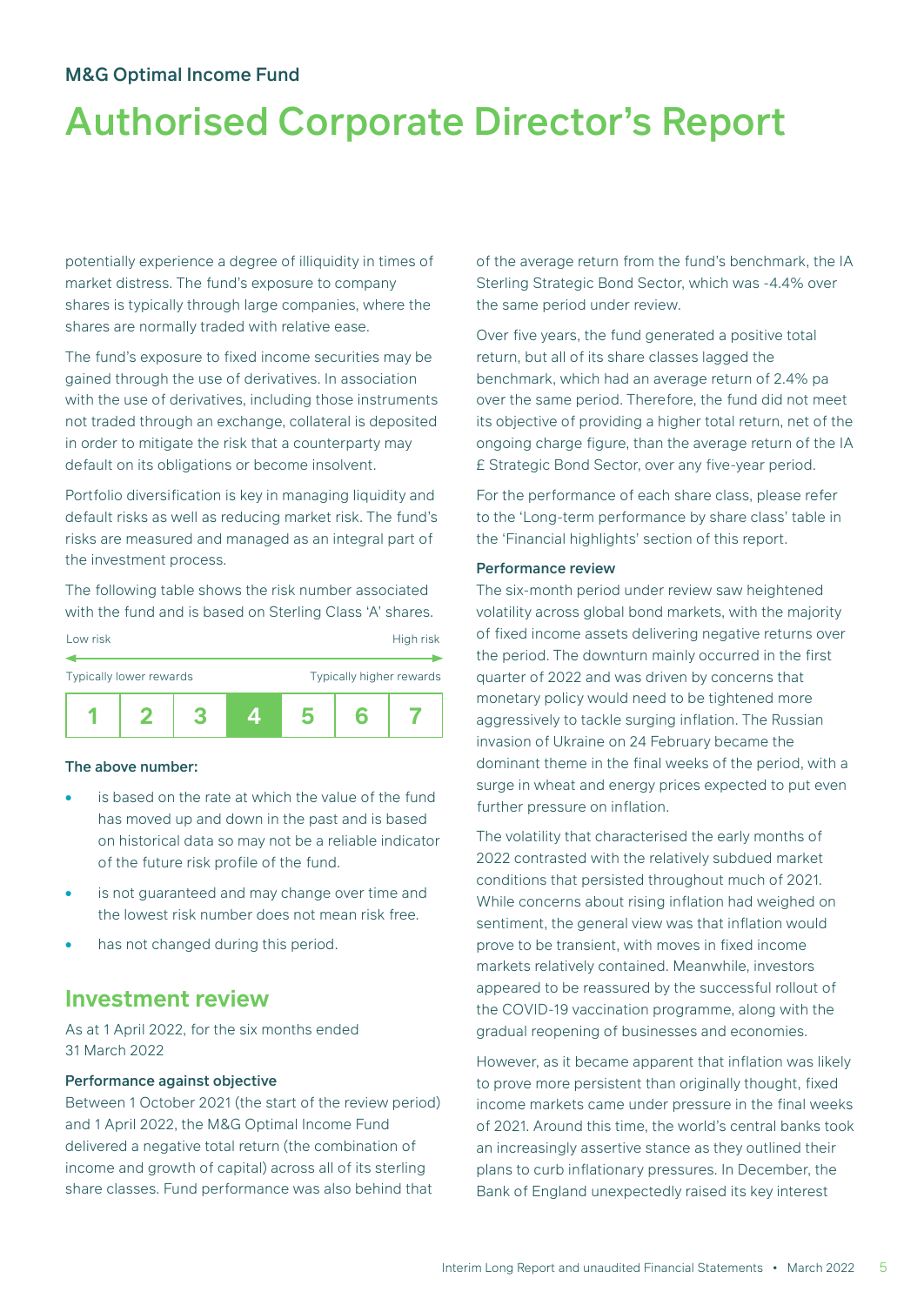# Authorised Corporate Director's Report

potentially experience a degree of illiquidity in times of market distress. The fund's exposure to company shares is typically through large companies, where the shares are normally traded with relative ease.

The fund's exposure to fixed income securities may be gained through the use of derivatives. In association with the use of derivatives, including those instruments not traded through an exchange, collateral is deposited in order to mitigate the risk that a counterparty may default on its obligations or become insolvent.

Portfolio diversification is key in managing liquidity and default risks as well as reducing market risk. The fund's risks are measured and managed as an integral part of the investment process.

The following table shows the risk number associated with the fund and is based on Sterling Class 'A' shares.

| Low risk                |  | High risk                |   |  |  |
|-------------------------|--|--------------------------|---|--|--|
| Typically lower rewards |  | Typically higher rewards |   |  |  |
|                         |  |                          | h |  |  |

#### The above number:

- is based on the rate at which the value of the fund has moved up and down in the past and is based on historical data so may not be a reliable indicator of the future risk profile of the fund.
- is not guaranteed and may change over time and the lowest risk number does not mean risk free.
- has not changed during this period.

## **Investment review**

As at 1 April 2022, for the six months ended 31 March 2022

#### Performance against objective

Between 1 October 2021 (the start of the review period) and 1 April 2022, the M&G Optimal Income Fund delivered a negative total return (the combination of income and growth of capital) across all of its sterling share classes. Fund performance was also behind that

of the average return from the fund's benchmark, the IA Sterling Strategic Bond Sector, which was -4.4% over the same period under review.

Over five years, the fund generated a positive total return, but all of its share classes lagged the benchmark, which had an average return of 2.4% pa over the same period. Therefore, the fund did not meet its objective of providing a higher total return, net of the ongoing charge figure, than the average return of the IA £ Strategic Bond Sector, over any five-year period.

For the performance of each share class, please refer to the 'Long-term performance by share class' table in the 'Financial highlights' section of this report.

#### Performance review

The six-month period under review saw heightened volatility across global bond markets, with the majority of fixed income assets delivering negative returns over the period. The downturn mainly occurred in the first quarter of 2022 and was driven by concerns that monetary policy would need to be tightened more aggressively to tackle surging inflation. The Russian invasion of Ukraine on 24 February became the dominant theme in the final weeks of the period, with a surge in wheat and energy prices expected to put even further pressure on inflation.

The volatility that characterised the early months of 2022 contrasted with the relatively subdued market conditions that persisted throughout much of 2021. While concerns about rising inflation had weighed on sentiment, the general view was that inflation would prove to be transient, with moves in fixed income markets relatively contained. Meanwhile, investors appeared to be reassured by the successful rollout of the COVID-19 vaccination programme, along with the gradual reopening of businesses and economies.

However, as it became apparent that inflation was likely to prove more persistent than originally thought, fixed income markets came under pressure in the final weeks of 2021. Around this time, the world's central banks took an increasingly assertive stance as they outlined their plans to curb inflationary pressures. In December, the Bank of England unexpectedly raised its key interest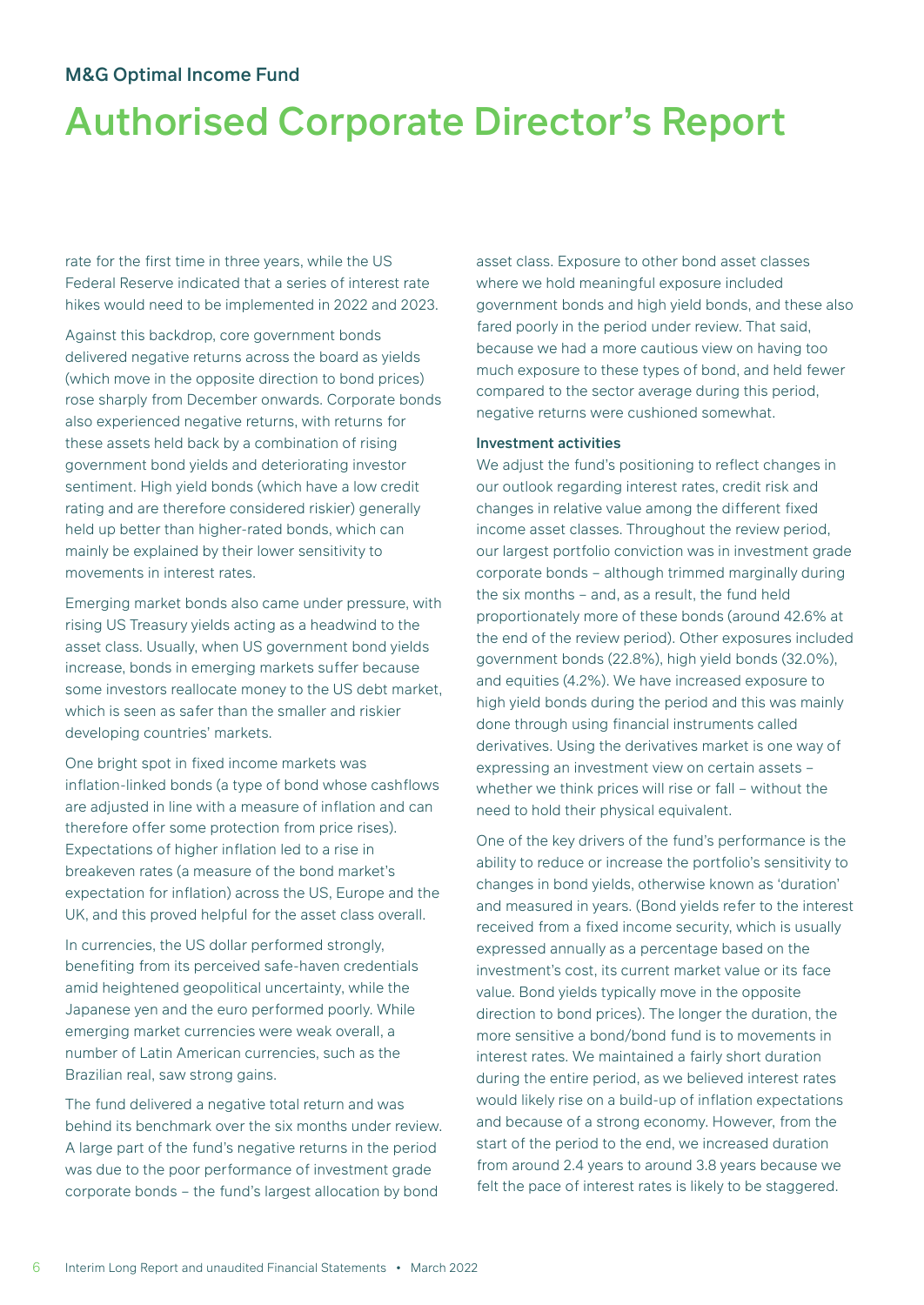# Authorised Corporate Director's Report

rate for the first time in three years, while the US Federal Reserve indicated that a series of interest rate hikes would need to be implemented in 2022 and 2023.

Against this backdrop, core government bonds delivered negative returns across the board as yields (which move in the opposite direction to bond prices) rose sharply from December onwards. Corporate bonds also experienced negative returns, with returns for these assets held back by a combination of rising government bond yields and deteriorating investor sentiment. High yield bonds (which have a low credit rating and are therefore considered riskier) generally held up better than higher-rated bonds, which can mainly be explained by their lower sensitivity to movements in interest rates.

Emerging market bonds also came under pressure, with rising US Treasury yields acting as a headwind to the asset class. Usually, when US government bond yields increase, bonds in emerging markets suffer because some investors reallocate money to the US debt market, which is seen as safer than the smaller and riskier developing countries' markets.

One bright spot in fixed income markets was inflation-linked bonds (a type of bond whose cashflows are adjusted in line with a measure of inflation and can therefore offer some protection from price rises). Expectations of higher inflation led to a rise in breakeven rates (a measure of the bond market's expectation for inflation) across the US, Europe and the UK, and this proved helpful for the asset class overall.

In currencies, the US dollar performed strongly, benefiting from its perceived safe-haven credentials amid heightened geopolitical uncertainty, while the Japanese yen and the euro performed poorly. While emerging market currencies were weak overall, a number of Latin American currencies, such as the Brazilian real, saw strong gains.

The fund delivered a negative total return and was behind its benchmark over the six months under review. A large part of the fund's negative returns in the period was due to the poor performance of investment grade corporate bonds – the fund's largest allocation by bond

asset class. Exposure to other bond asset classes where we hold meaningful exposure included government bonds and high yield bonds, and these also fared poorly in the period under review. That said, because we had a more cautious view on having too much exposure to these types of bond, and held fewer compared to the sector average during this period, negative returns were cushioned somewhat.

#### Investment activities

We adjust the fund's positioning to reflect changes in our outlook regarding interest rates, credit risk and changes in relative value among the different fixed income asset classes. Throughout the review period, our largest portfolio conviction was in investment grade corporate bonds – although trimmed marginally during the six months – and, as a result, the fund held proportionately more of these bonds (around 42.6% at the end of the review period). Other exposures included government bonds (22.8%), high yield bonds (32.0%), and equities (4.2%). We have increased exposure to high yield bonds during the period and this was mainly done through using financial instruments called derivatives. Using the derivatives market is one way of expressing an investment view on certain assets – whether we think prices will rise or fall – without the need to hold their physical equivalent.

One of the key drivers of the fund's performance is the ability to reduce or increase the portfolio's sensitivity to changes in bond yields, otherwise known as 'duration' and measured in years. (Bond yields refer to the interest received from a fixed income security, which is usually expressed annually as a percentage based on the investment's cost, its current market value or its face value. Bond yields typically move in the opposite direction to bond prices). The longer the duration, the more sensitive a bond/bond fund is to movements in interest rates. We maintained a fairly short duration during the entire period, as we believed interest rates would likely rise on a build-up of inflation expectations and because of a strong economy. However, from the start of the period to the end, we increased duration from around 2.4 years to around 3.8 years because we felt the pace of interest rates is likely to be staggered.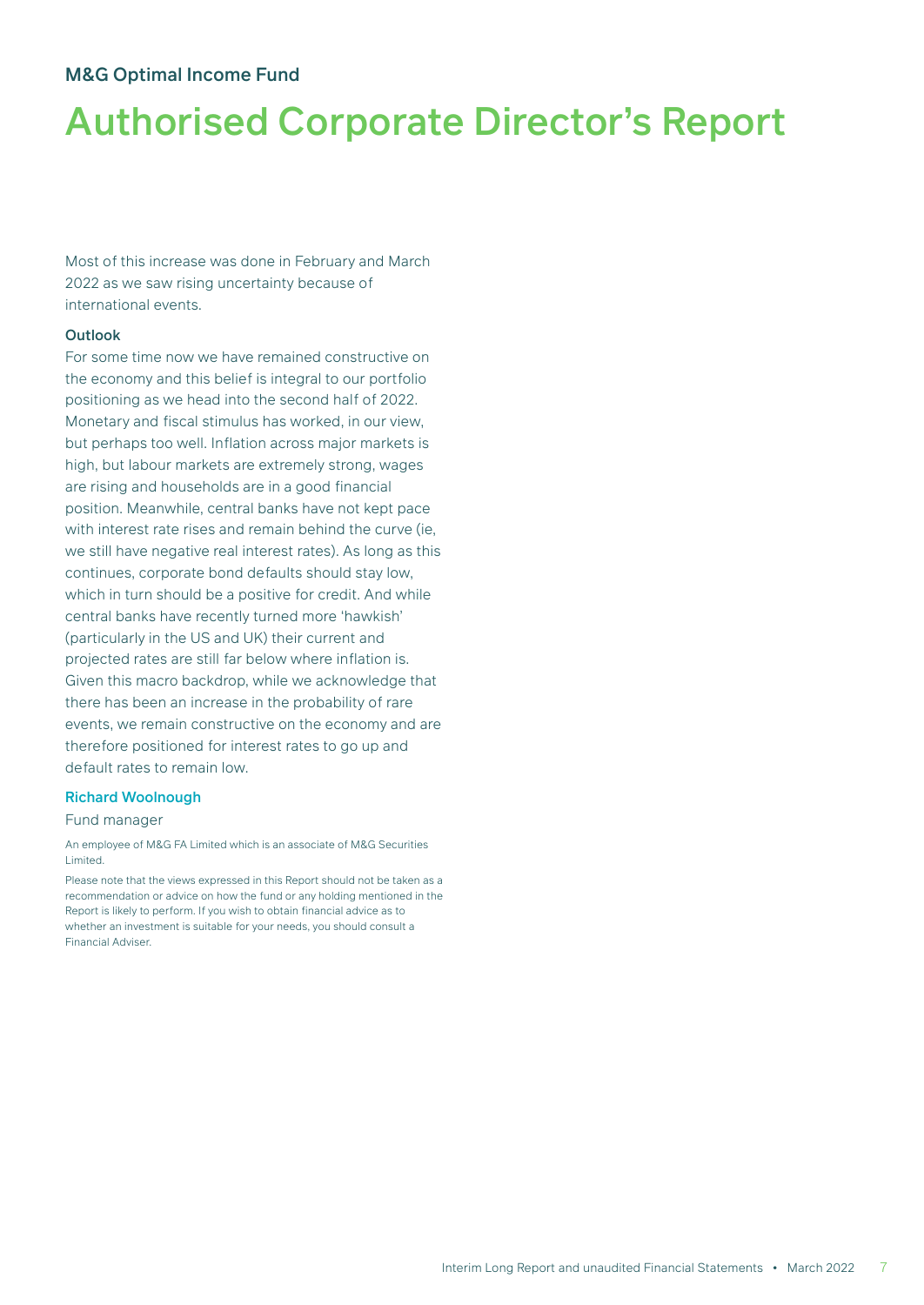# Authorised Corporate Director's Report

Most of this increase was done in February and March 2022 as we saw rising uncertainty because of international events.

#### **Outlook**

For some time now we have remained constructive on the economy and this belief is integral to our portfolio positioning as we head into the second half of 2022. Monetary and fiscal stimulus has worked, in our view, but perhaps too well. Inflation across major markets is high, but labour markets are extremely strong, wages are rising and households are in a good financial position. Meanwhile, central banks have not kept pace with interest rate rises and remain behind the curve (ie, we still have negative real interest rates). As long as this continues, corporate bond defaults should stay low, which in turn should be a positive for credit. And while central banks have recently turned more 'hawkish' (particularly in the US and UK) their current and projected rates are still far below where inflation is. Given this macro backdrop, while we acknowledge that there has been an increase in the probability of rare events, we remain constructive on the economy and are therefore positioned for interest rates to go up and default rates to remain low.

#### Richard Woolnough

#### Fund manager

An employee of M&G FA Limited which is an associate of M&G Securities Limited.

Please note that the views expressed in this Report should not be taken as a recommendation or advice on how the fund or any holding mentioned in the Report is likely to perform. If you wish to obtain financial advice as to whether an investment is suitable for your needs, you should consult a Financial Adviser.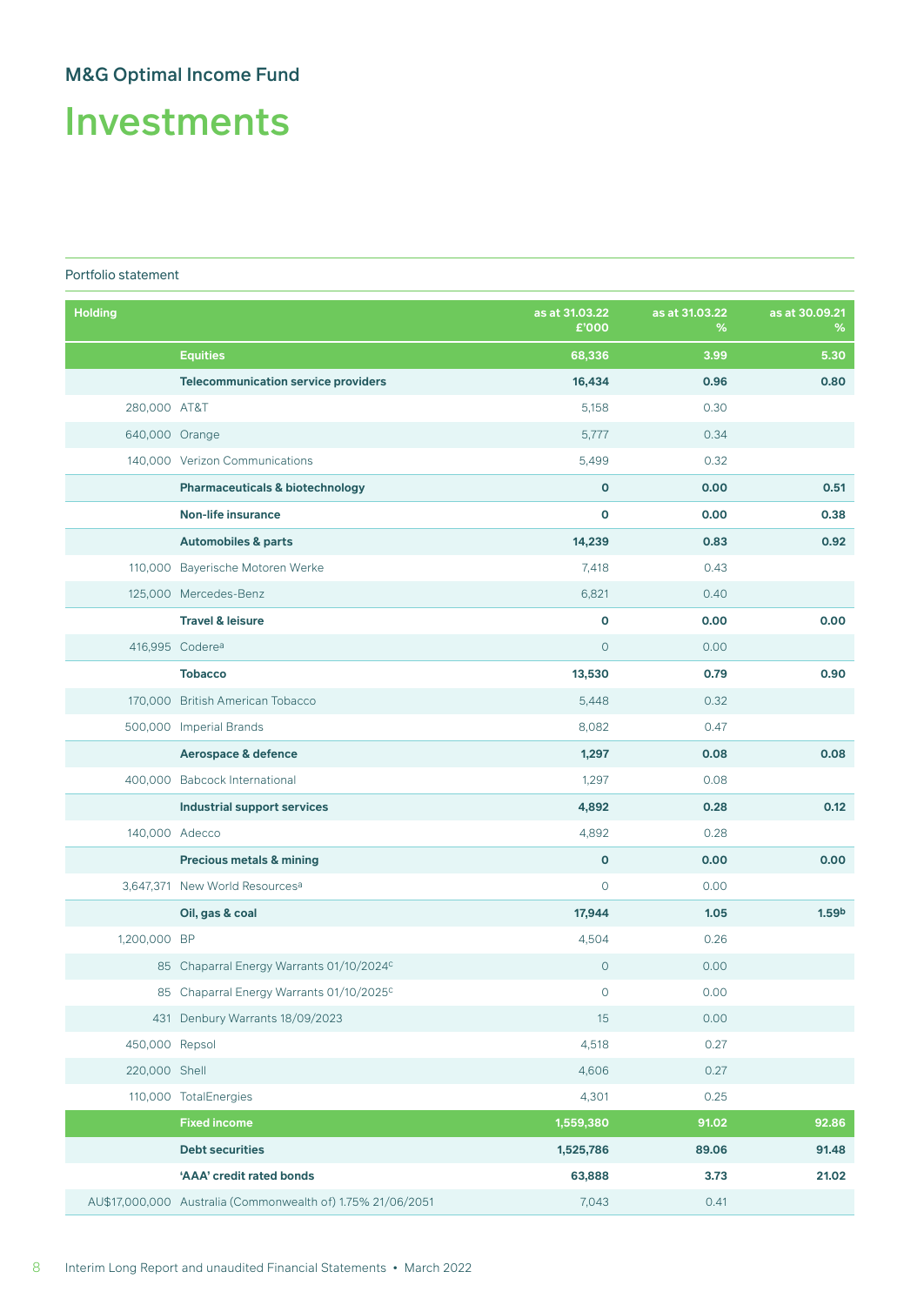# Investments

#### Portfolio statement

| <b>Holding</b> |                                                             | as at 31.03.22<br>£'000 | as at 31.03.22<br>% | as at 30.09.21<br>% |
|----------------|-------------------------------------------------------------|-------------------------|---------------------|---------------------|
|                | <b>Equities</b>                                             | 68,336                  | 3.99                | 5.30                |
|                | <b>Telecommunication service providers</b>                  | 16,434                  | 0.96                | 0.80                |
| 280,000 AT&T   |                                                             | 5,158                   | 0.30                |                     |
| 640,000 Orange |                                                             | 5,777                   | 0.34                |                     |
|                | 140,000 Verizon Communications                              | 5,499                   | 0.32                |                     |
|                | <b>Pharmaceuticals &amp; biotechnology</b>                  | $\mathbf 0$             | 0.00                | 0.51                |
|                | <b>Non-life insurance</b>                                   | O                       | 0.00                | 0.38                |
|                | <b>Automobiles &amp; parts</b>                              | 14,239                  | 0.83                | 0.92                |
|                | 110,000 Bayerische Motoren Werke                            | 7,418                   | 0.43                |                     |
|                | 125,000 Mercedes-Benz                                       | 6,821                   | 0.40                |                     |
|                | <b>Travel &amp; leisure</b>                                 | O                       | 0.00                | 0.00                |
|                | 416,995 Codere <sup>a</sup>                                 | $\circ$                 | 0.00                |                     |
|                | <b>Tobacco</b>                                              | 13,530                  | 0.79                | 0.90                |
|                | 170,000 British American Tobacco                            | 5,448                   | 0.32                |                     |
|                | 500,000 Imperial Brands                                     | 8,082                   | 0.47                |                     |
|                | Aerospace & defence                                         | 1,297                   | 0.08                | 0.08                |
|                | 400,000 Babcock International                               | 1,297                   | 0.08                |                     |
|                | <b>Industrial support services</b>                          | 4,892                   | 0.28                | 0.12                |
|                | 140,000 Adecco                                              | 4,892                   | 0.28                |                     |
|                | Precious metals & mining                                    | $\mathbf 0$             | 0.00                | 0.00                |
|                | 3,647,371 New World Resources <sup>a</sup>                  | $\mathsf{O}$            | 0.00                |                     |
|                | Oil, gas & coal                                             | 17,944                  | 1.05                | 1.59 <sup>b</sup>   |
| 1,200,000 BP   |                                                             | 4,504                   | 0.26                |                     |
|                | 85 Chaparral Energy Warrants 01/10/2024c                    | $\mathbf{O}$            | 0.00                |                     |
|                | 85 Chaparral Energy Warrants 01/10/2025c                    | 0                       | 0.00                |                     |
|                | 431 Denbury Warrants 18/09/2023                             | 15                      | 0.00                |                     |
| 450,000 Repsol |                                                             | 4,518                   | 0.27                |                     |
| 220,000 Shell  |                                                             | 4,606                   | 0.27                |                     |
|                | 110,000 TotalEnergies                                       | 4,301                   | 0.25                |                     |
|                | <b>Fixed income</b>                                         | 1,559,380               | 91.02               | 92.86               |
|                | <b>Debt securities</b>                                      | 1,525,786               | 89.06               | 91.48               |
|                | 'AAA' credit rated bonds                                    | 63,888                  | 3.73                | 21.02               |
|                | AU\$17,000,000 Australia (Commonwealth of) 1.75% 21/06/2051 | 7,043                   | 0.41                |                     |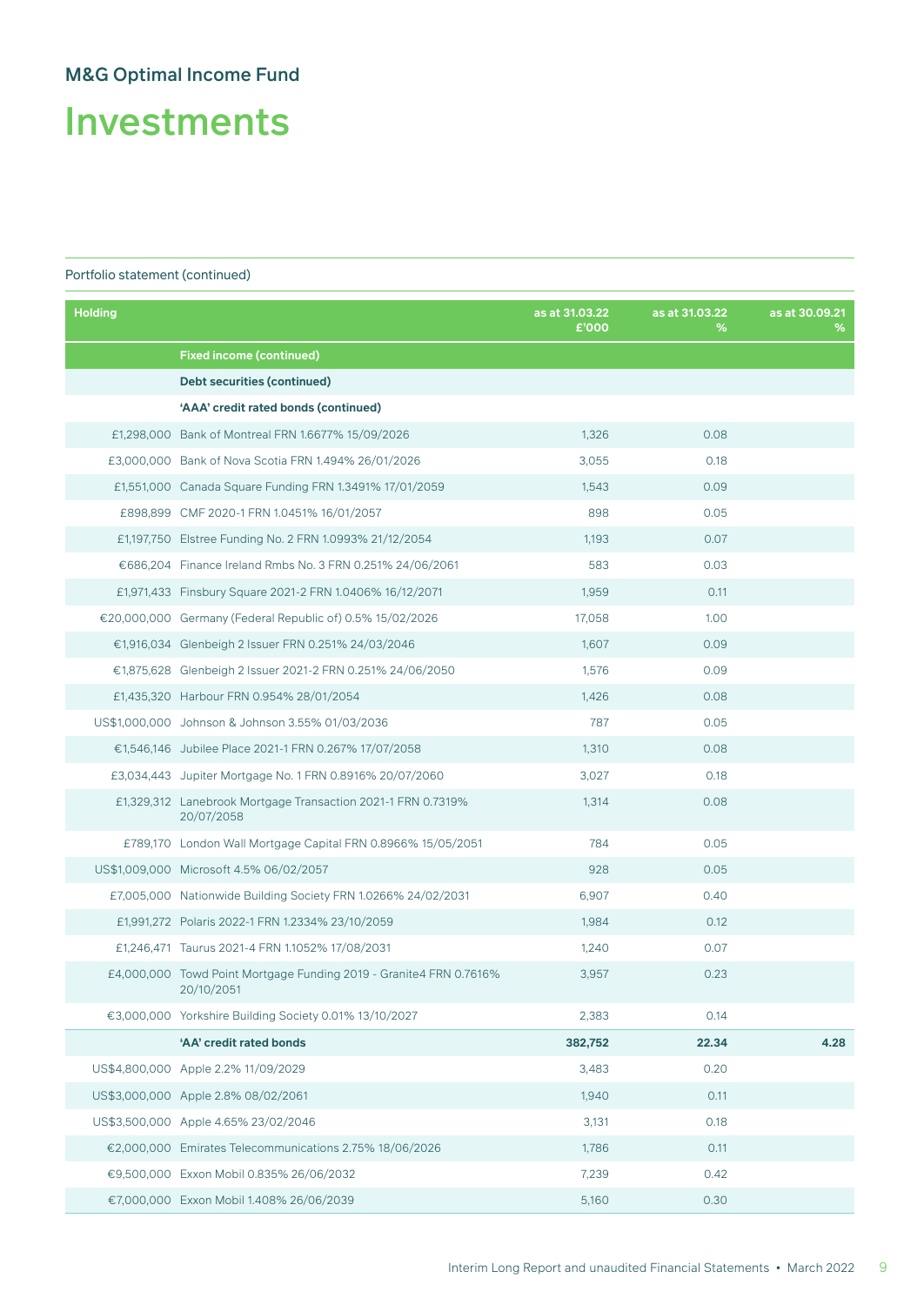Investments

| <b>Holding</b> |                                                                                  | as at 31.03.22<br>£'000 | as at 31.03.22<br>% | as at 30.09.21<br>℅ |
|----------------|----------------------------------------------------------------------------------|-------------------------|---------------------|---------------------|
|                | <b>Fixed income (continued)</b>                                                  |                         |                     |                     |
|                | Debt securities (continued)                                                      |                         |                     |                     |
|                | 'AAA' credit rated bonds (continued)                                             |                         |                     |                     |
|                | £1,298,000 Bank of Montreal FRN 1.6677% 15/09/2026                               | 1,326                   | 0.08                |                     |
|                | £3,000,000 Bank of Nova Scotia FRN 1.494% 26/01/2026                             | 3,055                   | 0.18                |                     |
|                | £1,551,000 Canada Square Funding FRN 1.3491% 17/01/2059                          | 1,543                   | 0.09                |                     |
|                | £898,899 CMF 2020-1 FRN 1.0451% 16/01/2057                                       | 898                     | 0.05                |                     |
|                | £1,197,750 Elstree Funding No. 2 FRN 1.0993% 21/12/2054                          | 1,193                   | 0.07                |                     |
|                | €686,204 Finance Ireland Rmbs No. 3 FRN 0.251% 24/06/2061                        | 583                     | 0.03                |                     |
|                | £1,971,433 Finsbury Square 2021-2 FRN 1.0406% 16/12/2071                         | 1,959                   | 0.11                |                     |
|                | €20,000,000 Germany (Federal Republic of) 0.5% 15/02/2026                        | 17,058                  | 1.00                |                     |
|                | €1,916,034 Glenbeigh 2 Issuer FRN 0.251% 24/03/2046                              | 1,607                   | 0.09                |                     |
|                | €1,875,628 Glenbeigh 2 Issuer 2021-2 FRN 0.251% 24/06/2050                       | 1,576                   | 0.09                |                     |
|                | £1,435,320 Harbour FRN 0.954% 28/01/2054                                         | 1,426                   | 0.08                |                     |
|                | US\$1,000,000 Johnson & Johnson 3.55% 01/03/2036                                 | 787                     | 0.05                |                     |
|                | €1,546,146 Jubilee Place 2021-1 FRN 0.267% 17/07/2058                            | 1,310                   | 0.08                |                     |
|                | £3,034,443 Jupiter Mortgage No. 1 FRN 0.8916% 20/07/2060                         | 3,027                   | 0.18                |                     |
|                | £1,329,312 Lanebrook Mortgage Transaction 2021-1 FRN 0.7319%<br>20/07/2058       | 1,314                   | 0.08                |                     |
|                | £789,170 London Wall Mortgage Capital FRN 0.8966% 15/05/2051                     | 784                     | 0.05                |                     |
|                | US\$1,009,000 Microsoft 4.5% 06/02/2057                                          | 928                     | 0.05                |                     |
|                | £7,005,000 Nationwide Building Society FRN 1.0266% 24/02/2031                    | 6,907                   | 0.40                |                     |
|                | £1,991,272 Polaris 2022-1 FRN 1.2334% 23/10/2059                                 | 1,984                   | 0.12                |                     |
|                | £1,246,471 Taurus 2021-4 FRN 1.1052% 17/08/2031                                  | 1,240                   | 0.07                |                     |
|                | £4,000,000 Towd Point Mortgage Funding 2019 - Granite4 FRN 0.7616%<br>20/10/2051 | 3,957                   | 0.23                |                     |
|                | €3,000,000 Yorkshire Building Society 0.01% 13/10/2027                           | 2,383                   | 0.14                |                     |
|                | 'AA' credit rated bonds                                                          | 382,752                 | 22.34               | 4.28                |
|                | US\$4,800,000 Apple 2.2% 11/09/2029                                              | 3,483                   | 0.20                |                     |
|                | US\$3,000,000 Apple 2.8% 08/02/2061                                              | 1,940                   | 0.11                |                     |
|                | US\$3,500,000 Apple 4.65% 23/02/2046                                             | 3,131                   | 0.18                |                     |
|                | €2,000,000 Emirates Telecommunications 2.75% 18/06/2026                          | 1,786                   | 0.11                |                     |
|                | €9,500,000 Exxon Mobil 0.835% 26/06/2032                                         | 7,239                   | 0.42                |                     |
|                | €7,000,000 Exxon Mobil 1.408% 26/06/2039                                         | 5,160                   | 0.30                |                     |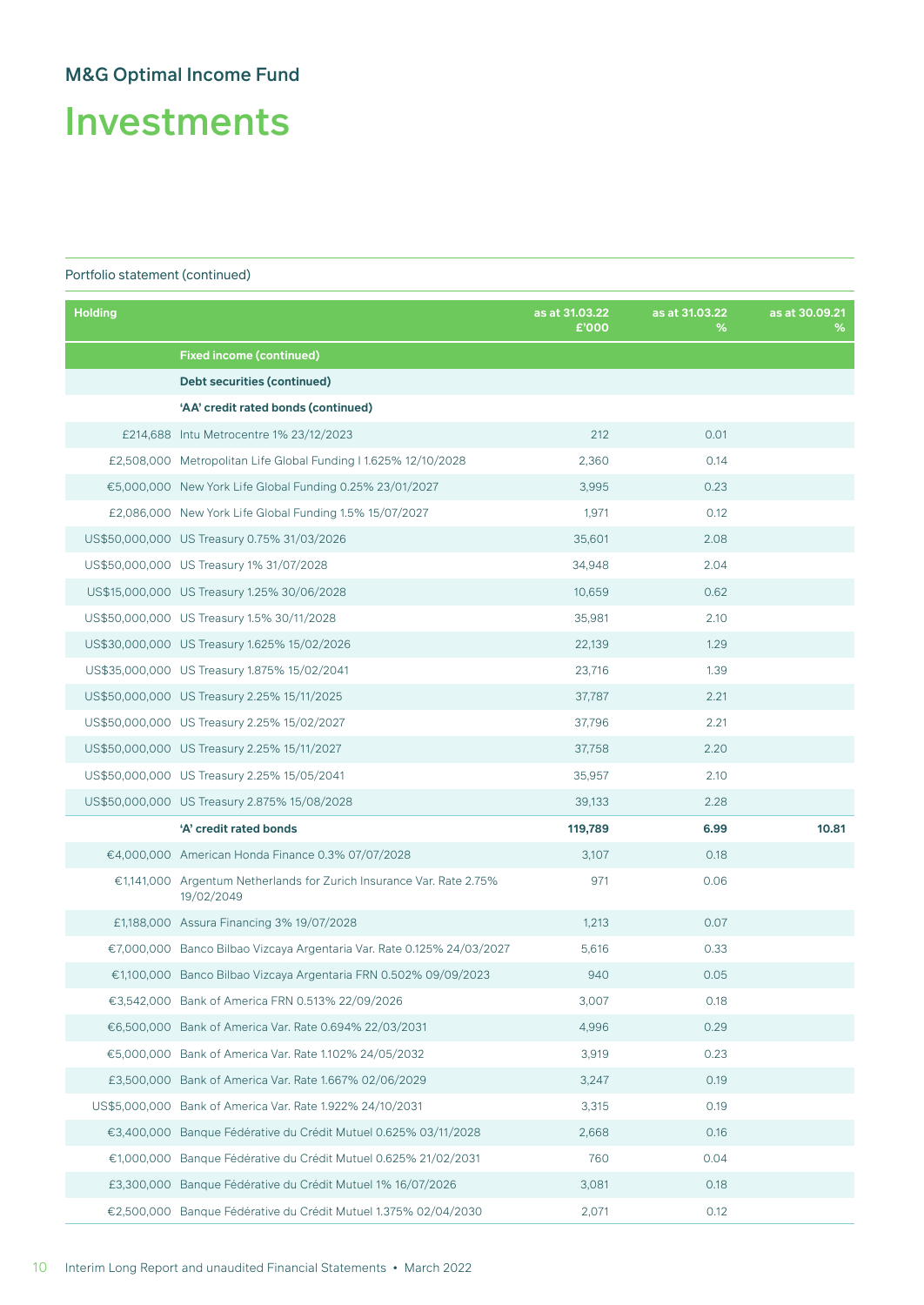Investments

| <b>Holding</b> |                                                                                    | as at 31.03.22<br>£'000 | as at 31.03.22<br>% | as at 30.09.21<br>% |
|----------------|------------------------------------------------------------------------------------|-------------------------|---------------------|---------------------|
|                | <b>Fixed income (continued)</b>                                                    |                         |                     |                     |
|                | Debt securities (continued)                                                        |                         |                     |                     |
|                | 'AA' credit rated bonds (continued)                                                |                         |                     |                     |
|                | £214,688 Intu Metrocentre 1% 23/12/2023                                            | 212                     | 0.01                |                     |
|                | £2,508,000 Metropolitan Life Global Funding 11.625% 12/10/2028                     | 2,360                   | 0.14                |                     |
|                | €5,000,000 New York Life Global Funding 0.25% 23/01/2027                           | 3,995                   | 0.23                |                     |
|                | £2,086,000 New York Life Global Funding 1.5% 15/07/2027                            | 1,971                   | 0.12                |                     |
|                | US\$50,000,000 US Treasury 0.75% 31/03/2026                                        | 35,601                  | 2.08                |                     |
|                | US\$50,000,000 US Treasury 1% 31/07/2028                                           | 34,948                  | 2.04                |                     |
|                | US\$15,000,000 US Treasury 1.25% 30/06/2028                                        | 10,659                  | 0.62                |                     |
|                | US\$50,000,000 US Treasury 1.5% 30/11/2028                                         | 35,981                  | 2.10                |                     |
|                | US\$30,000,000 US Treasury 1.625% 15/02/2026                                       | 22,139                  | 1.29                |                     |
|                | US\$35,000,000 US Treasury 1.875% 15/02/2041                                       | 23,716                  | 1.39                |                     |
|                | US\$50,000,000 US Treasury 2.25% 15/11/2025                                        | 37,787                  | 2.21                |                     |
|                | US\$50,000,000 US Treasury 2.25% 15/02/2027                                        | 37,796                  | 2.21                |                     |
|                | US\$50,000,000 US Treasury 2.25% 15/11/2027                                        | 37,758                  | 2.20                |                     |
|                | US\$50,000,000 US Treasury 2.25% 15/05/2041                                        | 35,957                  | 2.10                |                     |
|                | US\$50,000,000 US Treasury 2.875% 15/08/2028                                       | 39,133                  | 2.28                |                     |
|                | 'A' credit rated bonds                                                             | 119,789                 | 6.99                | 10.81               |
|                | €4,000,000 American Honda Finance 0.3% 07/07/2028                                  | 3,107                   | 0.18                |                     |
|                | €1,141,000 Argentum Netherlands for Zurich Insurance Var. Rate 2.75%<br>19/02/2049 | 971                     | 0.06                |                     |
|                | £1,188,000 Assura Financing 3% 19/07/2028                                          | 1,213                   | 0.07                |                     |
|                | €7,000,000 Banco Bilbao Vizcaya Argentaria Var. Rate 0.125% 24/03/2027             | 5,616                   | 0.33                |                     |
|                | €1,100,000 Banco Bilbao Vizcaya Argentaria FRN 0.502% 09/09/2023                   | 940                     | 0.05                |                     |
|                | €3,542,000 Bank of America FRN 0.513% 22/09/2026                                   | 3,007                   | 0.18                |                     |
|                | €6,500,000 Bank of America Var. Rate 0.694% 22/03/2031                             | 4,996                   | 0.29                |                     |
|                | €5,000,000 Bank of America Var. Rate 1.102% 24/05/2032                             | 3,919                   | 0.23                |                     |
|                | £3,500,000 Bank of America Var. Rate 1.667% 02/06/2029                             | 3,247                   | 0.19                |                     |
|                | US\$5,000,000 Bank of America Var. Rate 1.922% 24/10/2031                          | 3,315                   | 0.19                |                     |
|                | €3,400,000 Banque Fédérative du Crédit Mutuel 0.625% 03/11/2028                    | 2,668                   | 0.16                |                     |
|                | €1,000,000 Banque Fédérative du Crédit Mutuel 0.625% 21/02/2031                    | 760                     | 0.04                |                     |
|                | £3,300,000 Banque Fédérative du Crédit Mutuel 1% 16/07/2026                        | 3,081                   | 0.18                |                     |
|                | €2,500,000 Banque Fédérative du Crédit Mutuel 1.375% 02/04/2030                    | 2,071                   | 0.12                |                     |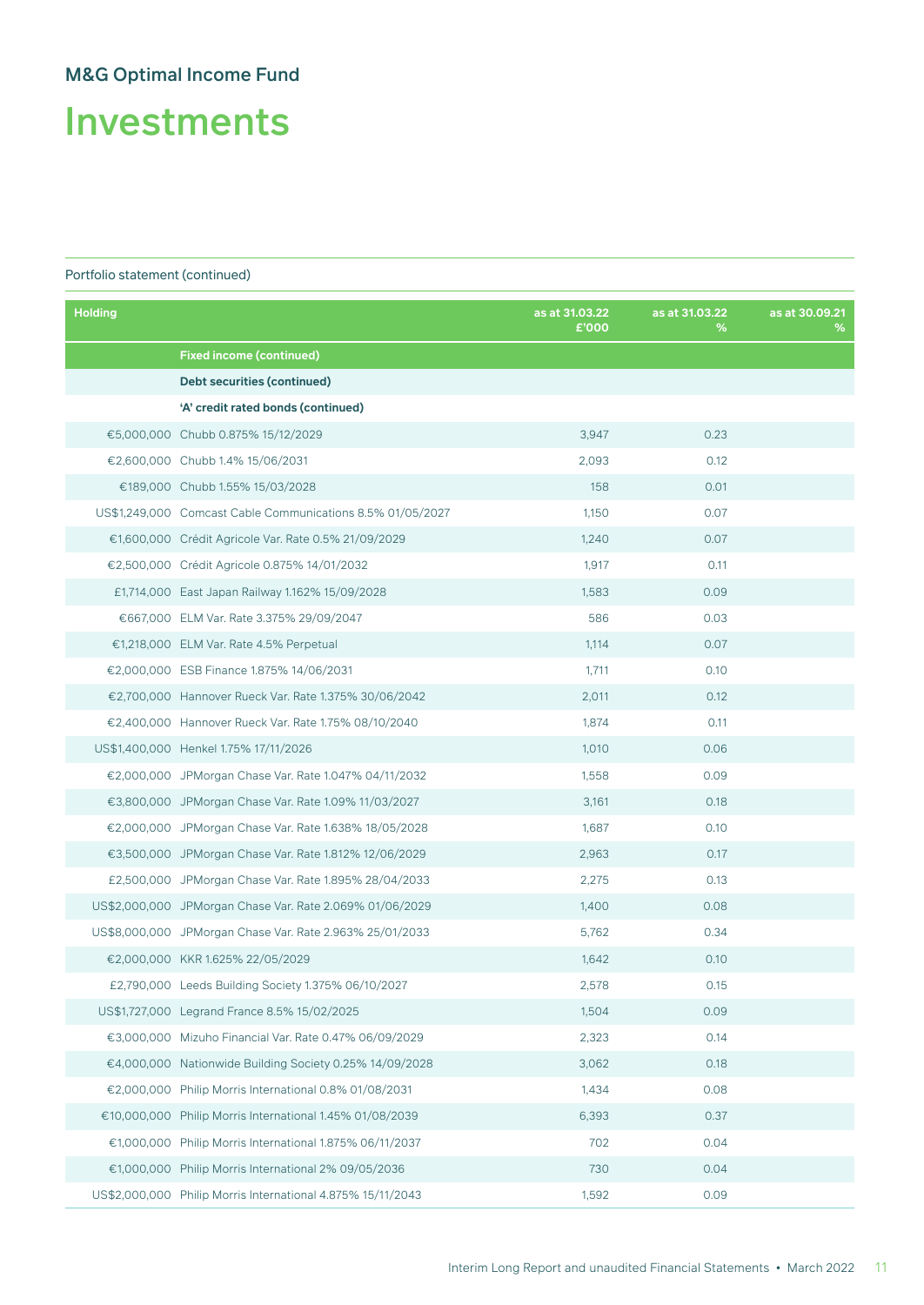Investments

| <b>Holding</b> |                                                             | as at 31.03.22<br>£'000 | as at 31.03.22<br>% | as at 30.09.21<br>% |
|----------------|-------------------------------------------------------------|-------------------------|---------------------|---------------------|
|                | <b>Fixed income (continued)</b>                             |                         |                     |                     |
|                | <b>Debt securities (continued)</b>                          |                         |                     |                     |
|                | 'A' credit rated bonds (continued)                          |                         |                     |                     |
|                | €5,000,000 Chubb 0.875% 15/12/2029                          | 3,947                   | 0.23                |                     |
|                | €2,600,000 Chubb 1.4% 15/06/2031                            | 2,093                   | 0.12                |                     |
|                | €189,000 Chubb 1.55% 15/03/2028                             | 158                     | 0.01                |                     |
|                | US\$1,249,000 Comcast Cable Communications 8.5% 01/05/2027  | 1,150                   | 0.07                |                     |
|                | €1,600,000 Crédit Agricole Var. Rate 0.5% 21/09/2029        | 1,240                   | 0.07                |                     |
|                | €2,500,000 Crédit Agricole 0.875% 14/01/2032                | 1,917                   | 0.11                |                     |
|                | £1,714,000 East Japan Railway 1.162% 15/09/2028             | 1,583                   | 0.09                |                     |
|                | €667,000 ELM Var. Rate 3.375% 29/09/2047                    | 586                     | 0.03                |                     |
|                | €1,218,000 ELM Var. Rate 4.5% Perpetual                     | 1,114                   | 0.07                |                     |
|                | €2,000,000 ESB Finance 1.875% 14/06/2031                    | 1,711                   | 0.10                |                     |
|                | €2,700,000 Hannover Rueck Var. Rate 1.375% 30/06/2042       | 2,011                   | 0.12                |                     |
|                | €2,400,000 Hannover Rueck Var. Rate 1.75% 08/10/2040        | 1,874                   | 0.11                |                     |
|                | US\$1,400,000 Henkel 1.75% 17/11/2026                       | 1,010                   | 0.06                |                     |
|                | €2,000,000 JPMorgan Chase Var. Rate 1.047% 04/11/2032       | 1,558                   | 0.09                |                     |
|                | €3,800,000 JPMorgan Chase Var. Rate 1.09% 11/03/2027        | 3,161                   | 0.18                |                     |
|                | €2,000,000 JPMorgan Chase Var. Rate 1.638% 18/05/2028       | 1,687                   | 0.10                |                     |
|                | €3,500,000 JPMorgan Chase Var. Rate 1.812% 12/06/2029       | 2,963                   | 0.17                |                     |
|                | £2,500,000 JPMorgan Chase Var. Rate 1.895% 28/04/2033       | 2,275                   | 0.13                |                     |
|                | US\$2,000,000 JPMorgan Chase Var. Rate 2.069% 01/06/2029    | 1,400                   | 0.08                |                     |
|                | US\$8,000,000 JPMorgan Chase Var. Rate 2.963% 25/01/2033    | 5,762                   | 0.34                |                     |
|                | €2,000,000 KKR 1.625% 22/05/2029                            | 1,642                   | 0.10                |                     |
|                | £2,790,000 Leeds Building Society 1.375% 06/10/2027         | 2,578                   | 0.15                |                     |
|                | US\$1,727,000 Legrand France 8.5% 15/02/2025                | 1,504                   | 0.09                |                     |
|                | €3,000,000 Mizuho Financial Var. Rate 0.47% 06/09/2029      | 2,323                   | 0.14                |                     |
|                | €4,000,000 Nationwide Building Society 0.25% 14/09/2028     | 3,062                   | 0.18                |                     |
|                | €2.000.000 Philip Morris International 0.8% 01/08/2031      | 1,434                   | 0.08                |                     |
|                | €10,000,000 Philip Morris International 1.45% 01/08/2039    | 6,393                   | 0.37                |                     |
|                | €1,000,000 Philip Morris International 1.875% 06/11/2037    | 702                     | 0.04                |                     |
|                | €1,000,000 Philip Morris International 2% 09/05/2036        | 730                     | 0.04                |                     |
|                | US\$2,000,000 Philip Morris International 4.875% 15/11/2043 | 1,592                   | 0.09                |                     |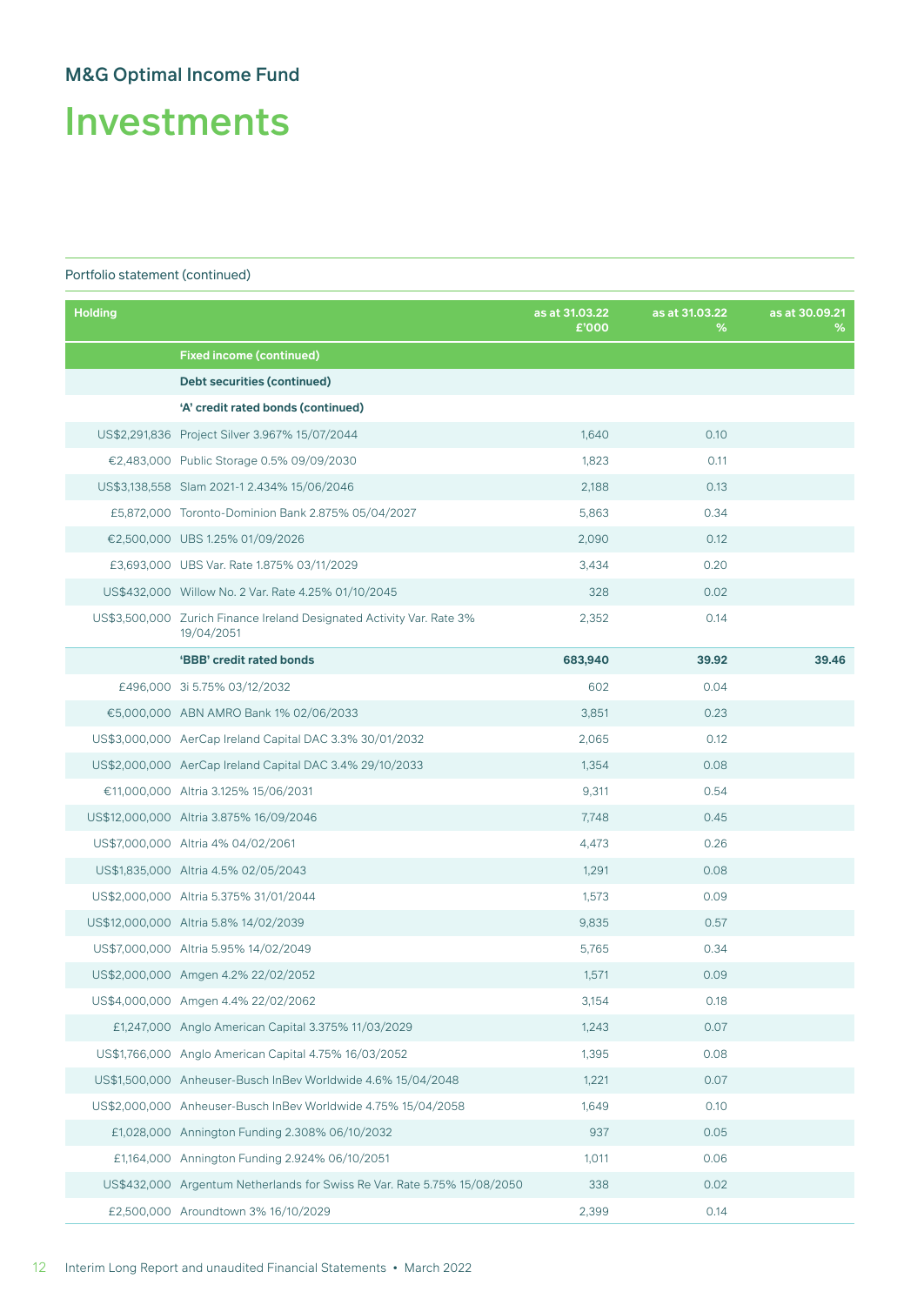Investments

| <b>Holding</b> |                                                                                     | as at 31.03.22<br>£'000 | as at 31.03.22<br>% | as at 30.09.21<br>% |
|----------------|-------------------------------------------------------------------------------------|-------------------------|---------------------|---------------------|
|                | <b>Fixed income (continued)</b>                                                     |                         |                     |                     |
|                | <b>Debt securities (continued)</b>                                                  |                         |                     |                     |
|                | 'A' credit rated bonds (continued)                                                  |                         |                     |                     |
|                | US\$2,291,836 Project Silver 3.967% 15/07/2044                                      | 1,640                   | 0.10                |                     |
|                | €2,483,000 Public Storage 0.5% 09/09/2030                                           | 1,823                   | 0.11                |                     |
|                | US\$3,138,558 Slam 2021-1 2.434% 15/06/2046                                         | 2,188                   | 0.13                |                     |
|                | £5,872,000 Toronto-Dominion Bank 2.875% 05/04/2027                                  | 5,863                   | 0.34                |                     |
|                | €2,500,000 UBS 1.25% 01/09/2026                                                     | 2,090                   | 0.12                |                     |
|                | £3,693,000 UBS Var. Rate 1.875% 03/11/2029                                          | 3,434                   | 0.20                |                     |
|                | US\$432,000 Willow No. 2 Var. Rate 4.25% 01/10/2045                                 | 328                     | 0.02                |                     |
|                | US\$3,500,000 Zurich Finance Ireland Designated Activity Var. Rate 3%<br>19/04/2051 | 2,352                   | 0.14                |                     |
|                | 'BBB' credit rated bonds                                                            | 683,940                 | 39.92               | 39.46               |
|                | £496,000 3i 5.75% 03/12/2032                                                        | 602                     | 0.04                |                     |
|                | €5,000,000 ABN AMRO Bank 1% 02/06/2033                                              | 3,851                   | 0.23                |                     |
|                | US\$3,000,000 AerCap Ireland Capital DAC 3.3% 30/01/2032                            | 2,065                   | 0.12                |                     |
|                | US\$2,000,000 AerCap Ireland Capital DAC 3.4% 29/10/2033                            | 1,354                   | 0.08                |                     |
|                | €11,000,000 Altria 3.125% 15/06/2031                                                | 9,311                   | 0.54                |                     |
|                | US\$12,000,000 Altria 3.875% 16/09/2046                                             | 7,748                   | 0.45                |                     |
|                | US\$7,000,000 Altria 4% 04/02/2061                                                  | 4,473                   | 0.26                |                     |
|                | US\$1,835,000 Altria 4.5% 02/05/2043                                                | 1,291                   | 0.08                |                     |
|                | US\$2,000,000 Altria 5.375% 31/01/2044                                              | 1,573                   | 0.09                |                     |
|                | US\$12,000,000 Altria 5.8% 14/02/2039                                               | 9.835                   | 0.57                |                     |
|                | US\$7,000,000 Altria 5.95% 14/02/2049                                               | 5,765                   | 0.34                |                     |
|                | US\$2,000,000 Amgen 4.2% 22/02/2052                                                 | 1,571                   | 0.09                |                     |
|                | US\$4,000,000 Amgen 4.4% 22/02/2062                                                 | 3,154                   | 0.18                |                     |
|                | £1,247,000 Anglo American Capital 3.375% 11/03/2029                                 | 1,243                   | 0.07                |                     |
|                | US\$1,766,000 Anglo American Capital 4.75% 16/03/2052                               | 1,395                   | 0.08                |                     |
|                | US\$1,500,000 Anheuser-Busch InBev Worldwide 4.6% 15/04/2048                        | 1,221                   | 0.07                |                     |
|                | US\$2,000,000 Anheuser-Busch InBev Worldwide 4.75% 15/04/2058                       | 1,649                   | 0.10                |                     |
|                | £1,028,000 Annington Funding 2.308% 06/10/2032                                      | 937                     | 0.05                |                     |
|                | £1,164,000 Annington Funding 2.924% 06/10/2051                                      | 1,011                   | 0.06                |                     |
|                | US\$432,000 Argentum Netherlands for Swiss Re Var. Rate 5.75% 15/08/2050            | 338                     | 0.02                |                     |
|                | £2,500,000 Aroundtown 3% 16/10/2029                                                 | 2,399                   | 0.14                |                     |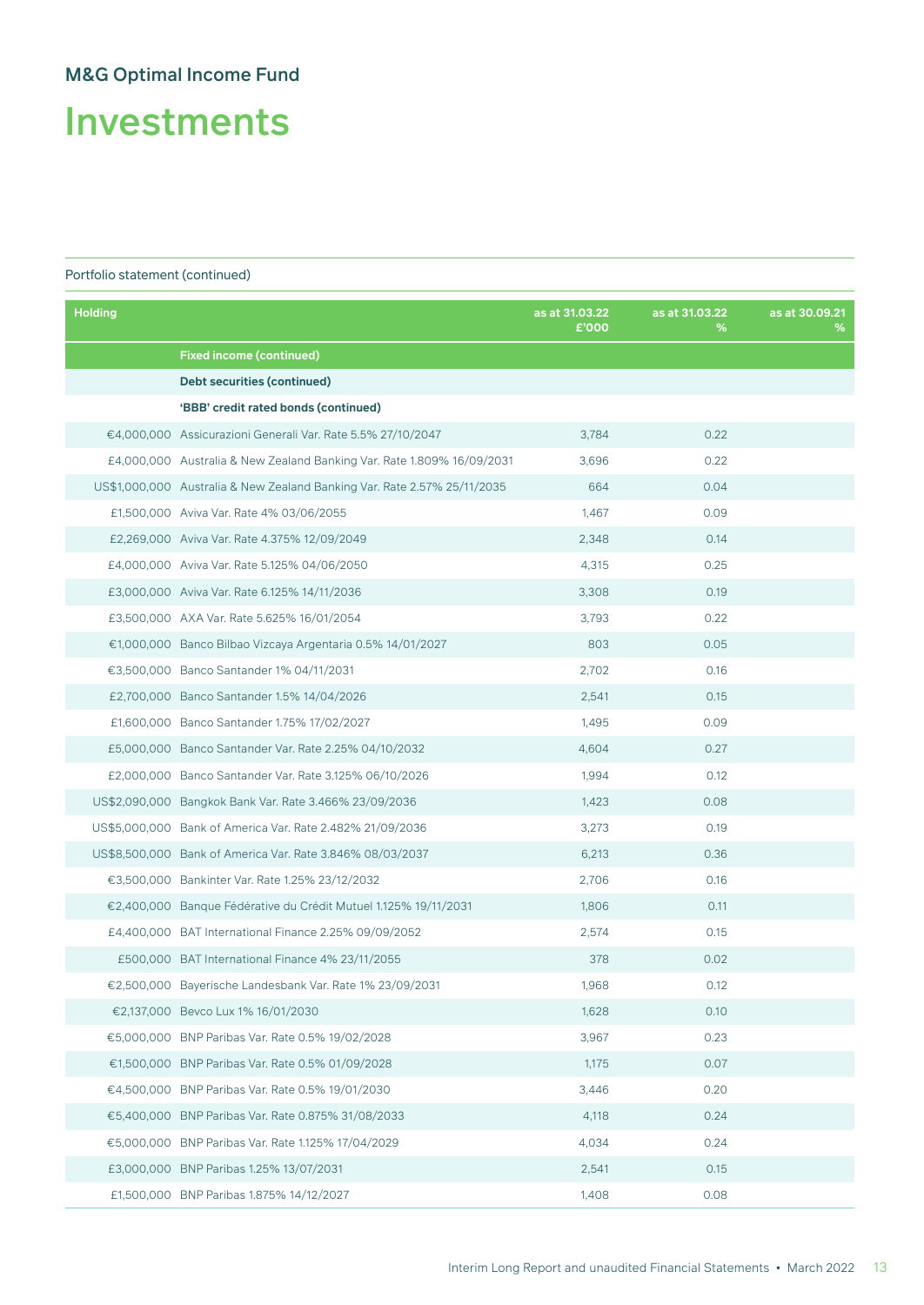Investments

| <b>Holding</b> |                                                                          | as at 31.03.22<br>£'000 | as at 31.03.22<br>℅ | as at 30.09.21<br>% |
|----------------|--------------------------------------------------------------------------|-------------------------|---------------------|---------------------|
|                | <b>Fixed income (continued)</b>                                          |                         |                     |                     |
|                | Debt securities (continued)                                              |                         |                     |                     |
|                | 'BBB' credit rated bonds (continued)                                     |                         |                     |                     |
|                | €4,000,000 Assicurazioni Generali Var. Rate 5.5% 27/10/2047              | 3,784                   | 0.22                |                     |
|                | £4,000,000 Australia & New Zealand Banking Var. Rate 1.809% 16/09/2031   | 3,696                   | 0.22                |                     |
|                | US\$1,000,000 Australia & New Zealand Banking Var. Rate 2.57% 25/11/2035 | 664                     | 0.04                |                     |
|                | £1,500,000 Aviva Var. Rate 4% 03/06/2055                                 | 1,467                   | 0.09                |                     |
|                | £2,269,000 Aviva Var. Rate 4.375% 12/09/2049                             | 2,348                   | 0.14                |                     |
|                | £4,000,000 Aviva Var. Rate 5.125% 04/06/2050                             | 4,315                   | 0.25                |                     |
|                | £3,000,000 Aviva Var. Rate 6.125% 14/11/2036                             | 3,308                   | 0.19                |                     |
|                | £3,500,000 AXA Var. Rate 5.625% 16/01/2054                               | 3,793                   | 0.22                |                     |
|                | €1,000,000 Banco Bilbao Vizcaya Argentaria 0.5% 14/01/2027               | 803                     | 0.05                |                     |
|                | €3,500,000 Banco Santander 1% 04/11/2031                                 | 2,702                   | 0.16                |                     |
|                | £2,700,000 Banco Santander 1.5% 14/04/2026                               | 2,541                   | 0.15                |                     |
|                | £1,600,000 Banco Santander 1.75% 17/02/2027                              | 1,495                   | 0.09                |                     |
|                | £5,000,000 Banco Santander Var. Rate 2.25% 04/10/2032                    | 4,604                   | 0.27                |                     |
|                | £2,000,000 Banco Santander Var. Rate 3.125% 06/10/2026                   | 1,994                   | 0.12                |                     |
|                | US\$2,090,000 Bangkok Bank Var. Rate 3.466% 23/09/2036                   | 1,423                   | 0.08                |                     |
|                | US\$5,000,000 Bank of America Var. Rate 2.482% 21/09/2036                | 3,273                   | 0.19                |                     |
|                | US\$8,500,000 Bank of America Var. Rate 3.846% 08/03/2037                | 6,213                   | 0.36                |                     |
|                | €3,500,000 Bankinter Var. Rate 1.25% 23/12/2032                          | 2,706                   | 0.16                |                     |
|                | €2,400,000 Banque Fédérative du Crédit Mutuel 1.125% 19/11/2031          | 1,806                   | 0.11                |                     |
|                | £4,400,000 BAT International Finance 2.25% 09/09/2052                    | 2,574                   | 0.15                |                     |
|                | £500,000 BAT International Finance 4% 23/11/2055                         | 378                     | 0.02                |                     |
|                | €2,500,000 Bayerische Landesbank Var. Rate 1% 23/09/2031                 | 1,968                   | 0.12                |                     |
|                | €2,137,000 Bevco Lux 1% 16/01/2030                                       | 1,628                   | 0.10                |                     |
|                | €5,000,000 BNP Paribas Var. Rate 0.5% 19/02/2028                         | 3,967                   | 0.23                |                     |
|                | €1,500,000 BNP Paribas Var. Rate 0.5% 01/09/2028                         | 1,175                   | 0.07                |                     |
|                | €4,500,000 BNP Paribas Var. Rate 0.5% 19/01/2030                         | 3,446                   | 0.20                |                     |
|                | €5.400.000 BNP Paribas Var. Rate 0.875% 31/08/2033                       | 4,118                   | 0.24                |                     |
|                | €5,000,000 BNP Paribas Var. Rate 1.125% 17/04/2029                       | 4,034                   | 0.24                |                     |
|                | £3,000,000 BNP Paribas 1.25% 13/07/2031                                  | 2,541                   | 0.15                |                     |
|                | £1,500,000 BNP Paribas 1.875% 14/12/2027                                 | 1,408                   | 0.08                |                     |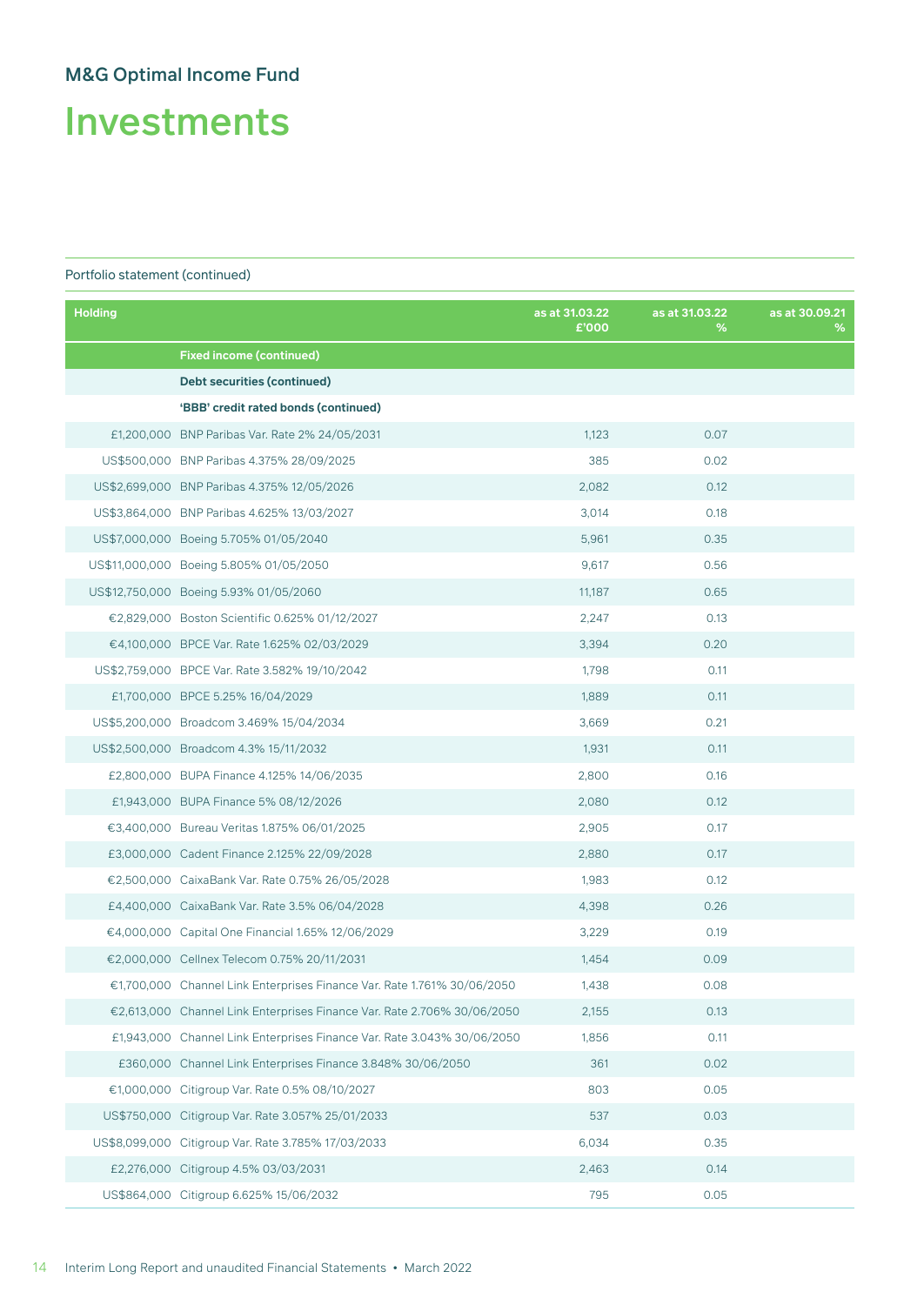Investments

| <b>Holding</b> |                                                                         | as at 31.03.22<br>£'000 | as at 31.03.22<br>% | as at 30.09.21<br>% |
|----------------|-------------------------------------------------------------------------|-------------------------|---------------------|---------------------|
|                | <b>Fixed income (continued)</b>                                         |                         |                     |                     |
|                | Debt securities (continued)                                             |                         |                     |                     |
|                | 'BBB' credit rated bonds (continued)                                    |                         |                     |                     |
|                | £1,200,000 BNP Paribas Var. Rate 2% 24/05/2031                          | 1,123                   | 0.07                |                     |
|                | US\$500,000 BNP Paribas 4.375% 28/09/2025                               | 385                     | 0.02                |                     |
|                | US\$2,699,000 BNP Paribas 4.375% 12/05/2026                             | 2,082                   | 0.12                |                     |
|                | US\$3,864,000 BNP Paribas 4.625% 13/03/2027                             | 3,014                   | 0.18                |                     |
|                | US\$7,000,000 Boeing 5.705% 01/05/2040                                  | 5,961                   | 0.35                |                     |
|                | US\$11,000,000 Boeing 5.805% 01/05/2050                                 | 9,617                   | 0.56                |                     |
|                | US\$12,750,000 Boeing 5.93% 01/05/2060                                  | 11,187                  | 0.65                |                     |
|                | €2,829,000 Boston Scientific 0.625% 01/12/2027                          | 2,247                   | 0.13                |                     |
|                | €4,100,000 BPCE Var. Rate 1.625% 02/03/2029                             | 3,394                   | 0.20                |                     |
|                | US\$2,759,000 BPCE Var. Rate 3.582% 19/10/2042                          | 1,798                   | 0.11                |                     |
|                | £1,700,000 BPCE 5.25% 16/04/2029                                        | 1,889                   | 0.11                |                     |
|                | US\$5,200,000 Broadcom 3.469% 15/04/2034                                | 3,669                   | 0.21                |                     |
|                | US\$2,500,000 Broadcom 4.3% 15/11/2032                                  | 1,931                   | 0.11                |                     |
|                | £2,800,000 BUPA Finance 4.125% 14/06/2035                               | 2,800                   | 0.16                |                     |
|                | £1,943,000 BUPA Finance 5% 08/12/2026                                   | 2,080                   | 0.12                |                     |
|                | €3,400,000 Bureau Veritas 1.875% 06/01/2025                             | 2,905                   | 0.17                |                     |
|                | £3,000,000 Cadent Finance 2.125% 22/09/2028                             | 2,880                   | 0.17                |                     |
|                | €2,500,000 CaixaBank Var. Rate 0.75% 26/05/2028                         | 1,983                   | 0.12                |                     |
|                | £4,400,000 CaixaBank Var. Rate 3.5% 06/04/2028                          | 4,398                   | 0.26                |                     |
|                | €4,000,000 Capital One Financial 1.65% 12/06/2029                       | 3,229                   | 0.19                |                     |
|                | €2,000,000 Cellnex Telecom 0.75% 20/11/2031                             | 1,454                   | 0.09                |                     |
|                | €1,700,000 Channel Link Enterprises Finance Var. Rate 1.761% 30/06/2050 | 1,438                   | 0.08                |                     |
|                | €2,613,000 Channel Link Enterprises Finance Var. Rate 2.706% 30/06/2050 | 2,155                   | 0.13                |                     |
|                | £1,943,000 Channel Link Enterprises Finance Var. Rate 3.043% 30/06/2050 | 1,856                   | 0.11                |                     |
|                | £360,000 Channel Link Enterprises Finance 3.848% 30/06/2050             | 361                     | 0.02                |                     |
|                | €1,000,000 Citigroup Var. Rate 0.5% 08/10/2027                          | 803                     | 0.05                |                     |
|                | US\$750,000 Citigroup Var. Rate 3.057% 25/01/2033                       | 537                     | 0.03                |                     |
|                | US\$8,099,000 Citigroup Var. Rate 3.785% 17/03/2033                     | 6,034                   | 0.35                |                     |
|                | £2,276,000 Citigroup 4.5% 03/03/2031                                    | 2,463                   | 0.14                |                     |
|                | US\$864,000 Citigroup 6.625% 15/06/2032                                 | 795                     | 0.05                |                     |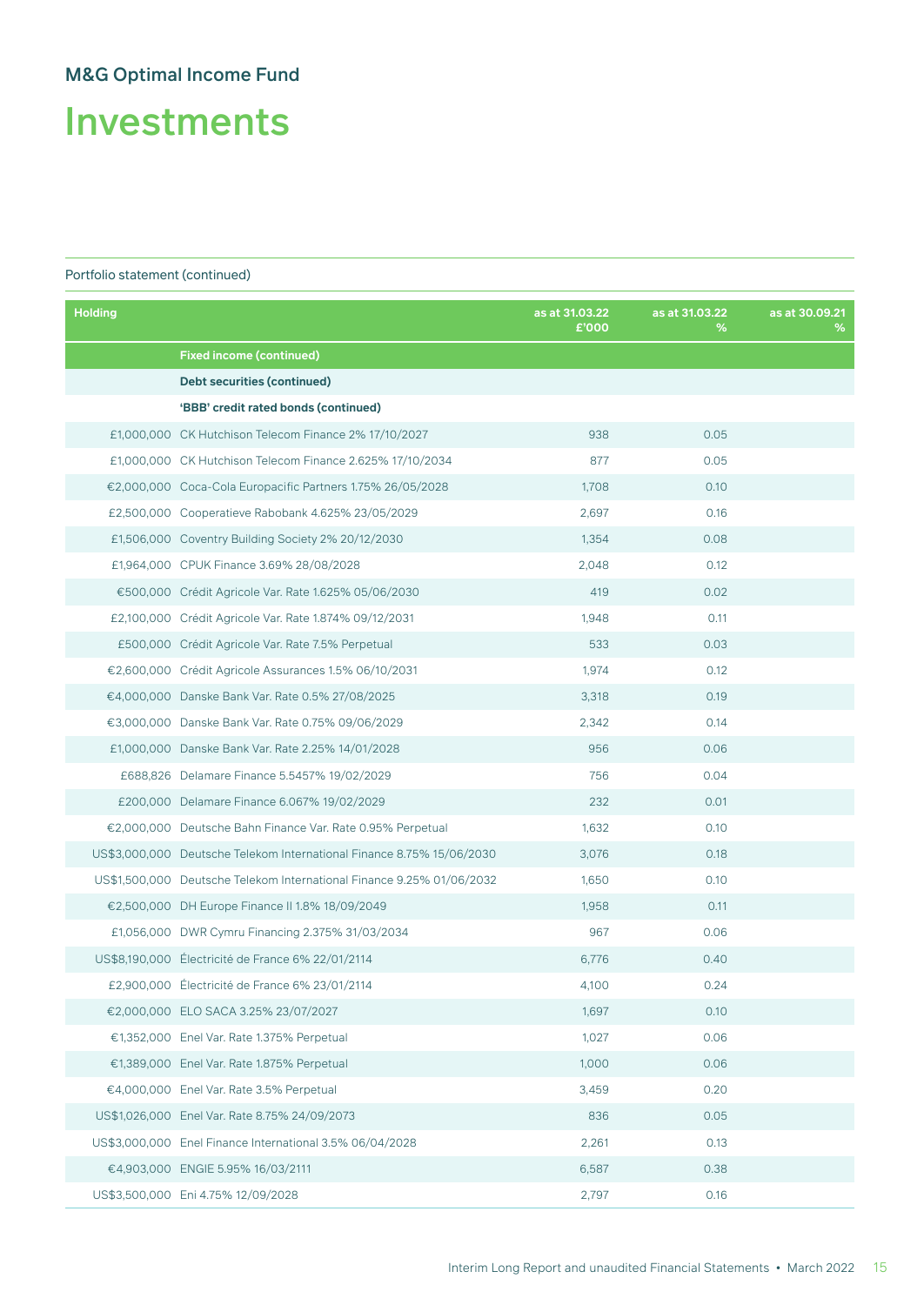Investments

| <b>Holding</b> |                                                                       | as at 31.03.22<br>£'000 | as at 31.03.22<br>% | as at 30.09.21<br>% |
|----------------|-----------------------------------------------------------------------|-------------------------|---------------------|---------------------|
|                | <b>Fixed income (continued)</b>                                       |                         |                     |                     |
|                | Debt securities (continued)                                           |                         |                     |                     |
|                | 'BBB' credit rated bonds (continued)                                  |                         |                     |                     |
|                | £1,000,000 CK Hutchison Telecom Finance 2% 17/10/2027                 | 938                     | 0.05                |                     |
|                | £1,000,000 CK Hutchison Telecom Finance 2.625% 17/10/2034             | 877                     | 0.05                |                     |
|                | €2,000,000 Coca-Cola Europacific Partners 1.75% 26/05/2028            | 1,708                   | 0.10                |                     |
|                | £2,500,000 Cooperatieve Rabobank 4.625% 23/05/2029                    | 2,697                   | 0.16                |                     |
|                | £1,506,000 Coventry Building Society 2% 20/12/2030                    | 1,354                   | 0.08                |                     |
|                | £1,964,000 CPUK Finance 3.69% 28/08/2028                              | 2,048                   | 0.12                |                     |
|                | €500,000 Crédit Agricole Var. Rate 1.625% 05/06/2030                  | 419                     | 0.02                |                     |
|                | £2,100,000 Crédit Agricole Var. Rate 1.874% 09/12/2031                | 1,948                   | 0.11                |                     |
|                | £500,000 Crédit Agricole Var. Rate 7.5% Perpetual                     | 533                     | 0.03                |                     |
|                | €2,600,000 Crédit Agricole Assurances 1.5% 06/10/2031                 | 1,974                   | 0.12                |                     |
|                | €4,000,000 Danske Bank Var. Rate 0.5% 27/08/2025                      | 3,318                   | 0.19                |                     |
|                | €3,000,000 Danske Bank Var. Rate 0.75% 09/06/2029                     | 2,342                   | 0.14                |                     |
|                | £1,000,000 Danske Bank Var. Rate 2.25% 14/01/2028                     | 956                     | 0.06                |                     |
|                | £688,826 Delamare Finance 5.5457% 19/02/2029                          | 756                     | 0.04                |                     |
|                | £200,000 Delamare Finance 6.067% 19/02/2029                           | 232                     | 0.01                |                     |
|                | €2,000,000 Deutsche Bahn Finance Var. Rate 0.95% Perpetual            | 1,632                   | 0.10                |                     |
|                | US\$3,000,000 Deutsche Telekom International Finance 8.75% 15/06/2030 | 3,076                   | 0.18                |                     |
|                | US\$1,500,000 Deutsche Telekom International Finance 9.25% 01/06/2032 | 1,650                   | 0.10                |                     |
|                | €2,500,000 DH Europe Finance II 1.8% 18/09/2049                       | 1,958                   | 0.11                |                     |
|                | £1,056,000 DWR Cymru Financing 2.375% 31/03/2034                      | 967                     | 0.06                |                     |
|                | US\$8,190,000 Electricité de France 6% 22/01/2114                     | 6,776                   | 0.40                |                     |
|                | £2,900,000 Électricité de France 6% 23/01/2114                        | 4,100                   | 0.24                |                     |
|                | €2,000,000 ELO SACA 3.25% 23/07/2027                                  | 1,697                   | 0.10                |                     |
|                | €1,352,000 Enel Var. Rate 1.375% Perpetual                            | 1,027                   | 0.06                |                     |
|                | €1,389,000 Enel Var. Rate 1.875% Perpetual                            | 1,000                   | 0.06                |                     |
|                | €4,000,000 Enel Var. Rate 3.5% Perpetual                              | 3,459                   | 0.20                |                     |
|                | US\$1,026,000 Enel Var. Rate 8.75% 24/09/2073                         | 836                     | 0.05                |                     |
|                | US\$3,000,000 Enel Finance International 3.5% 06/04/2028              | 2,261                   | 0.13                |                     |
|                | €4,903,000 ENGIE 5.95% 16/03/2111                                     | 6,587                   | 0.38                |                     |
|                | US\$3,500,000 Eni 4.75% 12/09/2028                                    | 2,797                   | 0.16                |                     |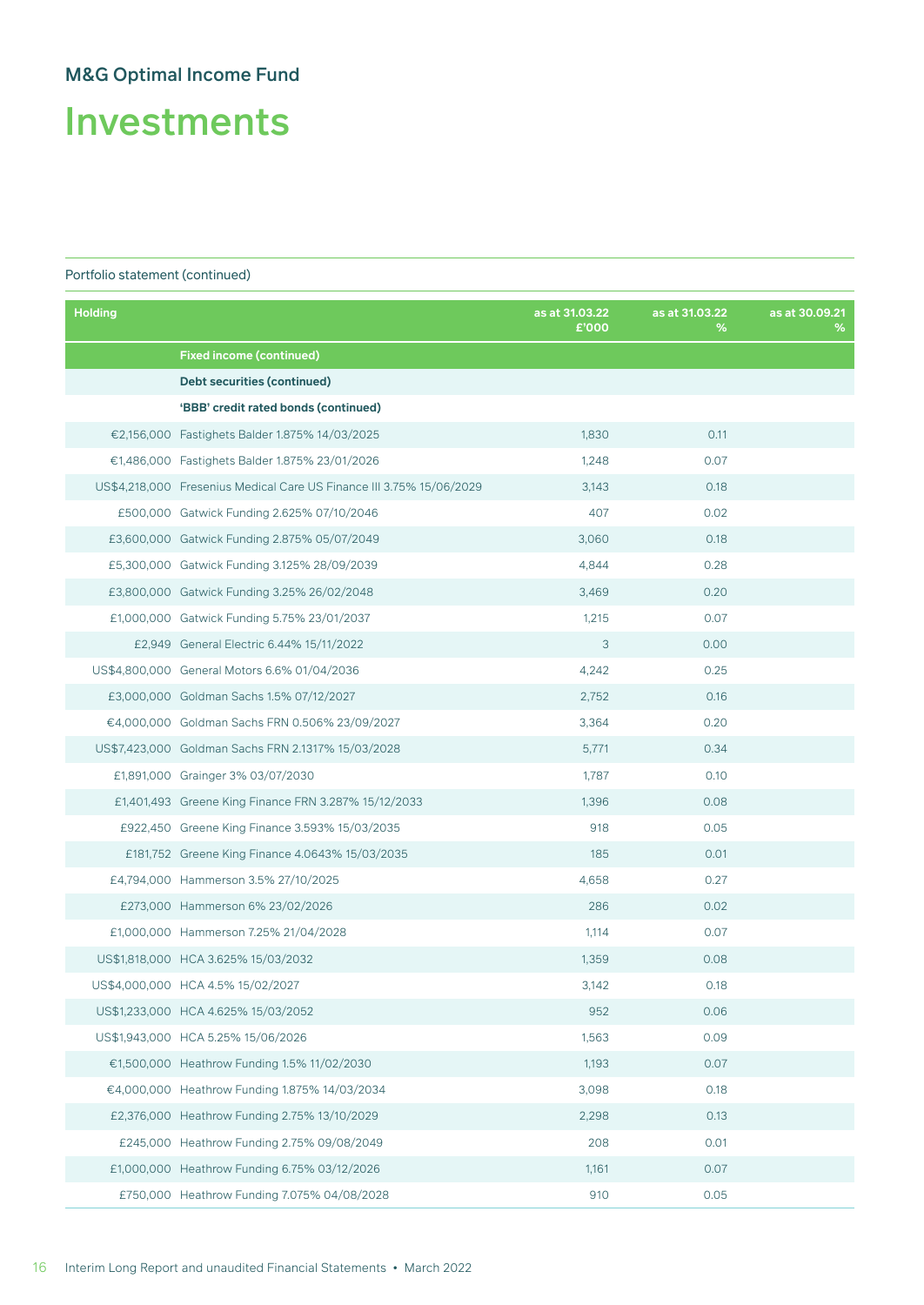Investments

| <b>Holding</b> |                                                                      | as at 31.03.22<br>£'000 | as at 31.03.22<br>% | as at 30.09.21<br>% |
|----------------|----------------------------------------------------------------------|-------------------------|---------------------|---------------------|
|                | <b>Fixed income (continued)</b>                                      |                         |                     |                     |
|                | <b>Debt securities (continued)</b>                                   |                         |                     |                     |
|                | 'BBB' credit rated bonds (continued)                                 |                         |                     |                     |
|                | €2,156,000 Fastighets Balder 1.875% 14/03/2025                       | 1,830                   | 0.11                |                     |
|                | €1,486,000 Fastighets Balder 1.875% 23/01/2026                       | 1,248                   | 0.07                |                     |
|                | US\$4,218,000 Fresenius Medical Care US Finance III 3.75% 15/06/2029 | 3,143                   | 0.18                |                     |
|                | £500,000 Gatwick Funding 2.625% 07/10/2046                           | 407                     | 0.02                |                     |
|                | £3,600,000 Gatwick Funding 2.875% 05/07/2049                         | 3,060                   | 0.18                |                     |
|                | £5,300,000 Gatwick Funding 3.125% 28/09/2039                         | 4,844                   | 0.28                |                     |
|                | £3,800,000 Gatwick Funding 3.25% 26/02/2048                          | 3,469                   | 0.20                |                     |
|                | £1,000,000 Gatwick Funding 5.75% 23/01/2037                          | 1,215                   | 0.07                |                     |
|                | £2,949 General Electric 6.44% 15/11/2022                             | 3                       | 0.00                |                     |
|                | US\$4,800,000 General Motors 6.6% 01/04/2036                         | 4,242                   | 0.25                |                     |
|                | £3,000,000 Goldman Sachs 1.5% 07/12/2027                             | 2,752                   | 0.16                |                     |
|                | €4,000,000 Goldman Sachs FRN 0.506% 23/09/2027                       | 3,364                   | 0.20                |                     |
|                | US\$7,423,000 Goldman Sachs FRN 2.1317% 15/03/2028                   | 5,771                   | 0.34                |                     |
|                | £1,891,000 Grainger 3% 03/07/2030                                    | 1,787                   | 0.10                |                     |
|                | £1,401,493 Greene King Finance FRN 3.287% 15/12/2033                 | 1,396                   | 0.08                |                     |
|                | £922,450 Greene King Finance 3.593% 15/03/2035                       | 918                     | 0.05                |                     |
|                | £181,752 Greene King Finance 4.0643% 15/03/2035                      | 185                     | 0.01                |                     |
|                | £4,794,000 Hammerson 3.5% 27/10/2025                                 | 4,658                   | 0.27                |                     |
|                | £273,000 Hammerson 6% 23/02/2026                                     | 286                     | 0.02                |                     |
|                | £1,000,000 Hammerson 7.25% 21/04/2028                                | 1,114                   | 0.07                |                     |
|                | US\$1,818,000 HCA 3.625% 15/03/2032                                  | 1,359                   | 0.08                |                     |
|                | US\$4,000,000 HCA 4.5% 15/02/2027                                    | 3,142                   | 0.18                |                     |
|                | US\$1,233,000 HCA 4.625% 15/03/2052                                  | 952                     | 0.06                |                     |
|                | US\$1,943,000 HCA 5.25% 15/06/2026                                   | 1,563                   | 0.09                |                     |
|                | €1,500,000 Heathrow Funding 1.5% 11/02/2030                          | 1,193                   | 0.07                |                     |
|                | €4,000,000 Heathrow Funding 1.875% 14/03/2034                        | 3,098                   | 0.18                |                     |
|                | £2,376,000 Heathrow Funding 2.75% 13/10/2029                         | 2,298                   | 0.13                |                     |
|                | £245,000 Heathrow Funding 2.75% 09/08/2049                           | 208                     | 0.01                |                     |
|                | £1,000,000 Heathrow Funding 6.75% 03/12/2026                         | 1,161                   | 0.07                |                     |
|                | £750,000 Heathrow Funding 7.075% 04/08/2028                          | 910                     | 0.05                |                     |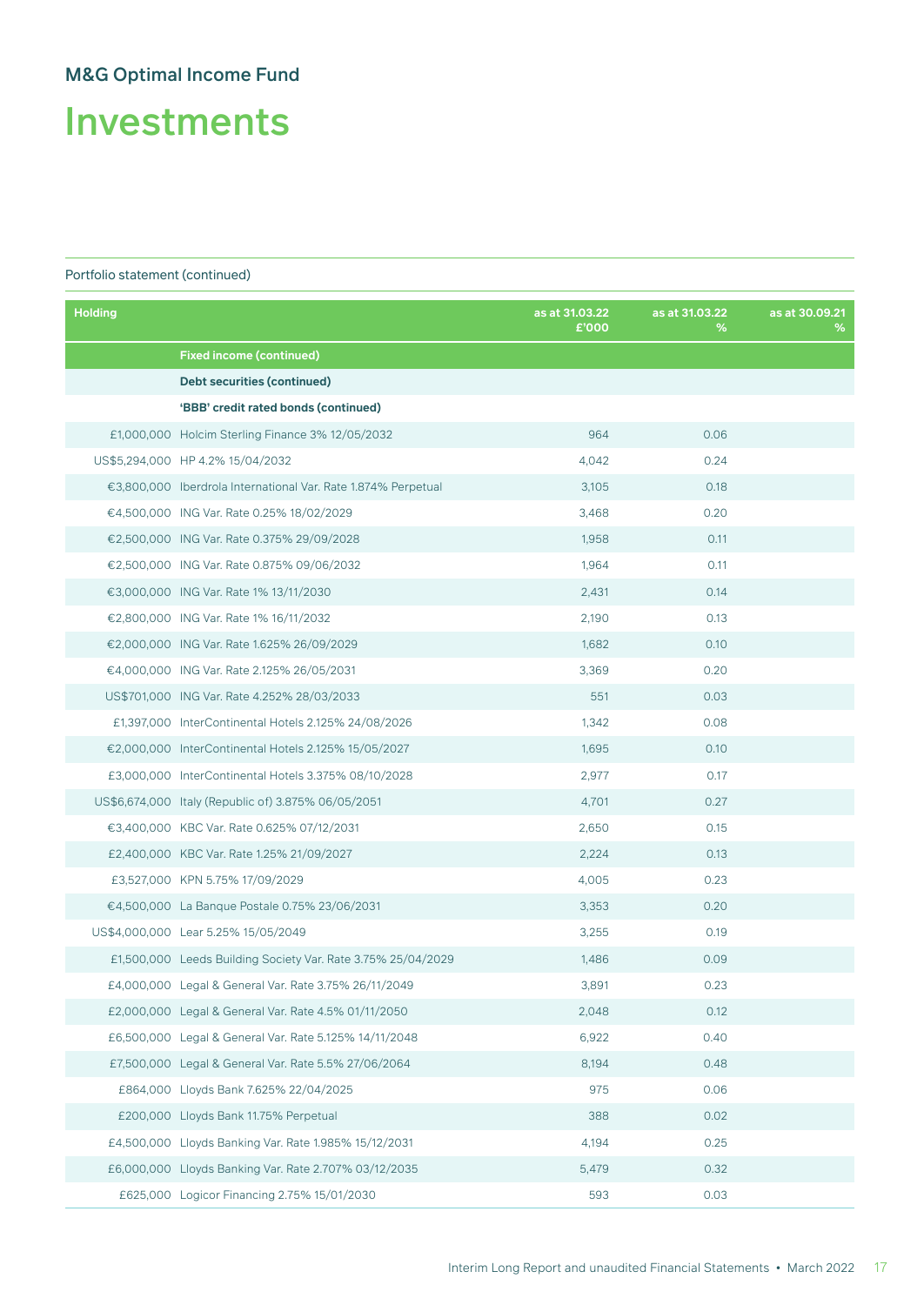Investments

| <b>Holding</b> |                                                               | as at 31.03.22<br>£'000 | as at 31.03.22<br>% | as at 30,09.21<br>% |
|----------------|---------------------------------------------------------------|-------------------------|---------------------|---------------------|
|                | <b>Fixed income (continued)</b>                               |                         |                     |                     |
|                | Debt securities (continued)                                   |                         |                     |                     |
|                | 'BBB' credit rated bonds (continued)                          |                         |                     |                     |
|                | £1,000,000 Holcim Sterling Finance 3% 12/05/2032              | 964                     | 0.06                |                     |
|                | US\$5,294,000 HP 4.2% 15/04/2032                              | 4,042                   | 0.24                |                     |
|                | €3,800,000 Iberdrola International Var. Rate 1.874% Perpetual | 3,105                   | 0.18                |                     |
|                | €4,500,000 ING Var. Rate 0.25% 18/02/2029                     | 3,468                   | 0.20                |                     |
|                | €2,500,000 ING Var. Rate 0.375% 29/09/2028                    | 1,958                   | 0.11                |                     |
|                | €2,500,000 ING Var. Rate 0.875% 09/06/2032                    | 1,964                   | 0.11                |                     |
|                | €3,000,000 ING Var. Rate 1% 13/11/2030                        | 2,431                   | 0.14                |                     |
|                | €2,800,000 ING Var. Rate 1% 16/11/2032                        | 2,190                   | 0.13                |                     |
|                | €2,000,000 ING Var. Rate 1.625% 26/09/2029                    | 1,682                   | 0.10                |                     |
|                | €4,000,000 ING Var. Rate 2.125% 26/05/2031                    | 3,369                   | 0.20                |                     |
|                | US\$701,000 ING Var. Rate 4.252% 28/03/2033                   | 551                     | 0.03                |                     |
|                | £1,397,000 InterContinental Hotels 2.125% 24/08/2026          | 1,342                   | 0.08                |                     |
|                | €2,000,000 InterContinental Hotels 2.125% 15/05/2027          | 1,695                   | 0.10                |                     |
|                | £3,000,000 InterContinental Hotels 3.375% 08/10/2028          | 2,977                   | 0.17                |                     |
|                | US\$6,674,000 Italy (Republic of) 3.875% 06/05/2051           | 4,701                   | 0.27                |                     |
|                | €3,400,000 KBC Var. Rate 0.625% 07/12/2031                    | 2,650                   | 0.15                |                     |
|                | £2,400,000 KBC Var. Rate 1.25% 21/09/2027                     | 2,224                   | 0.13                |                     |
|                | £3,527,000 KPN 5.75% 17/09/2029                               | 4,005                   | 0.23                |                     |
|                | €4,500,000 La Banque Postale 0.75% 23/06/2031                 | 3,353                   | 0.20                |                     |
|                | US\$4,000,000 Lear 5.25% 15/05/2049                           | 3,255                   | 0.19                |                     |
|                | £1,500,000 Leeds Building Society Var. Rate 3.75% 25/04/2029  | 1,486                   | 0.09                |                     |
|                | £4,000,000 Legal & General Var. Rate 3.75% 26/11/2049         | 3,891                   | 0.23                |                     |
|                | £2,000,000 Legal & General Var. Rate 4.5% 01/11/2050          | 2,048                   | 0.12                |                     |
|                | £6,500,000 Legal & General Var. Rate 5.125% 14/11/2048        | 6,922                   | 0.40                |                     |
|                | £7,500,000 Legal & General Var. Rate 5.5% 27/06/2064          | 8,194                   | 0.48                |                     |
|                | £864,000 Lloyds Bank 7.625% 22/04/2025                        | 975                     | 0.06                |                     |
|                | £200,000 Lloyds Bank 11.75% Perpetual                         | 388                     | 0.02                |                     |
|                | £4,500,000 Lloyds Banking Var. Rate 1.985% 15/12/2031         | 4,194                   | 0.25                |                     |
|                | £6,000,000 Lloyds Banking Var. Rate 2.707% 03/12/2035         | 5,479                   | 0.32                |                     |
|                | £625,000 Logicor Financing 2.75% 15/01/2030                   | 593                     | 0.03                |                     |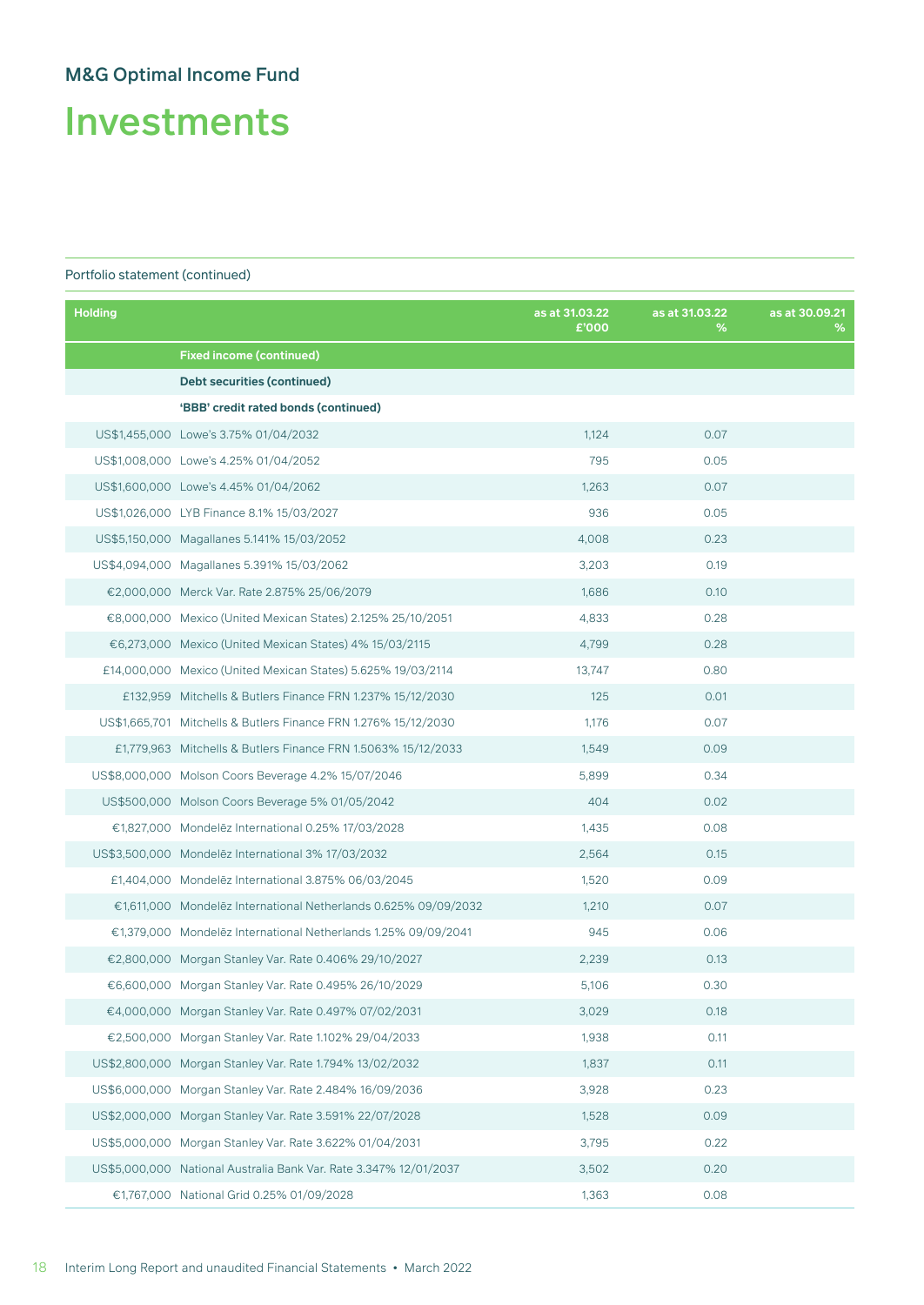Investments

| <b>Holding</b> |                                                                   | as at 31.03.22<br>£'000 | as at 31.03.22<br>% | as at 30.09.21<br>% |
|----------------|-------------------------------------------------------------------|-------------------------|---------------------|---------------------|
|                | <b>Fixed income (continued)</b>                                   |                         |                     |                     |
|                | Debt securities (continued)                                       |                         |                     |                     |
|                | 'BBB' credit rated bonds (continued)                              |                         |                     |                     |
|                | US\$1,455,000 Lowe's 3.75% 01/04/2032                             | 1,124                   | 0.07                |                     |
|                | US\$1,008,000 Lowe's 4.25% 01/04/2052                             | 795                     | 0.05                |                     |
|                | US\$1,600,000 Lowe's 4.45% 01/04/2062                             | 1,263                   | 0.07                |                     |
|                | US\$1,026,000 LYB Finance 8.1% 15/03/2027                         | 936                     | 0.05                |                     |
|                | US\$5,150,000 Magallanes 5.141% 15/03/2052                        | 4,008                   | 0.23                |                     |
|                | US\$4,094,000 Magallanes 5.391% 15/03/2062                        | 3,203                   | 0.19                |                     |
|                | €2,000,000 Merck Var. Rate 2.875% 25/06/2079                      | 1,686                   | 0.10                |                     |
|                | €8,000,000 Mexico (United Mexican States) 2.125% 25/10/2051       | 4,833                   | 0.28                |                     |
|                | €6,273,000 Mexico (United Mexican States) 4% 15/03/2115           | 4,799                   | 0.28                |                     |
|                | £14,000,000 Mexico (United Mexican States) 5.625% 19/03/2114      | 13,747                  | 0.80                |                     |
|                | £132,959 Mitchells & Butlers Finance FRN 1.237% 15/12/2030        | 125                     | 0.01                |                     |
|                | US\$1,665,701 Mitchells & Butlers Finance FRN 1.276% 15/12/2030   | 1,176                   | 0.07                |                     |
|                | £1,779,963 Mitchells & Butlers Finance FRN 1.5063% 15/12/2033     | 1,549                   | 0.09                |                     |
|                | US\$8,000,000 Molson Coors Beverage 4.2% 15/07/2046               | 5,899                   | 0.34                |                     |
|                | US\$500,000 Molson Coors Beverage 5% 01/05/2042                   | 404                     | 0.02                |                     |
|                | €1,827,000 Mondelēz International 0.25% 17/03/2028                | 1,435                   | 0.08                |                     |
|                | US\$3,500,000 Mondelez International 3% 17/03/2032                | 2,564                   | 0.15                |                     |
|                | £1,404,000 Mondelez International 3.875% 06/03/2045               | 1,520                   | 0.09                |                     |
|                | €1,611,000 Mondelēz International Netherlands 0.625% 09/09/2032   | 1,210                   | 0.07                |                     |
|                | €1,379,000 Mondelēz International Netherlands 1.25% 09/09/2041    | 945                     | 0.06                |                     |
|                | €2,800,000 Morgan Stanley Var. Rate 0.406% 29/10/2027             | 2,239                   | 0.13                |                     |
|                | €6,600,000 Morgan Stanley Var. Rate 0.495% 26/10/2029             | 5,106                   | 0.30                |                     |
|                | €4,000,000 Morgan Stanley Var. Rate 0.497% 07/02/2031             | 3,029                   | 0.18                |                     |
|                | €2,500,000 Morgan Stanley Var. Rate 1.102% 29/04/2033             | 1,938                   | 0.11                |                     |
|                | US\$2,800,000 Morgan Stanley Var. Rate 1.794% 13/02/2032          | 1,837                   | 0.11                |                     |
|                | US\$6,000,000 Morgan Stanley Var. Rate 2.484% 16/09/2036          | 3,928                   | 0.23                |                     |
|                | US\$2,000,000 Morgan Stanley Var. Rate 3.591% 22/07/2028          | 1,528                   | 0.09                |                     |
|                | US\$5,000,000 Morgan Stanley Var. Rate 3.622% 01/04/2031          | 3,795                   | 0.22                |                     |
|                | US\$5,000,000 National Australia Bank Var. Rate 3.347% 12/01/2037 | 3,502                   | 0.20                |                     |
|                | €1,767,000 National Grid 0.25% 01/09/2028                         | 1,363                   | 0.08                |                     |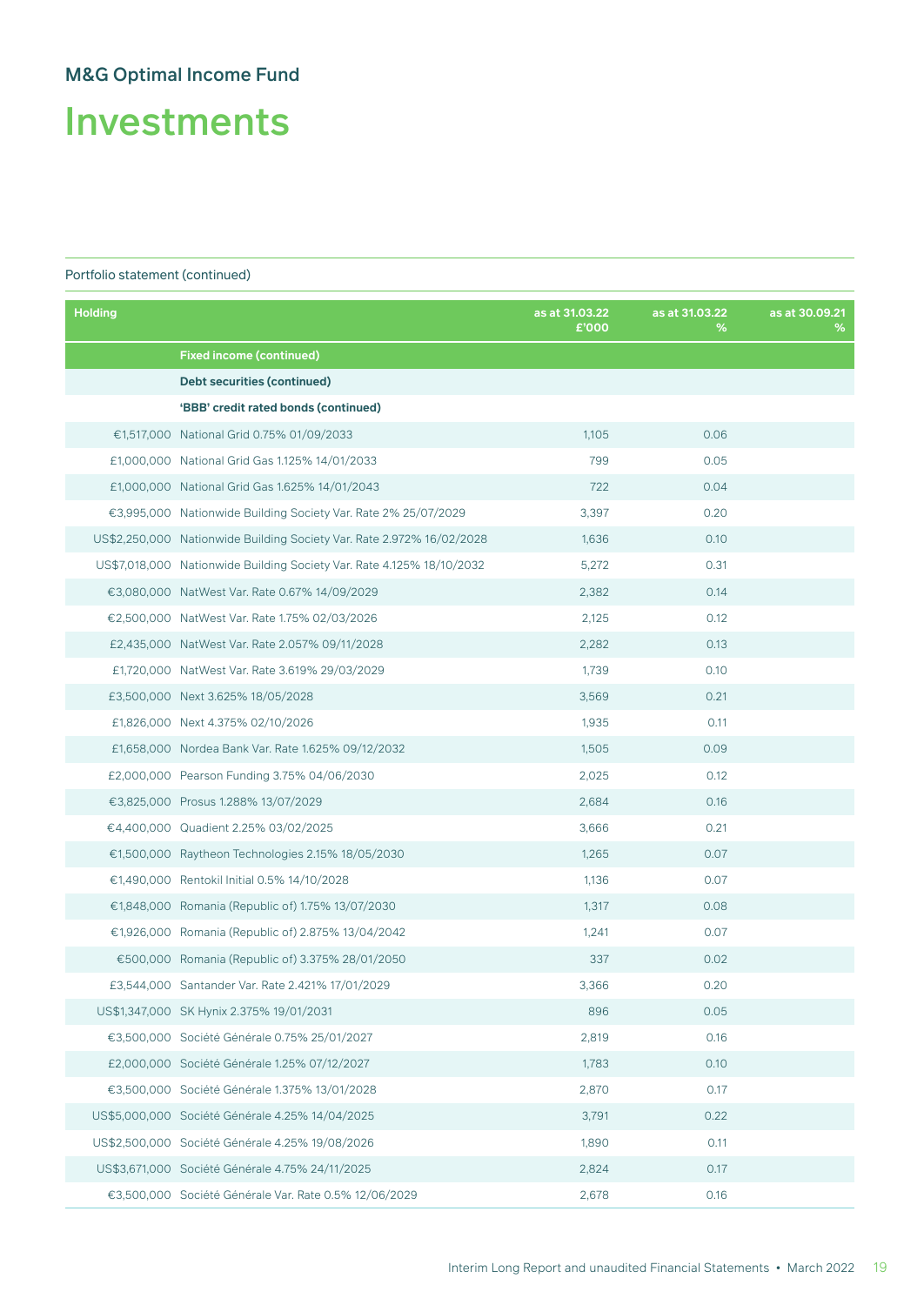Investments

| <b>Holding</b> |                                                                       | as at 31.03.22<br>£'000 | as at 31.03.22<br>% | as at 30.09.21<br>% |
|----------------|-----------------------------------------------------------------------|-------------------------|---------------------|---------------------|
|                | <b>Fixed income (continued)</b>                                       |                         |                     |                     |
|                | Debt securities (continued)                                           |                         |                     |                     |
|                | 'BBB' credit rated bonds (continued)                                  |                         |                     |                     |
|                | €1,517,000 National Grid 0.75% 01/09/2033                             | 1,105                   | 0.06                |                     |
|                | £1,000,000 National Grid Gas 1.125% 14/01/2033                        | 799                     | 0.05                |                     |
|                | £1,000,000 National Grid Gas 1.625% 14/01/2043                        | 722                     | 0.04                |                     |
|                | €3,995,000 Nationwide Building Society Var. Rate 2% 25/07/2029        | 3,397                   | 0.20                |                     |
|                | US\$2,250,000 Nationwide Building Society Var. Rate 2.972% 16/02/2028 | 1,636                   | 0.10                |                     |
|                | US\$7,018,000 Nationwide Building Society Var. Rate 4.125% 18/10/2032 | 5,272                   | 0.31                |                     |
|                | €3,080,000 NatWest Var. Rate 0.67% 14/09/2029                         | 2,382                   | 0.14                |                     |
|                | €2,500,000 NatWest Var. Rate 1.75% 02/03/2026                         | 2,125                   | 0.12                |                     |
|                | £2,435,000 NatWest Var. Rate 2.057% 09/11/2028                        | 2,282                   | 0.13                |                     |
|                | £1,720,000 NatWest Var. Rate 3.619% 29/03/2029                        | 1,739                   | 0.10                |                     |
|                | £3,500,000 Next 3.625% 18/05/2028                                     | 3,569                   | 0.21                |                     |
|                | £1,826,000 Next 4.375% 02/10/2026                                     | 1,935                   | 0.11                |                     |
|                | £1,658,000 Nordea Bank Var. Rate 1.625% 09/12/2032                    | 1,505                   | 0.09                |                     |
|                | £2,000,000 Pearson Funding 3.75% 04/06/2030                           | 2,025                   | 0.12                |                     |
|                | €3,825,000 Prosus 1.288% 13/07/2029                                   | 2,684                   | 0.16                |                     |
|                | €4,400,000 Quadient 2.25% 03/02/2025                                  | 3,666                   | 0.21                |                     |
|                | €1,500,000 Raytheon Technologies 2.15% 18/05/2030                     | 1,265                   | 0.07                |                     |
|                | €1,490,000 Rentokil Initial 0.5% 14/10/2028                           | 1,136                   | 0.07                |                     |
|                | €1,848,000 Romania (Republic of) 1.75% 13/07/2030                     | 1,317                   | 0.08                |                     |
|                | €1,926,000 Romania (Republic of) 2.875% 13/04/2042                    | 1,241                   | 0.07                |                     |
|                | €500,000 Romania (Republic of) 3.375% 28/01/2050                      | 337                     | 0.02                |                     |
|                | £3,544,000 Santander Var. Rate 2.421% 17/01/2029                      | 3,366                   | 0.20                |                     |
|                | US\$1,347,000 SK Hynix 2.375% 19/01/2031                              | 896                     | 0.05                |                     |
|                | €3,500,000 Société Générale 0.75% 25/01/2027                          | 2,819                   | 0.16                |                     |
|                | £2,000,000 Société Générale 1.25% 07/12/2027                          | 1,783                   | 0.10                |                     |
|                | €3,500,000 Société Générale 1.375% 13/01/2028                         | 2,870                   | 0.17                |                     |
|                | US\$5,000,000 Société Générale 4.25% 14/04/2025                       | 3,791                   | 0.22                |                     |
|                | US\$2,500,000 Société Générale 4.25% 19/08/2026                       | 1,890                   | 0.11                |                     |
|                | US\$3,671,000 Société Générale 4.75% 24/11/2025                       | 2,824                   | 0.17                |                     |
|                | €3,500,000 Société Générale Var. Rate 0.5% 12/06/2029                 | 2,678                   | 0.16                |                     |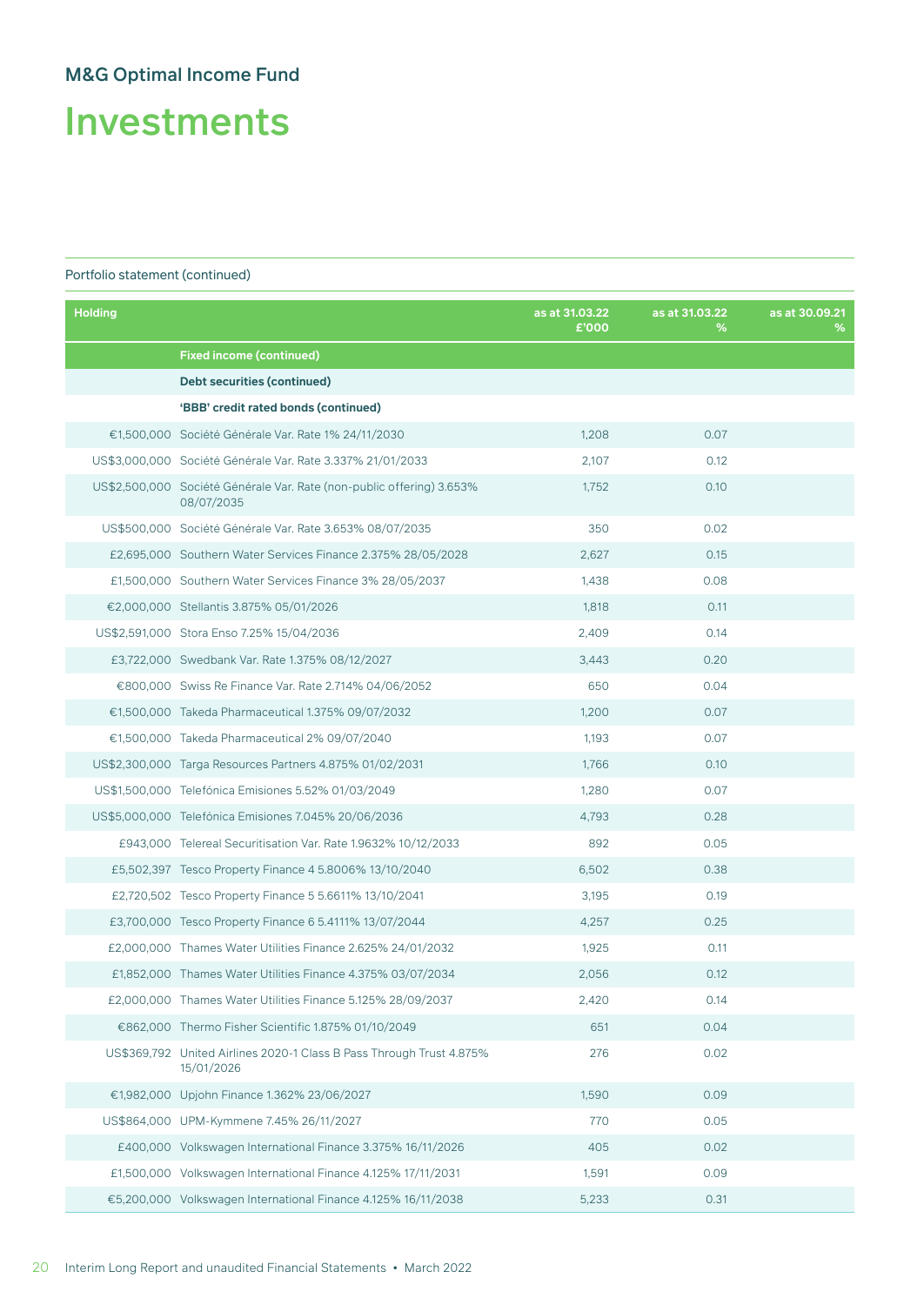# Investments

| <b>Holding</b> |                                                                                     | as at 31.03.22<br>£'000 | as at 31.03.22<br>% | as at 30.09.21<br>℅ |
|----------------|-------------------------------------------------------------------------------------|-------------------------|---------------------|---------------------|
|                | <b>Fixed income (continued)</b>                                                     |                         |                     |                     |
|                | Debt securities (continued)                                                         |                         |                     |                     |
|                | 'BBB' credit rated bonds (continued)                                                |                         |                     |                     |
|                | €1,500,000 Société Générale Var. Rate 1% 24/11/2030                                 | 1,208                   | 0.07                |                     |
|                | US\$3,000,000 Société Générale Var. Rate 3,337% 21/01/2033                          | 2,107                   | 0.12                |                     |
|                | US\$2,500,000 Société Générale Var. Rate (non-public offering) 3.653%<br>08/07/2035 | 1,752                   | 0.10                |                     |
|                | US\$500,000 Société Générale Var. Rate 3.653% 08/07/2035                            | 350                     | 0.02                |                     |
|                | £2,695,000 Southern Water Services Finance 2.375% 28/05/2028                        | 2,627                   | 0.15                |                     |
|                | £1,500,000 Southern Water Services Finance 3% 28/05/2037                            | 1,438                   | 0.08                |                     |
|                | €2,000,000 Stellantis 3.875% 05/01/2026                                             | 1,818                   | 0.11                |                     |
|                | US\$2,591,000 Stora Enso 7.25% 15/04/2036                                           | 2,409                   | 0.14                |                     |
|                | £3,722,000 Swedbank Var. Rate 1.375% 08/12/2027                                     | 3,443                   | 0.20                |                     |
|                | €800,000 Swiss Re Finance Var. Rate 2.714% 04/06/2052                               | 650                     | 0.04                |                     |
|                | €1,500,000 Takeda Pharmaceutical 1.375% 09/07/2032                                  | 1,200                   | 0.07                |                     |
|                | €1,500,000 Takeda Pharmaceutical 2% 09/07/2040                                      | 1,193                   | 0.07                |                     |
|                | US\$2,300,000 Targa Resources Partners 4.875% 01/02/2031                            | 1,766                   | 0.10                |                     |
|                | US\$1,500,000 Telefónica Emisiones 5.52% 01/03/2049                                 | 1,280                   | 0.07                |                     |
|                | US\$5,000,000 Telefónica Emisiones 7.045% 20/06/2036                                | 4,793                   | 0.28                |                     |
|                | £943,000 Telereal Securitisation Var. Rate 1.9632% 10/12/2033                       | 892                     | 0.05                |                     |
|                | £5,502,397 Tesco Property Finance 4 5.8006% 13/10/2040                              | 6,502                   | 0.38                |                     |
|                | £2,720,502 Tesco Property Finance 5 5.6611% 13/10/2041                              | 3,195                   | 0.19                |                     |
|                | £3,700,000 Tesco Property Finance 6 5.4111% 13/07/2044                              | 4,257                   | 0.25                |                     |
|                | £2,000,000 Thames Water Utilities Finance 2.625% 24/01/2032                         | 1,925                   | 0.11                |                     |
|                | £1,852,000 Thames Water Utilities Finance 4.375% 03/07/2034                         | 2,056                   | 0.12                |                     |
|                | £2,000,000 Thames Water Utilities Finance 5.125% 28/09/2037                         | 2,420                   | 0.14                |                     |
|                | €862,000 Thermo Fisher Scientific 1.875% 01/10/2049                                 | 651                     | 0.04                |                     |
|                | US\$369,792 United Airlines 2020-1 Class B Pass Through Trust 4.875%<br>15/01/2026  | 276                     | 0.02                |                     |
|                | €1,982,000 Upjohn Finance 1.362% 23/06/2027                                         | 1,590                   | 0.09                |                     |
|                | US\$864,000 UPM-Kymmene 7.45% 26/11/2027                                            | 770                     | 0.05                |                     |
|                | £400,000 Volkswagen International Finance 3.375% 16/11/2026                         | 405                     | 0.02                |                     |
|                | £1,500,000 Volkswagen International Finance 4.125% 17/11/2031                       | 1,591                   | 0.09                |                     |
|                | €5,200,000 Volkswagen International Finance 4.125% 16/11/2038                       | 5,233                   | 0.31                |                     |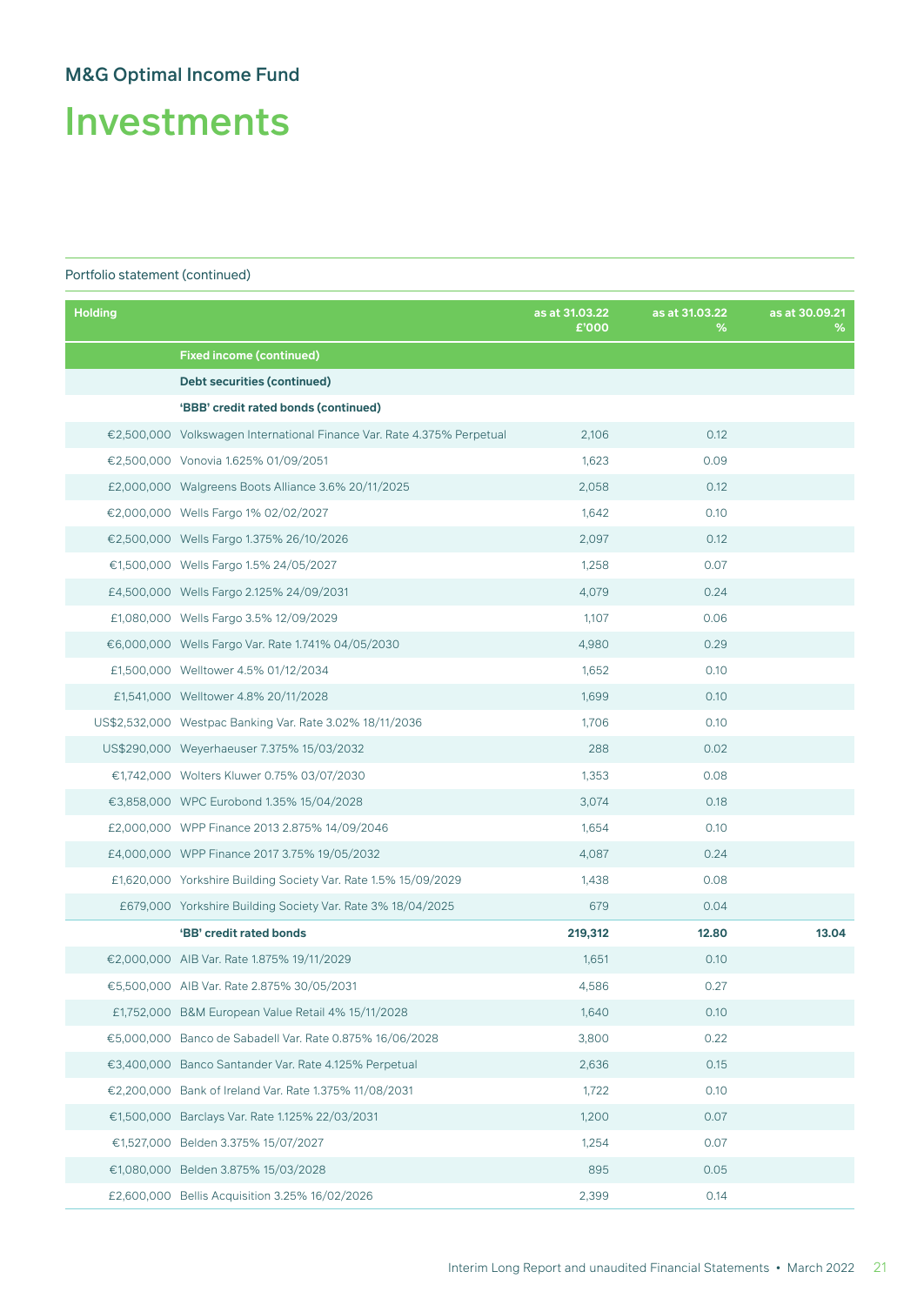# Investments

| <b>Holding</b> |                                                                        | as at 31.03.22<br>£'000 | as at 31.03.22<br>% | as at 30.09.21<br>℅ |
|----------------|------------------------------------------------------------------------|-------------------------|---------------------|---------------------|
|                | <b>Fixed income (continued)</b>                                        |                         |                     |                     |
|                | <b>Debt securities (continued)</b>                                     |                         |                     |                     |
|                | 'BBB' credit rated bonds (continued)                                   |                         |                     |                     |
|                | €2,500,000 Volkswagen International Finance Var. Rate 4.375% Perpetual | 2,106                   | 0.12                |                     |
|                | €2,500,000 Vonovia 1.625% 01/09/2051                                   | 1,623                   | 0.09                |                     |
|                | £2,000,000 Walgreens Boots Alliance 3.6% 20/11/2025                    | 2,058                   | 0.12                |                     |
|                | €2,000,000 Wells Fargo 1% 02/02/2027                                   | 1,642                   | 0.10                |                     |
|                | €2,500,000 Wells Fargo 1.375% 26/10/2026                               | 2,097                   | 0.12                |                     |
|                | €1,500,000 Wells Fargo 1.5% 24/05/2027                                 | 1,258                   | 0.07                |                     |
|                | £4,500,000 Wells Fargo 2.125% 24/09/2031                               | 4,079                   | 0.24                |                     |
|                | £1,080,000 Wells Fargo 3.5% 12/09/2029                                 | 1,107                   | 0.06                |                     |
|                | €6,000,000 Wells Fargo Var. Rate 1.741% 04/05/2030                     | 4,980                   | 0.29                |                     |
|                | £1,500,000 Welltower 4.5% 01/12/2034                                   | 1,652                   | 0.10                |                     |
|                | £1,541,000 Welltower 4.8% 20/11/2028                                   | 1,699                   | 0.10                |                     |
|                | US\$2,532,000 Westpac Banking Var. Rate 3.02% 18/11/2036               | 1,706                   | 0.10                |                     |
|                | US\$290,000 Weyerhaeuser 7.375% 15/03/2032                             | 288                     | 0.02                |                     |
|                | €1,742,000 Wolters Kluwer 0.75% 03/07/2030                             | 1,353                   | 0.08                |                     |
|                | €3,858,000 WPC Eurobond 1.35% 15/04/2028                               | 3,074                   | 0.18                |                     |
|                | £2,000,000 WPP Finance 2013 2.875% 14/09/2046                          | 1,654                   | 0.10                |                     |
|                | £4,000,000 WPP Finance 2017 3.75% 19/05/2032                           | 4,087                   | 0.24                |                     |
|                | £1,620,000 Yorkshire Building Society Var. Rate 1.5% 15/09/2029        | 1,438                   | 0.08                |                     |
|                | £679,000 Yorkshire Building Society Var. Rate 3% 18/04/2025            | 679                     | 0.04                |                     |
|                | 'BB' credit rated bonds                                                | 219,312                 | 12.80               | 13.04               |
|                | €2,000,000 AIB Var. Rate 1.875% 19/11/2029                             | 1,651                   | 0.10                |                     |
|                | €5,500,000 AIB Var. Rate 2.875% 30/05/2031                             | 4,586                   | 0.27                |                     |
|                | £1,752,000 B&M European Value Retail 4% 15/11/2028                     | 1,640                   | 0.10                |                     |
|                | €5,000,000 Banco de Sabadell Var. Rate 0.875% 16/06/2028               | 3,800                   | 0.22                |                     |
|                | €3,400,000 Banco Santander Var. Rate 4.125% Perpetual                  | 2,636                   | 0.15                |                     |
|                | €2,200,000 Bank of Ireland Var. Rate 1.375% 11/08/2031                 | 1,722                   | 0.10                |                     |
|                | €1,500,000 Barclays Var. Rate 1.125% 22/03/2031                        | 1,200                   | 0.07                |                     |
|                | €1,527,000 Belden 3.375% 15/07/2027                                    | 1,254                   | 0.07                |                     |
|                | €1,080,000 Belden 3.875% 15/03/2028                                    | 895                     | 0.05                |                     |
|                | £2,600,000 Bellis Acquisition 3.25% 16/02/2026                         | 2,399                   | 0.14                |                     |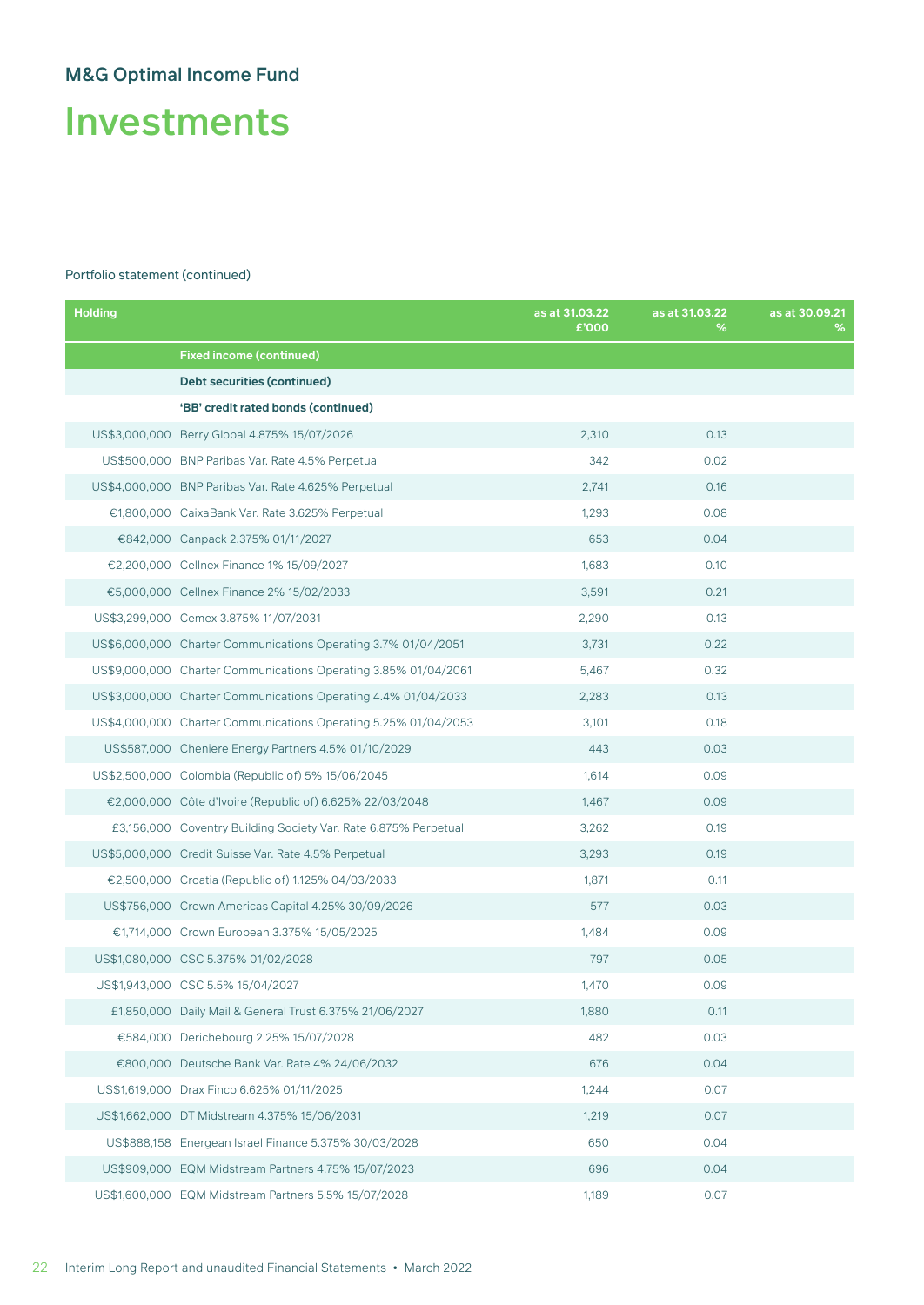Investments

| <b>Holding</b> |                                                                 | as at 31.03.22<br>£'000 | as at 31.03.22<br>% | as at 30,09.21<br>% |
|----------------|-----------------------------------------------------------------|-------------------------|---------------------|---------------------|
|                | <b>Fixed income (continued)</b>                                 |                         |                     |                     |
|                | Debt securities (continued)                                     |                         |                     |                     |
|                | 'BB' credit rated bonds (continued)                             |                         |                     |                     |
|                | US\$3,000,000 Berry Global 4.875% 15/07/2026                    | 2,310                   | 0.13                |                     |
|                | US\$500,000 BNP Paribas Var. Rate 4.5% Perpetual                | 342                     | 0.02                |                     |
|                | US\$4,000,000 BNP Paribas Var. Rate 4.625% Perpetual            | 2,741                   | 0.16                |                     |
|                | €1,800,000 CaixaBank Var. Rate 3.625% Perpetual                 | 1.293                   | 0.08                |                     |
|                | €842,000 Canpack 2.375% 01/11/2027                              | 653                     | 0.04                |                     |
|                | €2,200,000 Cellnex Finance 1% 15/09/2027                        | 1,683                   | 0.10                |                     |
|                | €5,000,000 Cellnex Finance 2% 15/02/2033                        | 3,591                   | 0.21                |                     |
|                | US\$3,299,000 Cemex 3.875% 11/07/2031                           | 2,290                   | 0.13                |                     |
|                | US\$6,000,000 Charter Communications Operating 3.7% 01/04/2051  | 3,731                   | 0.22                |                     |
|                | US\$9,000,000 Charter Communications Operating 3.85% 01/04/2061 | 5,467                   | 0.32                |                     |
|                | US\$3,000,000 Charter Communications Operating 4.4% 01/04/2033  | 2,283                   | 0.13                |                     |
|                | US\$4,000,000 Charter Communications Operating 5.25% 01/04/2053 | 3,101                   | 0.18                |                     |
|                | US\$587,000 Cheniere Energy Partners 4.5% 01/10/2029            | 443                     | 0.03                |                     |
|                | US\$2,500,000 Colombia (Republic of) 5% 15/06/2045              | 1,614                   | 0.09                |                     |
|                | €2,000,000 Côte d'Ivoire (Republic of) 6.625% 22/03/2048        | 1,467                   | 0.09                |                     |
|                | £3,156,000 Coventry Building Society Var. Rate 6.875% Perpetual | 3,262                   | 0.19                |                     |
|                | US\$5,000,000 Credit Suisse Var. Rate 4.5% Perpetual            | 3,293                   | 0.19                |                     |
|                | €2,500,000 Croatia (Republic of) 1.125% 04/03/2033              | 1,871                   | 0.11                |                     |
|                | US\$756,000 Crown Americas Capital 4.25% 30/09/2026             | 577                     | 0.03                |                     |
|                | €1,714,000 Crown European 3.375% 15/05/2025                     | 1,484                   | 0.09                |                     |
|                | US\$1,080,000 CSC 5.375% 01/02/2028                             | 797                     | 0.05                |                     |
|                | US\$1,943,000 CSC 5.5% 15/04/2027                               | 1,470                   | 0.09                |                     |
|                | £1,850,000 Daily Mail & General Trust 6.375% 21/06/2027         | 1,880                   | 0.11                |                     |
|                | €584,000 Derichebourg 2.25% 15/07/2028                          | 482                     | 0.03                |                     |
|                | €800,000 Deutsche Bank Var. Rate 4% 24/06/2032                  | 676                     | 0.04                |                     |
|                | US\$1,619,000 Drax Finco 6.625% 01/11/2025                      | 1,244                   | 0.07                |                     |
|                | US\$1,662,000 DT Midstream 4.375% 15/06/2031                    | 1,219                   | 0.07                |                     |
|                | US\$888,158 Energean Israel Finance 5.375% 30/03/2028           | 650                     | 0.04                |                     |
|                | US\$909,000 EQM Midstream Partners 4.75% 15/07/2023             | 696                     | 0.04                |                     |
|                | US\$1,600,000 EQM Midstream Partners 5.5% 15/07/2028            | 1,189                   | 0.07                |                     |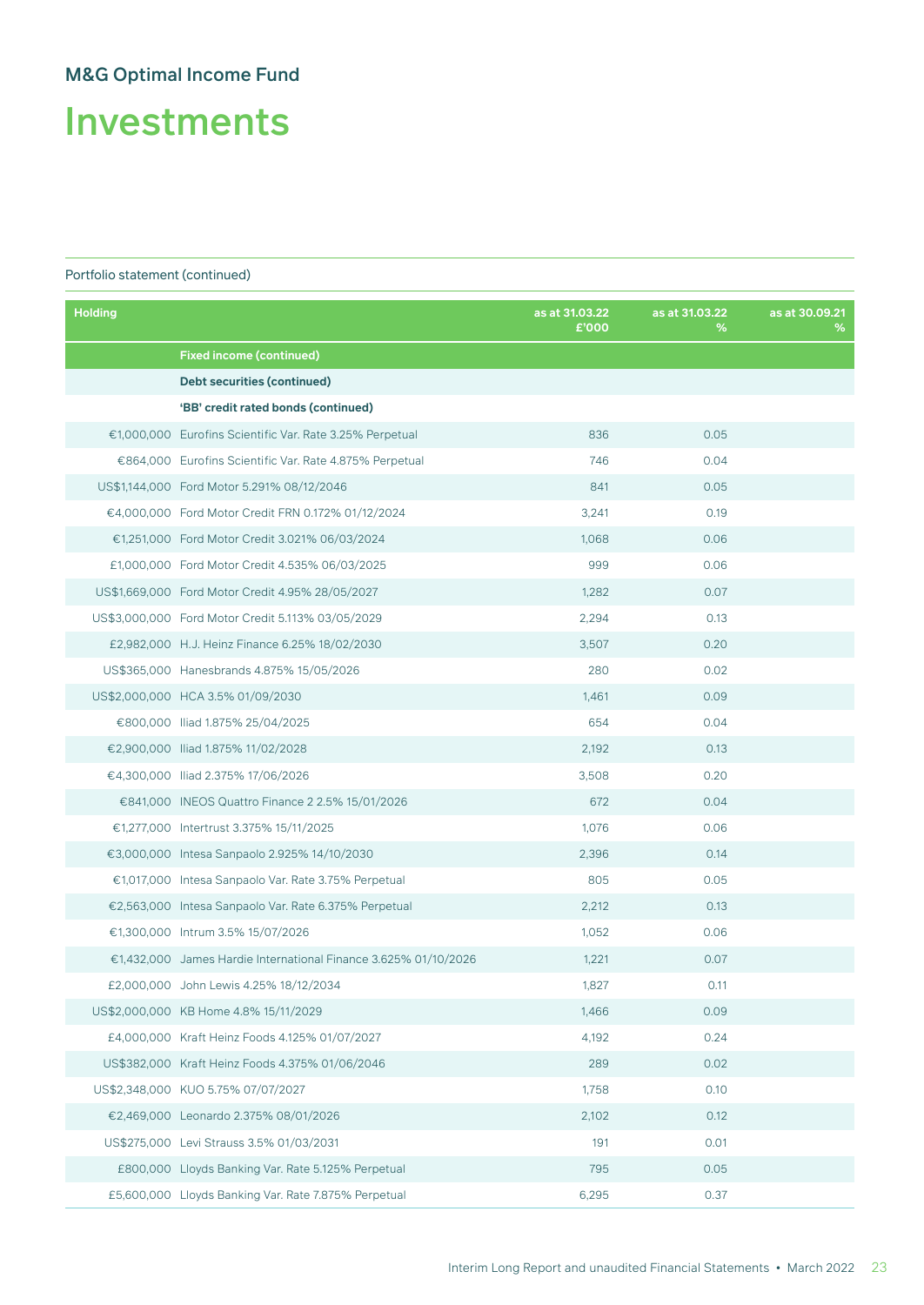Investments

| <b>Holding</b> |                                                                 | as at 31.03.22<br>£'000 | as at 31.03.22<br>% | as at 30.09.21<br>% |
|----------------|-----------------------------------------------------------------|-------------------------|---------------------|---------------------|
|                | <b>Fixed income (continued)</b>                                 |                         |                     |                     |
|                | Debt securities (continued)                                     |                         |                     |                     |
|                | 'BB' credit rated bonds (continued)                             |                         |                     |                     |
|                | €1,000,000 Eurofins Scientific Var. Rate 3.25% Perpetual        | 836                     | 0.05                |                     |
|                | €864,000 Eurofins Scientific Var. Rate 4.875% Perpetual         | 746                     | 0.04                |                     |
|                | US\$1,144,000 Ford Motor 5.291% 08/12/2046                      | 841                     | 0.05                |                     |
|                | €4.000.000 Ford Motor Credit FRN 0.172% 01/12/2024              | 3,241                   | 0.19                |                     |
|                | €1,251,000 Ford Motor Credit 3.021% 06/03/2024                  | 1,068                   | 0.06                |                     |
|                | £1,000,000 Ford Motor Credit 4.535% 06/03/2025                  | 999                     | 0.06                |                     |
|                | US\$1,669,000 Ford Motor Credit 4.95% 28/05/2027                | 1,282                   | 0.07                |                     |
|                | US\$3,000,000 Ford Motor Credit 5.113% 03/05/2029               | 2,294                   | 0.13                |                     |
|                | £2,982,000 H.J. Heinz Finance 6.25% 18/02/2030                  | 3,507                   | 0.20                |                     |
|                | US\$365,000 Hanesbrands 4.875% 15/05/2026                       | 280                     | 0.02                |                     |
|                | US\$2,000,000 HCA 3.5% 01/09/2030                               | 1,461                   | 0.09                |                     |
|                | €800,000 Iliad 1.875% 25/04/2025                                | 654                     | 0.04                |                     |
|                | €2,900,000 Iliad 1.875% 11/02/2028                              | 2,192                   | 0.13                |                     |
|                | €4,300,000 Iliad 2.375% 17/06/2026                              | 3,508                   | 0.20                |                     |
|                | €841,000 INEOS Quattro Finance 2 2.5% 15/01/2026                | 672                     | 0.04                |                     |
|                | €1,277,000 Intertrust 3.375% 15/11/2025                         | 1,076                   | 0.06                |                     |
|                | €3,000,000 Intesa Sanpaolo 2.925% 14/10/2030                    | 2,396                   | 0.14                |                     |
|                | €1,017,000 Intesa Sanpaolo Var. Rate 3.75% Perpetual            | 805                     | 0.05                |                     |
|                | €2,563,000 Intesa Sanpaolo Var. Rate 6.375% Perpetual           | 2,212                   | 0.13                |                     |
|                | €1,300,000 Intrum 3.5% 15/07/2026                               | 1,052                   | 0.06                |                     |
|                | €1,432,000 James Hardie International Finance 3.625% 01/10/2026 | 1,221                   | 0.07                |                     |
|                | £2,000,000 John Lewis 4.25% 18/12/2034                          | 1,827                   | 0.11                |                     |
|                | US\$2,000,000 KB Home 4.8% 15/11/2029                           | 1,466                   | 0.09                |                     |
|                | £4,000,000 Kraft Heinz Foods 4.125% 01/07/2027                  | 4,192                   | 0.24                |                     |
|                | US\$382,000 Kraft Heinz Foods 4.375% 01/06/2046                 | 289                     | 0.02                |                     |
|                | US\$2,348,000 KUO 5.75% 07/07/2027                              | 1,758                   | 0.10                |                     |
|                | €2,469,000 Leonardo 2.375% 08/01/2026                           | 2,102                   | 0.12                |                     |
|                | US\$275,000 Levi Strauss 3.5% 01/03/2031                        | 191                     | 0.01                |                     |
|                | £800,000 Lloyds Banking Var. Rate 5.125% Perpetual              | 795                     | 0.05                |                     |
|                | £5,600,000 Lloyds Banking Var. Rate 7.875% Perpetual            | 6,295                   | 0.37                |                     |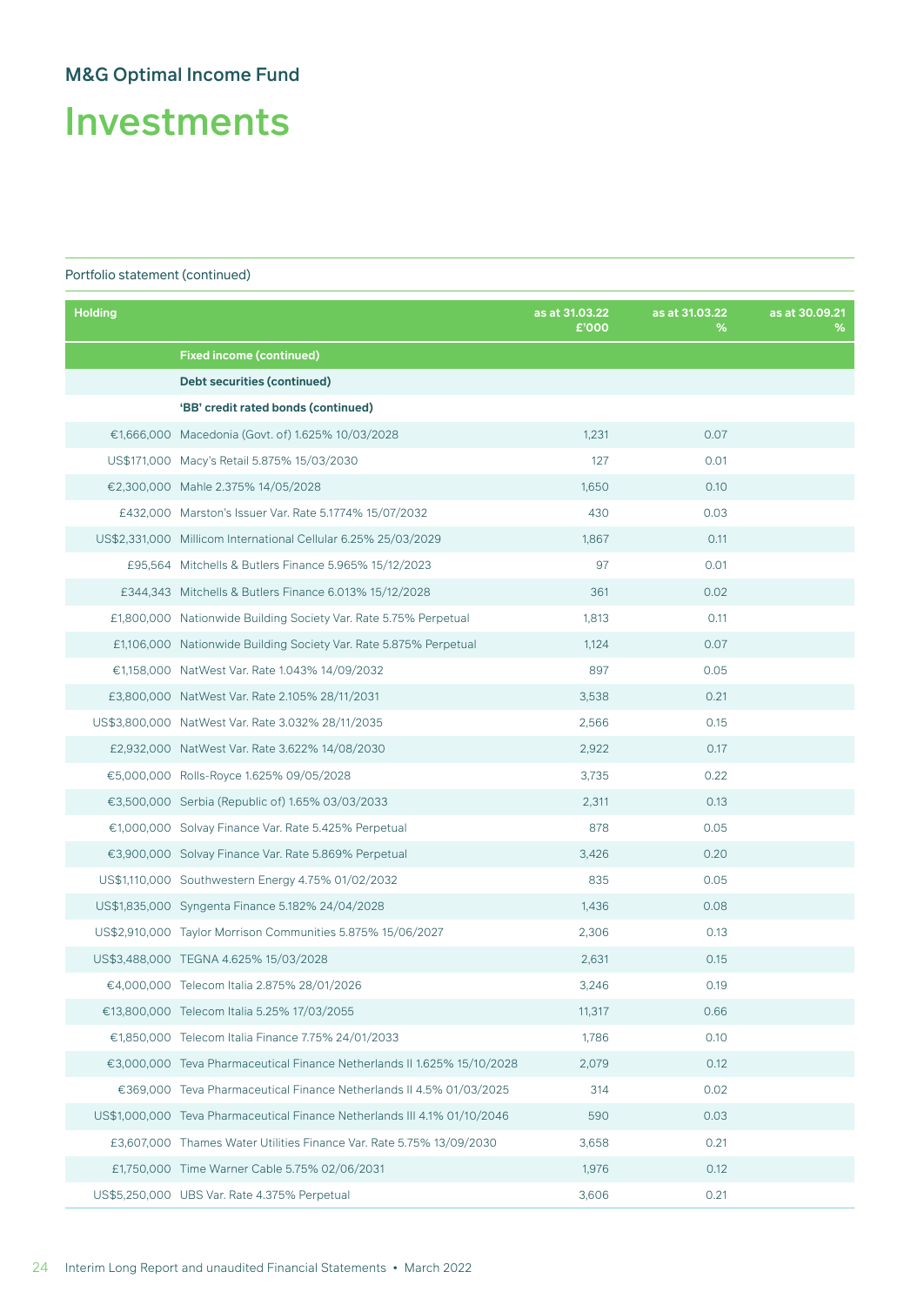Investments

| <b>Holding</b> |                                                                           | as at 31.03.22<br>£'000 | as at 31.03.22<br>% | as at 30.09.21<br>% |
|----------------|---------------------------------------------------------------------------|-------------------------|---------------------|---------------------|
|                | <b>Fixed income (continued)</b>                                           |                         |                     |                     |
|                | Debt securities (continued)                                               |                         |                     |                     |
|                | 'BB' credit rated bonds (continued)                                       |                         |                     |                     |
|                | €1,666,000 Macedonia (Govt. of) 1.625% 10/03/2028                         | 1,231                   | 0.07                |                     |
|                | US\$171,000 Macy's Retail 5.875% 15/03/2030                               | 127                     | 0.01                |                     |
|                | €2,300,000 Mahle 2.375% 14/05/2028                                        | 1,650                   | 0.10                |                     |
|                | £432.000 Marston's Issuer Var. Rate 5.1774% 15/07/2032                    | 430                     | 0.03                |                     |
|                | US\$2,331,000 Millicom International Cellular 6.25% 25/03/2029            | 1,867                   | 0.11                |                     |
|                | £95,564 Mitchells & Butlers Finance 5.965% 15/12/2023                     | 97                      | 0.01                |                     |
|                | £344,343 Mitchells & Butlers Finance 6.013% 15/12/2028                    | 361                     | 0.02                |                     |
|                | £1,800,000 Nationwide Building Society Var. Rate 5.75% Perpetual          | 1,813                   | 0.11                |                     |
|                | £1,106,000 Nationwide Building Society Var. Rate 5.875% Perpetual         | 1,124                   | 0.07                |                     |
|                | €1,158,000 NatWest Var. Rate 1.043% 14/09/2032                            | 897                     | 0.05                |                     |
|                | £3,800,000 NatWest Var. Rate 2.105% 28/11/2031                            | 3,538                   | 0.21                |                     |
|                | US\$3,800,000 NatWest Var. Rate 3.032% 28/11/2035                         | 2,566                   | 0.15                |                     |
|                | £2,932,000 NatWest Var. Rate 3.622% 14/08/2030                            | 2,922                   | 0.17                |                     |
|                | €5,000,000 Rolls-Royce 1.625% 09/05/2028                                  | 3,735                   | 0.22                |                     |
|                | €3,500,000 Serbia (Republic of) 1.65% 03/03/2033                          | 2,311                   | 0.13                |                     |
|                | €1,000,000 Solvay Finance Var. Rate 5.425% Perpetual                      | 878                     | 0.05                |                     |
|                | €3,900,000 Solvay Finance Var. Rate 5.869% Perpetual                      | 3,426                   | 0.20                |                     |
|                | US\$1,110,000 Southwestern Energy 4.75% 01/02/2032                        | 835                     | 0.05                |                     |
|                | US\$1,835,000 Syngenta Finance 5.182% 24/04/2028                          | 1,436                   | 0.08                |                     |
|                | US\$2,910,000 Taylor Morrison Communities 5.875% 15/06/2027               | 2,306                   | 0.13                |                     |
|                | US\$3,488,000 TEGNA 4.625% 15/03/2028                                     | 2,631                   | 0.15                |                     |
|                | €4,000,000 Telecom Italia 2.875% 28/01/2026                               | 3,246                   | 0.19                |                     |
|                | €13,800,000 Telecom Italia 5.25% 17/03/2055                               | 11,317                  | 0.66                |                     |
|                | €1,850,000 Telecom Italia Finance 7.75% 24/01/2033                        | 1,786                   | 0.10                |                     |
|                | €3,000,000 Teva Pharmaceutical Finance Netherlands II 1.625% 15/10/2028   | 2,079                   | 0.12                |                     |
|                | €369,000 Teva Pharmaceutical Finance Netherlands II 4.5% 01/03/2025       | 314                     | 0.02                |                     |
|                | US\$1.000.000 Teva Pharmaceutical Finance Netherlands III 4.1% 01/10/2046 | 590                     | 0.03                |                     |
|                | £3,607,000 Thames Water Utilities Finance Var. Rate 5.75% 13/09/2030      | 3,658                   | 0.21                |                     |
|                | £1,750,000 Time Warner Cable 5.75% 02/06/2031                             | 1,976                   | 0.12                |                     |
|                | US\$5,250,000 UBS Var. Rate 4.375% Perpetual                              | 3,606                   | 0.21                |                     |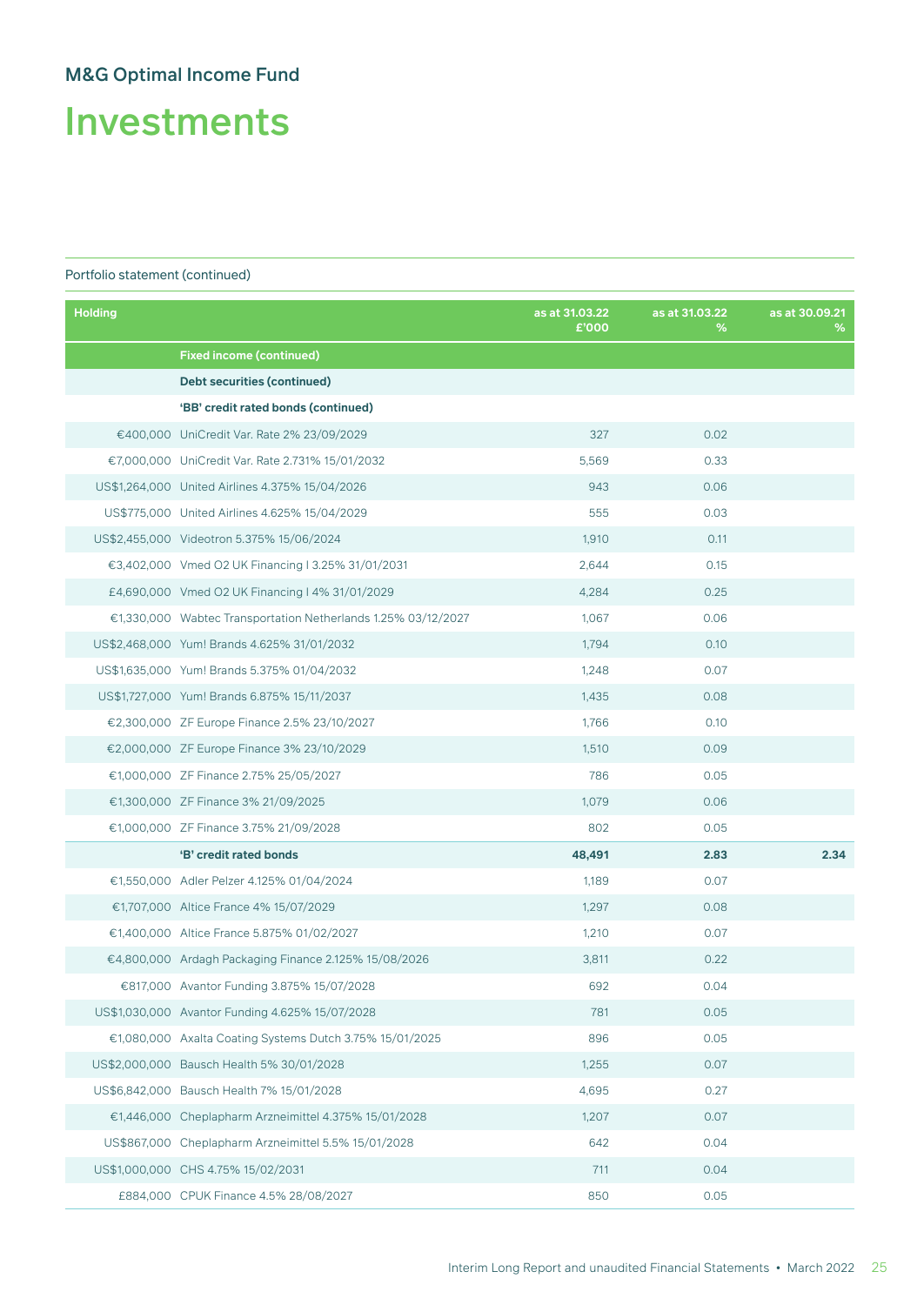Investments

| <b>Holding</b> |                                                               | as at 31.03.22<br>£'000 | as at 31.03.22<br>% | as at 30,09.21<br>% |
|----------------|---------------------------------------------------------------|-------------------------|---------------------|---------------------|
|                | <b>Fixed income (continued)</b>                               |                         |                     |                     |
|                | Debt securities (continued)                                   |                         |                     |                     |
|                | 'BB' credit rated bonds (continued)                           |                         |                     |                     |
|                | €400,000 UniCredit Var. Rate 2% 23/09/2029                    | 327                     | 0.02                |                     |
|                | €7,000,000 UniCredit Var. Rate 2.731% 15/01/2032              | 5,569                   | 0.33                |                     |
|                | US\$1,264,000 United Airlines 4.375% 15/04/2026               | 943                     | 0.06                |                     |
|                | US\$775,000 United Airlines 4.625% 15/04/2029                 | 555                     | 0.03                |                     |
|                | US\$2,455,000 Videotron 5.375% 15/06/2024                     | 1,910                   | 0.11                |                     |
|                | €3,402,000 Vmed O2 UK Financing 13.25% 31/01/2031             | 2,644                   | 0.15                |                     |
|                | £4,690,000 Vmed O2 UK Financing 14% 31/01/2029                | 4,284                   | 0.25                |                     |
|                | €1,330,000 Wabtec Transportation Netherlands 1.25% 03/12/2027 | 1,067                   | 0.06                |                     |
|                | US\$2,468,000 Yum! Brands 4.625% 31/01/2032                   | 1,794                   | 0.10                |                     |
|                | US\$1,635,000 Yum! Brands 5.375% 01/04/2032                   | 1,248                   | 0.07                |                     |
|                | US\$1,727,000 Yum! Brands 6.875% 15/11/2037                   | 1,435                   | 0.08                |                     |
|                | €2,300,000 ZF Europe Finance 2.5% 23/10/2027                  | 1,766                   | 0.10                |                     |
|                | €2,000,000 ZF Europe Finance 3% 23/10/2029                    | 1,510                   | 0.09                |                     |
|                | €1,000,000 ZF Finance 2.75% 25/05/2027                        | 786                     | 0.05                |                     |
|                | €1,300,000 ZF Finance 3% 21/09/2025                           | 1,079                   | 0.06                |                     |
|                | €1,000,000 ZF Finance 3.75% 21/09/2028                        | 802                     | 0.05                |                     |
|                | 'B' credit rated bonds                                        | 48,491                  | 2.83                | 2.34                |
|                | €1,550,000 Adler Pelzer 4.125% 01/04/2024                     | 1,189                   | 0.07                |                     |
|                | €1,707,000 Altice France 4% 15/07/2029                        | 1,297                   | 0.08                |                     |
|                | €1,400,000 Altice France 5.875% 01/02/2027                    | 1,210                   | 0.07                |                     |
|                | €4,800,000 Ardagh Packaging Finance 2.125% 15/08/2026         | 3,811                   | 0.22                |                     |
|                | €817,000 Avantor Funding 3.875% 15/07/2028                    | 692                     | 0.04                |                     |
|                | US\$1,030,000 Avantor Funding 4.625% 15/07/2028               | 781                     | 0.05                |                     |
|                | €1,080,000 Axalta Coating Systems Dutch 3.75% 15/01/2025      | 896                     | 0.05                |                     |
|                | US\$2,000,000 Bausch Health 5% 30/01/2028                     | 1,255                   | 0.07                |                     |
|                | US\$6.842.000 Bausch Health 7% 15/01/2028                     | 4,695                   | 0.27                |                     |
|                | €1,446,000 Cheplapharm Arzneimittel 4.375% 15/01/2028         | 1,207                   | 0.07                |                     |
|                | US\$867,000 Cheplapharm Arzneimittel 5.5% 15/01/2028          | 642                     | 0.04                |                     |
|                | US\$1,000,000 CHS 4.75% 15/02/2031                            | 711                     | 0.04                |                     |
|                | £884,000 CPUK Finance 4.5% 28/08/2027                         | 850                     | 0.05                |                     |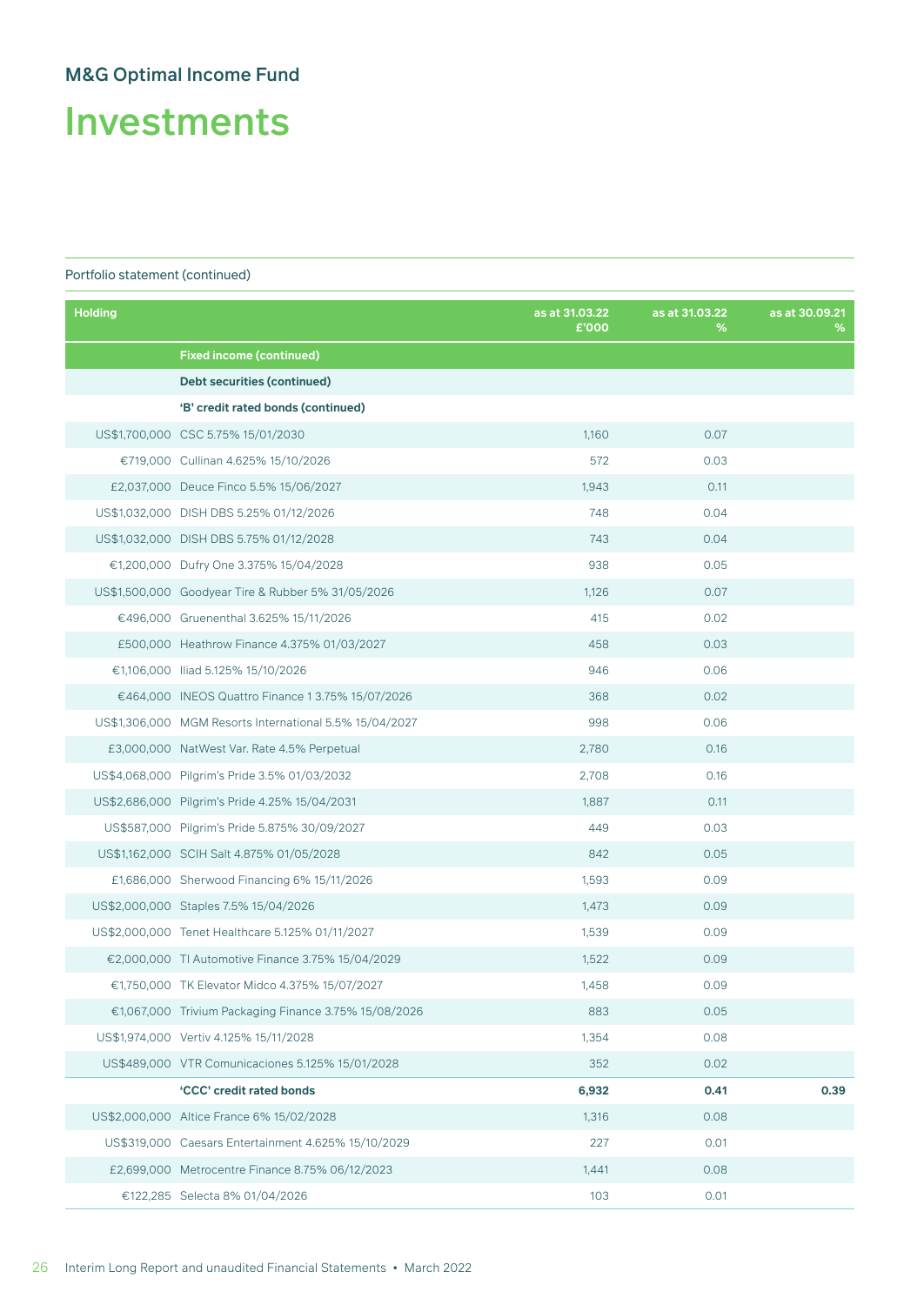Investments

| <b>Holding</b> |                                                         | as at 31.03.22<br>£'000 | as at 31.03.22<br>% | as at 30.09.21<br>% |
|----------------|---------------------------------------------------------|-------------------------|---------------------|---------------------|
|                | <b>Fixed income (continued)</b>                         |                         |                     |                     |
|                | <b>Debt securities (continued)</b>                      |                         |                     |                     |
|                | 'B' credit rated bonds (continued)                      |                         |                     |                     |
|                | US\$1,700,000 CSC 5.75% 15/01/2030                      | 1,160                   | 0.07                |                     |
|                | €719,000 Cullinan 4.625% 15/10/2026                     | 572                     | 0.03                |                     |
|                | £2,037,000 Deuce Finco 5.5% 15/06/2027                  | 1,943                   | 0.11                |                     |
|                | US\$1,032,000 DISH DBS 5.25% 01/12/2026                 | 748                     | 0.04                |                     |
|                | US\$1,032,000 DISH DBS 5.75% 01/12/2028                 | 743                     | 0.04                |                     |
|                | €1,200,000 Dufry One 3.375% 15/04/2028                  | 938                     | 0.05                |                     |
|                | US\$1,500,000 Goodyear Tire & Rubber 5% 31/05/2026      | 1,126                   | 0.07                |                     |
|                | €496,000 Gruenenthal 3.625% 15/11/2026                  | 415                     | 0.02                |                     |
|                | £500,000 Heathrow Finance 4.375% 01/03/2027             | 458                     | 0.03                |                     |
|                | €1,106,000 Iliad 5.125% 15/10/2026                      | 946                     | 0.06                |                     |
|                | €464,000 INEOS Quattro Finance 1 3.75% 15/07/2026       | 368                     | 0.02                |                     |
|                | US\$1,306,000 MGM Resorts International 5.5% 15/04/2027 | 998                     | 0.06                |                     |
|                | £3,000,000 NatWest Var. Rate 4.5% Perpetual             | 2,780                   | 0.16                |                     |
|                | US\$4,068,000 Pilgrim's Pride 3.5% 01/03/2032           | 2,708                   | 0.16                |                     |
|                | US\$2,686,000 Pilgrim's Pride 4.25% 15/04/2031          | 1,887                   | 0.11                |                     |
|                | US\$587,000 Pilgrim's Pride 5.875% 30/09/2027           | 449                     | 0.03                |                     |
|                | US\$1,162,000 SCIH Salt 4.875% 01/05/2028               | 842                     | 0.05                |                     |
|                | £1,686,000 Sherwood Financing 6% 15/11/2026             | 1,593                   | 0.09                |                     |
|                | US\$2,000,000 Staples 7.5% 15/04/2026                   | 1,473                   | 0.09                |                     |
|                | US\$2,000,000 Tenet Healthcare 5.125% 01/11/2027        | 1,539                   | 0.09                |                     |
|                | €2,000,000 TI Automotive Finance 3.75% 15/04/2029       | 1,522                   | 0.09                |                     |
|                | €1,750,000 TK Elevator Midco 4.375% 15/07/2027          | 1,458                   | 0.09                |                     |
|                | €1,067,000 Trivium Packaging Finance 3.75% 15/08/2026   | 883                     | 0.05                |                     |
|                | US\$1,974,000 Vertiv 4.125% 15/11/2028                  | 1,354                   | 0.08                |                     |
|                | US\$489,000 VTR Comunicaciones 5.125% 15/01/2028        | 352                     | 0.02                |                     |
|                | 'CCC' credit rated bonds                                | 6,932                   | 0.41                | 0.39                |
|                | US\$2,000,000 Altice France 6% 15/02/2028               | 1,316                   | 0.08                |                     |
|                | US\$319,000 Caesars Entertainment 4.625% 15/10/2029     | 227                     | 0.01                |                     |
|                | £2,699,000 Metrocentre Finance 8.75% 06/12/2023         | 1,441                   | 0.08                |                     |
|                | €122,285 Selecta 8% 01/04/2026                          | 103                     | 0.01                |                     |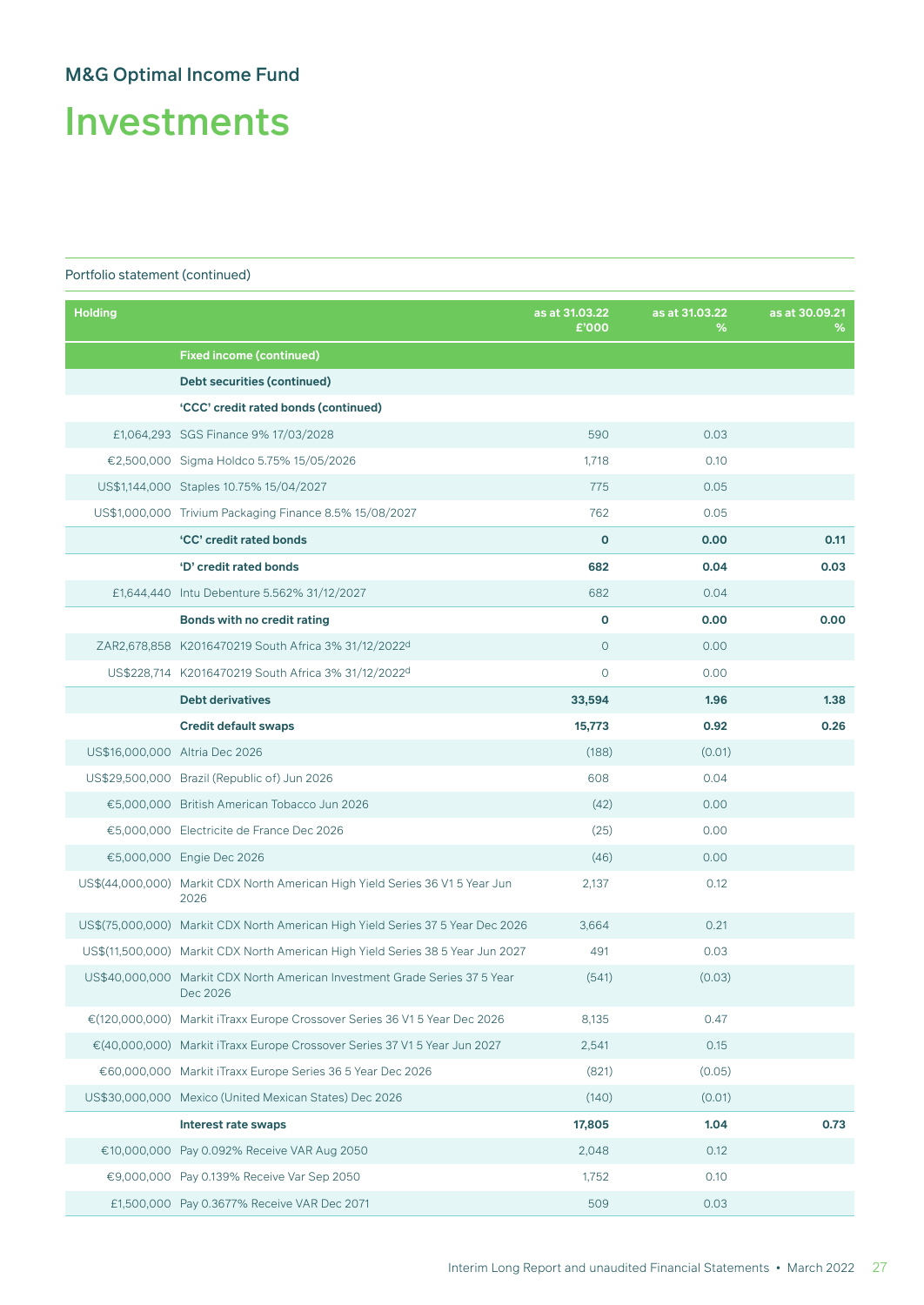Investments

| <b>Holding</b> |                                                                                        | as at 31.03.22<br>£'000 | as at 31.03.22<br>℅ | as at 30.09.21<br>℅ |
|----------------|----------------------------------------------------------------------------------------|-------------------------|---------------------|---------------------|
|                | <b>Fixed income (continued)</b>                                                        |                         |                     |                     |
|                | <b>Debt securities (continued)</b>                                                     |                         |                     |                     |
|                | 'CCC' credit rated bonds (continued)                                                   |                         |                     |                     |
|                | £1,064,293 SGS Finance 9% 17/03/2028                                                   | 590                     | 0.03                |                     |
|                | €2,500,000 Sigma Holdco 5.75% 15/05/2026                                               | 1,718                   | 0.10                |                     |
|                | US\$1,144,000 Staples 10.75% 15/04/2027                                                | 775                     | 0.05                |                     |
|                | US\$1,000,000 Trivium Packaging Finance 8.5% 15/08/2027                                | 762                     | 0.05                |                     |
|                | 'CC' credit rated bonds                                                                | $\mathbf{o}$            | 0.00                | 0.11                |
|                | 'D' credit rated bonds                                                                 | 682                     | 0.04                | 0.03                |
|                | £1,644,440 Intu Debenture 5.562% 31/12/2027                                            | 682                     | 0.04                |                     |
|                | <b>Bonds with no credit rating</b>                                                     | $\mathbf{o}$            | 0.00                | 0.00                |
|                | ZAR2,678,858 K2016470219 South Africa 3% 31/12/2022d                                   | $\overline{O}$          | 0.00                |                     |
|                | US\$228,714 K2016470219 South Africa 3% 31/12/2022d                                    | $\circ$                 | 0.00                |                     |
|                | <b>Debt derivatives</b>                                                                | 33,594                  | 1.96                | 1.38                |
|                | <b>Credit default swaps</b>                                                            | 15,773                  | 0.92                | 0.26                |
|                | US\$16,000,000 Altria Dec 2026                                                         | (188)                   | (0.01)              |                     |
|                | US\$29,500,000 Brazil (Republic of) Jun 2026                                           | 608                     | 0.04                |                     |
|                | €5,000,000 British American Tobacco Jun 2026                                           | (42)                    | 0.00                |                     |
|                | €5,000,000 Electricite de France Dec 2026                                              | (25)                    | 0.00                |                     |
|                | €5,000,000 Engie Dec 2026                                                              | (46)                    | 0.00                |                     |
|                | US\$(44,000,000) Markit CDX North American High Yield Series 36 V1 5 Year Jun<br>2026  | 2,137                   | 0.12                |                     |
|                | US\$(75,000,000) Markit CDX North American High Yield Series 37 5 Year Dec 2026        | 3,664                   | 0.21                |                     |
|                | US\$(11,500,000) Markit CDX North American High Yield Series 38 5 Year Jun 2027        | 491                     | 0.03                |                     |
|                | US\$40,000,000 Markit CDX North American Investment Grade Series 37 5 Year<br>Dec 2026 | (541)                   | (0.03)              |                     |
|                | €(120,000,000) Markit iTraxx Europe Crossover Series 36 V1 5 Year Dec 2026             | 8,135                   | 0.47                |                     |
|                | €(40,000,000) Markit iTraxx Europe Crossover Series 37 V1 5 Year Jun 2027              | 2,541                   | 0.15                |                     |
|                | €60,000,000 Markit iTraxx Europe Series 36 5 Year Dec 2026                             | (821)                   | (0.05)              |                     |
|                | US\$30,000,000 Mexico (United Mexican States) Dec 2026                                 | (140)                   | (0.01)              |                     |
|                | Interest rate swaps                                                                    | 17,805                  | 1.04                | 0.73                |
|                | €10,000,000 Pay 0.092% Receive VAR Aug 2050                                            | 2,048                   | 0.12                |                     |
|                | €9,000,000 Pay 0.139% Receive Var Sep 2050                                             | 1,752                   | 0.10                |                     |
|                | £1,500,000 Pay 0.3677% Receive VAR Dec 2071                                            | 509                     | 0.03                |                     |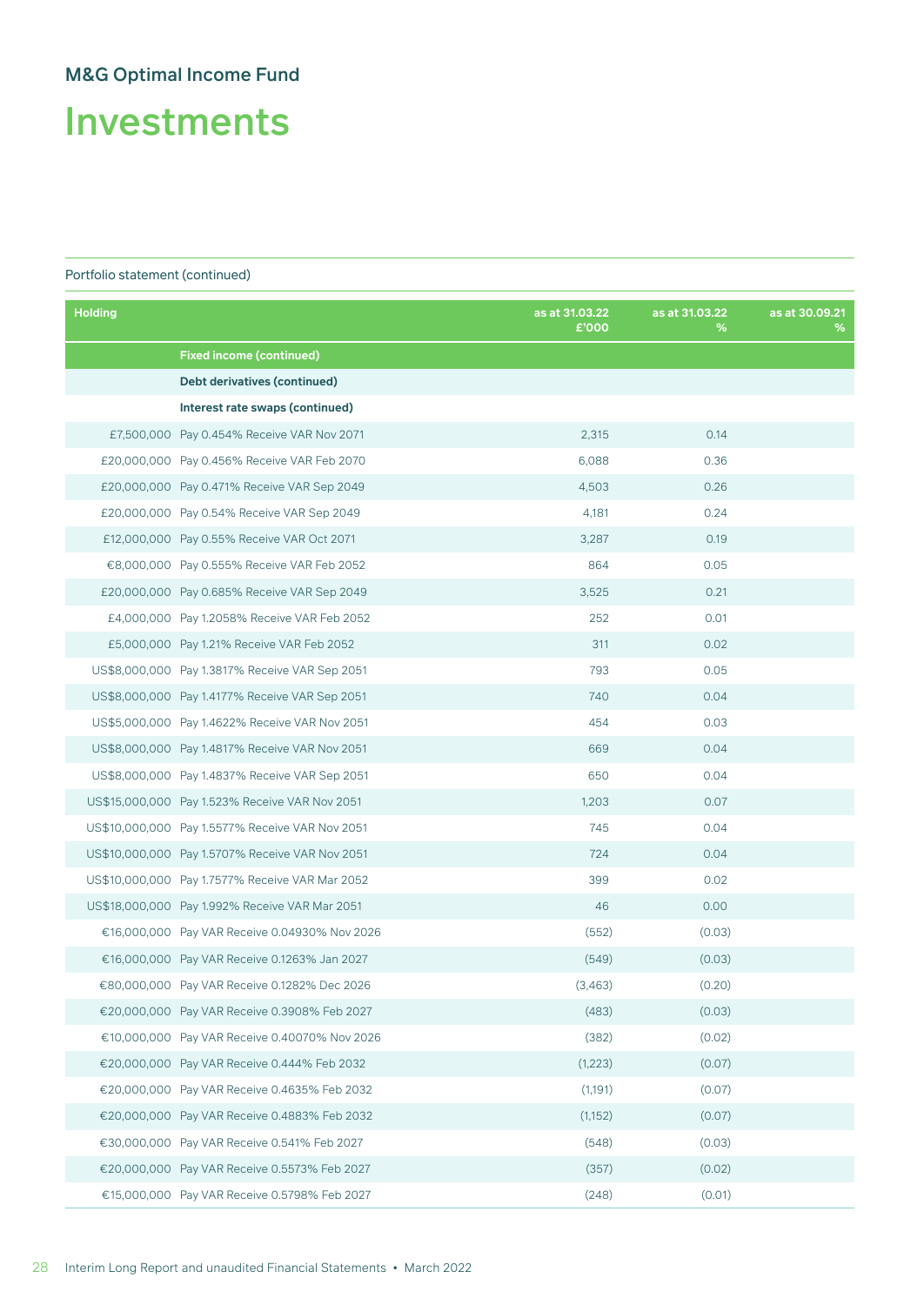Investments

| <b>Holding</b> |                                                 | as at 31.03.22<br>£'000 | as at 31.03.22<br>℅ | as at 30.09.21<br>% |
|----------------|-------------------------------------------------|-------------------------|---------------------|---------------------|
|                | <b>Fixed income (continued)</b>                 |                         |                     |                     |
|                | Debt derivatives (continued)                    |                         |                     |                     |
|                | Interest rate swaps (continued)                 |                         |                     |                     |
|                | £7,500,000 Pay 0.454% Receive VAR Nov 2071      | 2,315                   | 0.14                |                     |
|                | £20,000,000 Pay 0.456% Receive VAR Feb 2070     | 6,088                   | 0.36                |                     |
|                | £20,000,000 Pay 0.471% Receive VAR Sep 2049     | 4,503                   | 0.26                |                     |
|                | £20,000,000 Pay 0.54% Receive VAR Sep 2049      | 4,181                   | 0.24                |                     |
|                | £12,000,000 Pay 0.55% Receive VAR Oct 2071      | 3,287                   | 0.19                |                     |
|                | €8,000,000 Pay 0.555% Receive VAR Feb 2052      | 864                     | 0.05                |                     |
|                | £20,000,000 Pay 0.685% Receive VAR Sep 2049     | 3,525                   | 0.21                |                     |
|                | £4,000,000 Pay 1.2058% Receive VAR Feb 2052     | 252                     | 0.01                |                     |
|                | £5,000,000 Pay 1.21% Receive VAR Feb 2052       | 311                     | 0.02                |                     |
|                | US\$8,000,000 Pay 1.3817% Receive VAR Sep 2051  | 793                     | 0.05                |                     |
|                | US\$8,000,000 Pay 1.4177% Receive VAR Sep 2051  | 740                     | 0.04                |                     |
|                | US\$5,000,000 Pay 1.4622% Receive VAR Nov 2051  | 454                     | 0.03                |                     |
|                | US\$8,000,000 Pay 1.4817% Receive VAR Nov 2051  | 669                     | 0.04                |                     |
|                | US\$8,000,000 Pay 1.4837% Receive VAR Sep 2051  | 650                     | 0.04                |                     |
|                | US\$15,000,000 Pay 1.523% Receive VAR Nov 2051  | 1,203                   | 0.07                |                     |
|                | US\$10,000,000 Pay 1.5577% Receive VAR Nov 2051 | 745                     | 0.04                |                     |
|                | US\$10,000,000 Pay 1.5707% Receive VAR Nov 2051 | 724                     | 0.04                |                     |
|                | US\$10,000,000 Pay 1.7577% Receive VAR Mar 2052 | 399                     | 0.02                |                     |
|                | US\$18,000,000 Pay 1.992% Receive VAR Mar 2051  | 46                      | 0.00                |                     |
|                | €16,000,000 Pay VAR Receive 0.04930% Nov 2026   | (552)                   | (0.03)              |                     |
|                | €16,000,000 Pay VAR Receive 0.1263% Jan 2027    | (549)                   | (0.03)              |                     |
|                | €80,000,000 Pay VAR Receive 0.1282% Dec 2026    | (3,463)                 | (0.20)              |                     |
|                | €20,000,000 Pay VAR Receive 0.3908% Feb 2027    | (483)                   | (0.03)              |                     |
|                | €10,000,000 Pay VAR Receive 0.40070% Nov 2026   | (382)                   | (0.02)              |                     |
|                | €20,000,000 Pay VAR Receive 0.444% Feb 2032     | (1,223)                 | (0.07)              |                     |
|                | €20,000,000 Pay VAR Receive 0.4635% Feb 2032    | (1,191)                 | (0.07)              |                     |
|                | €20,000,000 Pay VAR Receive 0.4883% Feb 2032    | (1, 152)                | (0.07)              |                     |
|                | €30,000,000 Pay VAR Receive 0.541% Feb 2027     | (548)                   | (0.03)              |                     |
|                | €20,000,000 Pay VAR Receive 0.5573% Feb 2027    | (357)                   | (0.02)              |                     |
|                | €15,000,000 Pay VAR Receive 0.5798% Feb 2027    | (248)                   | (0.01)              |                     |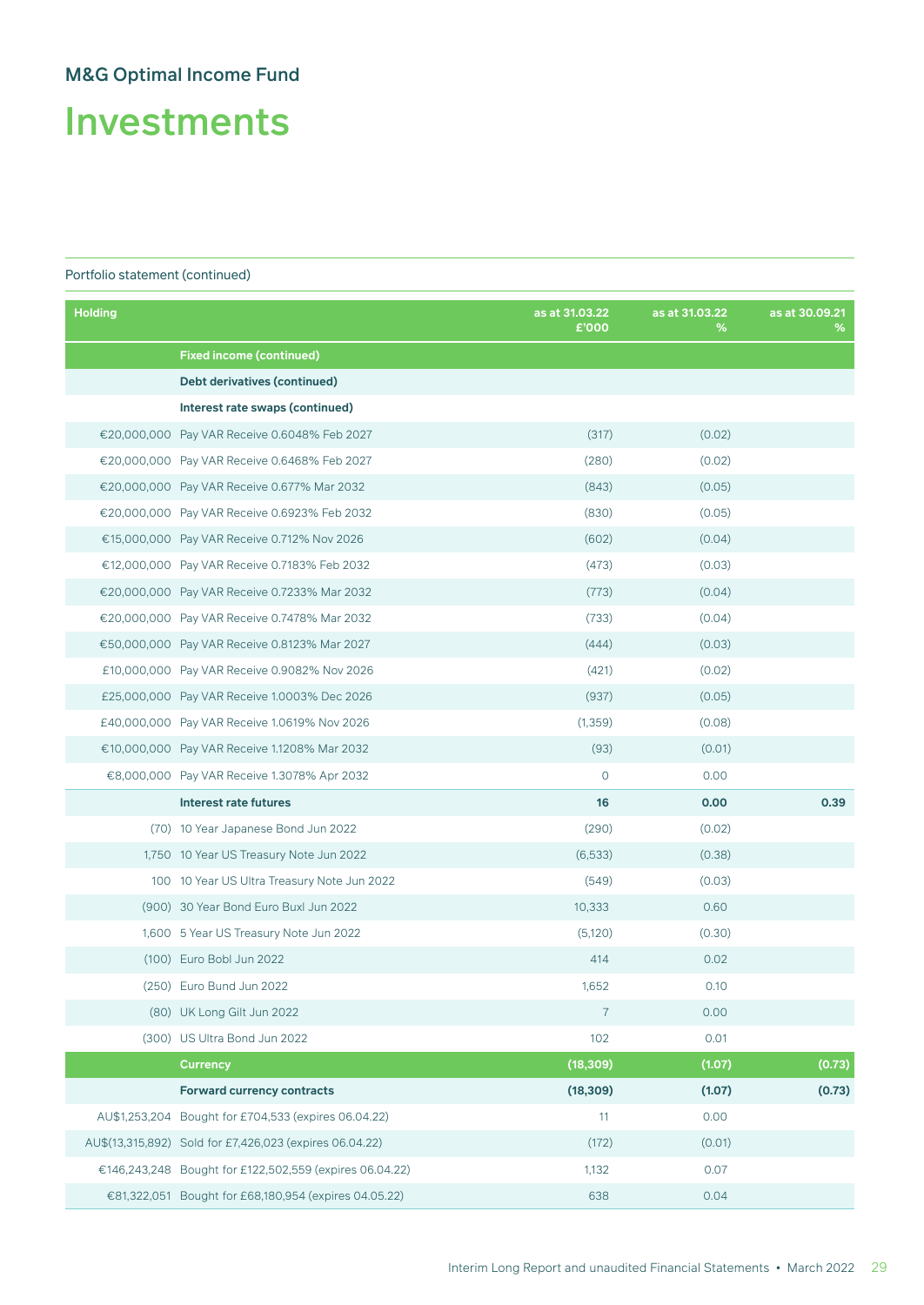Investments

| <b>Holding</b> |                                                         | as at 31.03.22<br>£'000 | as at 31.03.22<br>% | as at 30.09.21<br>% |
|----------------|---------------------------------------------------------|-------------------------|---------------------|---------------------|
|                | <b>Fixed income (continued)</b>                         |                         |                     |                     |
|                | Debt derivatives (continued)                            |                         |                     |                     |
|                | Interest rate swaps (continued)                         |                         |                     |                     |
|                | €20,000,000 Pay VAR Receive 0.6048% Feb 2027            | (317)                   | (0.02)              |                     |
|                | €20,000,000 Pay VAR Receive 0.6468% Feb 2027            | (280)                   | (0.02)              |                     |
|                | €20,000,000 Pay VAR Receive 0.677% Mar 2032             | (843)                   | (0.05)              |                     |
|                | €20,000,000 Pay VAR Receive 0.6923% Feb 2032            | (830)                   | (0.05)              |                     |
|                | €15,000,000 Pay VAR Receive 0.712% Nov 2026             | (602)                   | (0.04)              |                     |
|                | €12,000,000 Pay VAR Receive 0.7183% Feb 2032            | (473)                   | (0.03)              |                     |
|                | €20,000,000 Pay VAR Receive 0.7233% Mar 2032            | (773)                   | (0.04)              |                     |
|                | €20,000,000 Pay VAR Receive 0.7478% Mar 2032            | (733)                   | (0.04)              |                     |
|                | €50,000,000 Pay VAR Receive 0.8123% Mar 2027            | (444)                   | (0.03)              |                     |
|                | £10,000,000 Pay VAR Receive 0.9082% Nov 2026            | (421)                   | (0.02)              |                     |
|                | £25,000,000 Pay VAR Receive 1.0003% Dec 2026            | (937)                   | (0.05)              |                     |
|                | £40,000,000 Pay VAR Receive 1.0619% Nov 2026            | (1, 359)                | (0.08)              |                     |
|                | €10,000,000 Pay VAR Receive 1.1208% Mar 2032            | (93)                    | (0.01)              |                     |
|                | €8,000,000 Pay VAR Receive 1.3078% Apr 2032             | $\circ$                 | 0.00                |                     |
|                | <b>Interest rate futures</b>                            | 16                      | 0.00                | 0.39                |
|                | (70) 10 Year Japanese Bond Jun 2022                     | (290)                   | (0.02)              |                     |
|                | 1,750 10 Year US Treasury Note Jun 2022                 | (6,533)                 | (0.38)              |                     |
|                | 100 10 Year US Ultra Treasury Note Jun 2022             | (549)                   | (0.03)              |                     |
|                | (900) 30 Year Bond Euro Buxl Jun 2022                   | 10,333                  | 0.60                |                     |
|                | 1,600 5 Year US Treasury Note Jun 2022                  | (5,120)                 | (0.30)              |                     |
|                | (100) Euro Bobl Jun 2022                                | 414                     | 0.02                |                     |
|                | (250) Euro Bund Jun 2022                                | 1,652                   | 0.10                |                     |
|                | (80) UK Long Gilt Jun 2022                              | $\overline{7}$          | 0.00                |                     |
|                | (300) US Ultra Bond Jun 2022                            | 102                     | 0.01                |                     |
|                | <b>Currency</b>                                         | (18, 309)               | (1.07)              | (0.73)              |
|                | <b>Forward currency contracts</b>                       | (18, 309)               | (1.07)              | (0.73)              |
|                | AU\$1,253,204 Bought for £704,533 (expires 06.04.22)    | 11                      | 0.00                |                     |
|                | AU\$(13,315,892) Sold for £7,426,023 (expires 06.04.22) | (172)                   | (0.01)              |                     |
|                | €146,243,248 Bought for £122,502,559 (expires 06.04.22) | 1,132                   | 0.07                |                     |
|                | €81,322,051 Bought for £68,180,954 (expires 04.05.22)   | 638                     | 0.04                |                     |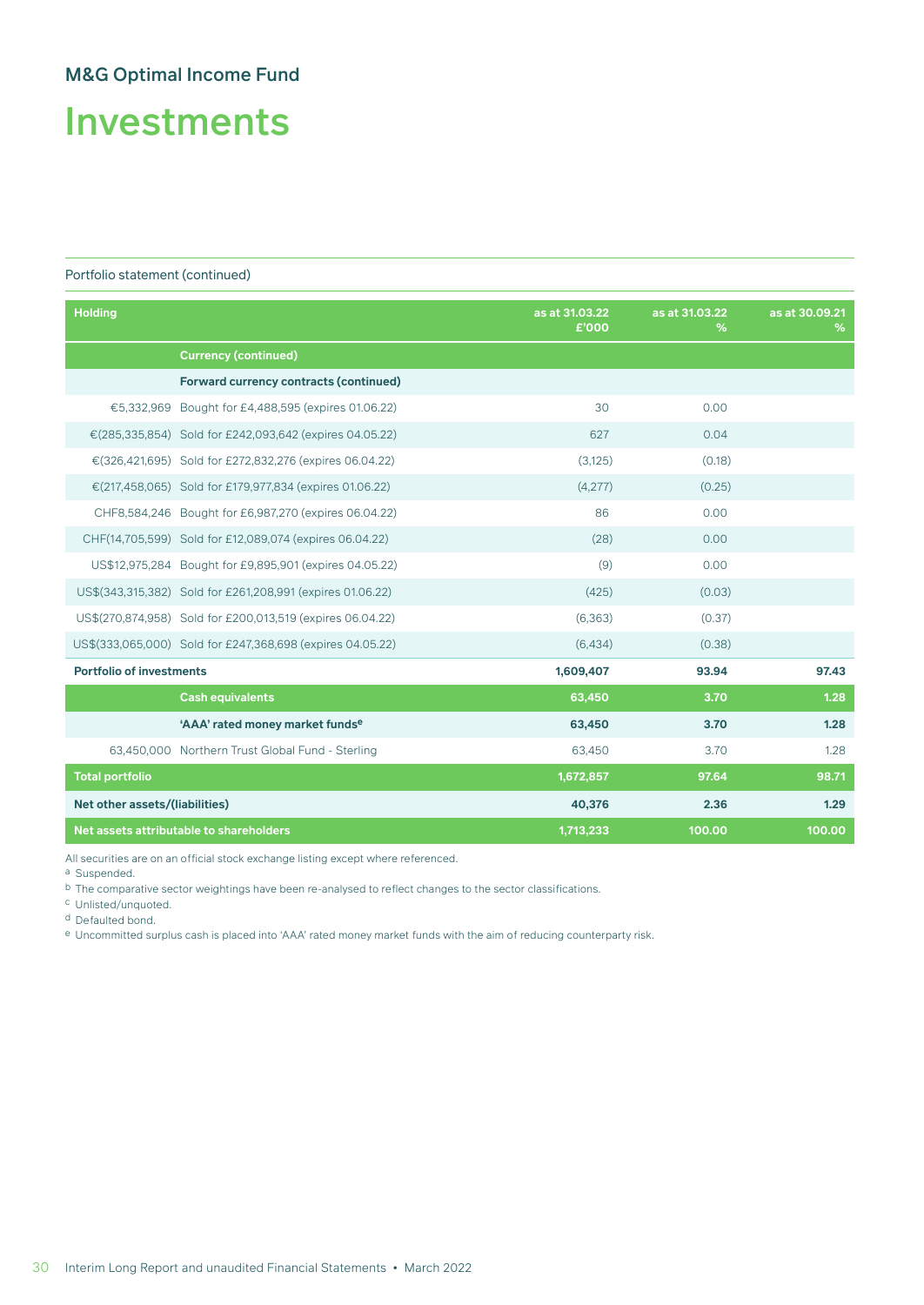# Investments

#### Portfolio statement (continued)

| <b>Holding</b>                  |                                                            | as at 31.03.22<br>£'000 | as at 31.03.22<br>% | as at 30.09.21<br>% |
|---------------------------------|------------------------------------------------------------|-------------------------|---------------------|---------------------|
|                                 | <b>Currency (continued)</b>                                |                         |                     |                     |
|                                 | <b>Forward currency contracts (continued)</b>              |                         |                     |                     |
|                                 | €5,332,969 Bought for £4,488,595 (expires 01.06.22)        | 30                      | 0.00                |                     |
|                                 | €(285,335,854) Sold for £242,093,642 (expires 04.05.22)    | 627                     | 0.04                |                     |
|                                 | €(326,421,695) Sold for £272,832,276 (expires 06.04.22)    | (3, 125)                | (0.18)              |                     |
|                                 | €(217,458,065) Sold for £179,977,834 (expires 01.06.22)    | (4,277)                 | (0.25)              |                     |
|                                 | CHF8,584,246 Bought for £6,987,270 (expires 06.04.22)      | 86                      | 0.00                |                     |
|                                 | CHF(14,705,599) Sold for £12,089,074 (expires 06.04.22)    | (28)                    | 0.00                |                     |
|                                 | US\$12,975,284 Bought for £9,895,901 (expires 04.05.22)    | (9)                     | 0.00                |                     |
|                                 | US\$(343,315,382) Sold for £261,208,991 (expires 01.06.22) | (425)                   | (0.03)              |                     |
|                                 | US\$(270,874,958) Sold for £200,013,519 (expires 06.04.22) | (6, 363)                | (0.37)              |                     |
|                                 | US\$(333,065,000) Sold for £247,368,698 (expires 04.05.22) | (6,434)                 | (0.38)              |                     |
| <b>Portfolio of investments</b> |                                                            | 1,609,407               | 93.94               | 97.43               |
|                                 | <b>Cash equivalents</b>                                    | 63,450                  | 3.70                | 1.28                |
|                                 | 'AAA' rated money market fundse                            | 63,450                  | 3.70                | 1,28                |
|                                 | 63,450,000 Northern Trust Global Fund - Sterling           | 63,450                  | 3.70                | 1.28                |
| <b>Total portfolio</b>          |                                                            | 1,672,857               | 97.64               | 98.71               |
| Net other assets/(liabilities)  |                                                            | 40,376                  | 2.36                | 1.29                |
|                                 | Net assets attributable to shareholders                    | 1,713,233               | 100.00              | 100.00              |

All securities are on an official stock exchange listing except where referenced.

a Suspended.

b The comparative sector weightings have been re-analysed to reflect changes to the sector classifications.

- c Unlisted/unquoted.
- d Defaulted bond.

e Uncommitted surplus cash is placed into 'AAA' rated money market funds with the aim of reducing counterparty risk.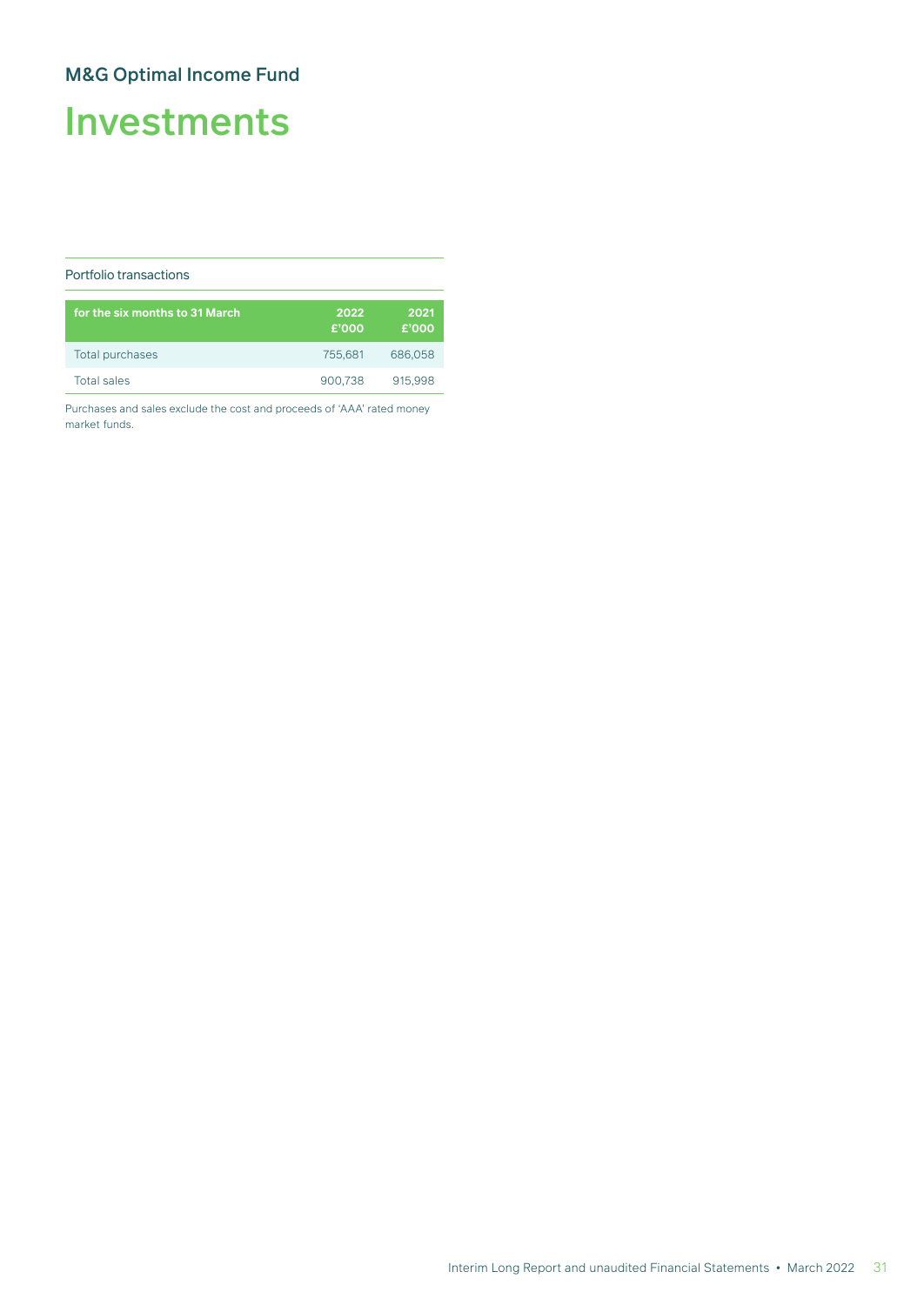# Investments

#### Portfolio transactions

| for the six months to 31 March | 2022<br>£'000 | 2021<br>£'000 |
|--------------------------------|---------------|---------------|
| Total purchases                | 755.681       | 686,058       |
| <b>Total sales</b>             | 900.738       | 915.998       |

Purchases and sales exclude the cost and proceeds of 'AAA' rated money market funds.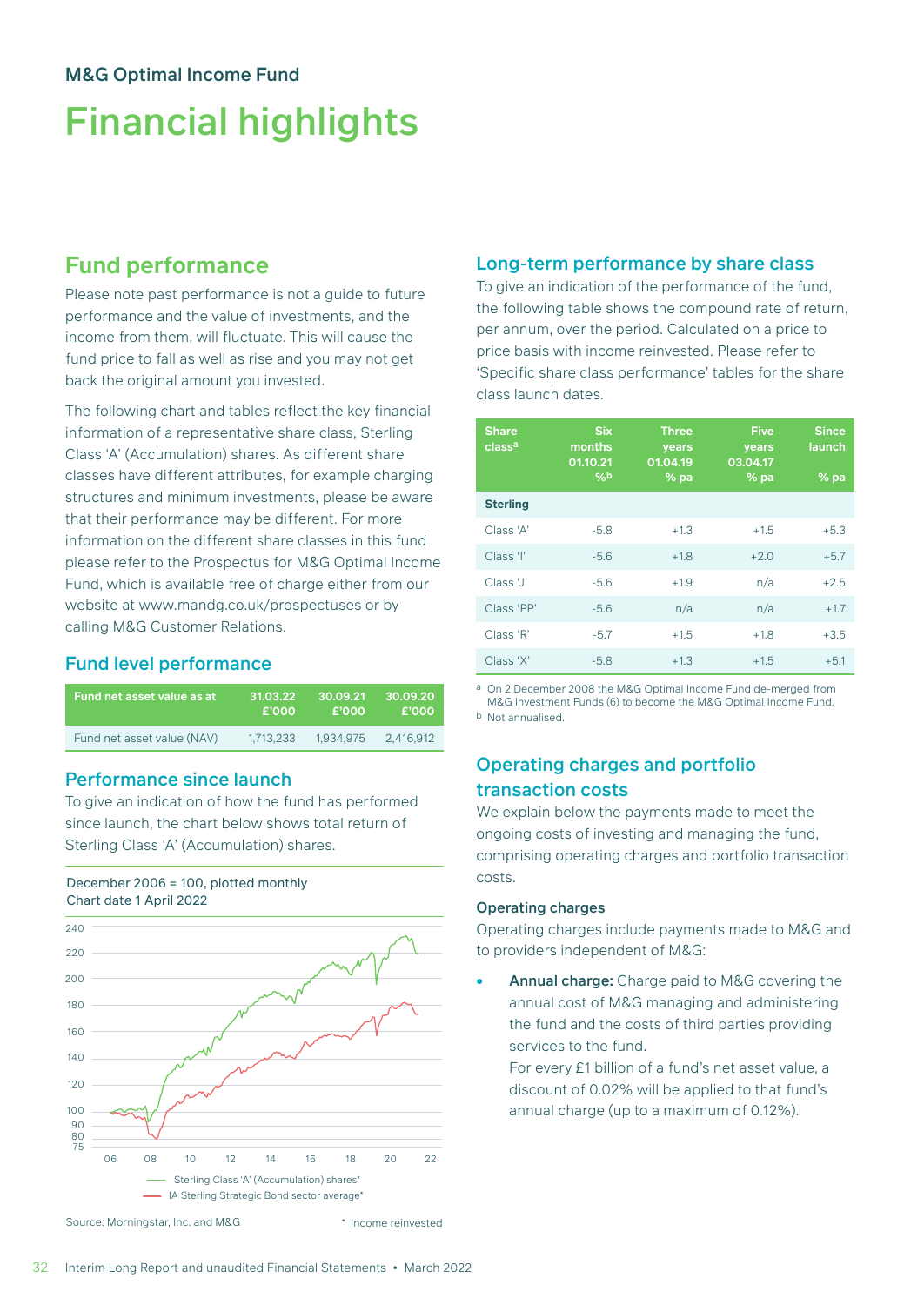# Financial highlights

## **Fund performance**

Please note past performance is not a guide to future performance and the value of investments, and the income from them, will fluctuate. This will cause the fund price to fall as well as rise and you may not get back the original amount you invested.

The following chart and tables reflect the key financial information of a representative share class, Sterling Class 'A' (Accumulation) shares. As different share classes have different attributes, for example charging structures and minimum investments, please be aware that their performance may be different. For more information on the different share classes in this fund please refer to the Prospectus for M&G Optimal Income Fund, which is available free of charge either from our website at www.mandg.co.uk/prospectuses or by calling M&G Customer Relations.

### Fund level performance

| Fund net asset value as at | 31.03.22  | 30.09.21  | 30.09.20  |
|----------------------------|-----------|-----------|-----------|
|                            | £'000     | £'000     | £'000     |
| Fund net asset value (NAV) | 1.713.233 | 1.934.975 | 2.416.912 |

### Performance since launch

To give an indication of how the fund has performed since launch, the chart below shows total return of Sterling Class 'A' (Accumulation) shares.

#### December 2006 = 100, plotted monthly Chart date 1 April 2022



#### Source: Morningstar, Inc. and M&G

#### \* Income reinvested

#### Long-term performance by share class

To give an indication of the performance of the fund, the following table shows the compound rate of return, per annum, over the period. Calculated on a price to price basis with income reinvested. Please refer to 'Specific share class performance' tables for the share class launch dates.

| <b>Share</b><br>class <sup>a</sup> | <b>Six</b><br>months<br>01.10.21<br>96 <sub>b</sub> | <b>Three</b><br>years<br>01.04.19<br>%pa | <b>Five</b><br>years<br>03.04.17<br>%pa | <b>Since</b><br>launch<br>%pa |
|------------------------------------|-----------------------------------------------------|------------------------------------------|-----------------------------------------|-------------------------------|
| <b>Sterling</b>                    |                                                     |                                          |                                         |                               |
| Class 'A'                          | $-5.8$                                              | $+1.3$                                   | $+1.5$                                  | $+5.3$                        |
| Class 'l'                          | $-5.6$                                              | $+1.8$                                   | $+2.0$                                  | $+5.7$                        |
| Class 'J'                          | $-5.6$                                              | $+1.9$                                   | n/a                                     | $+2.5$                        |
| Class 'PP'                         | $-5.6$                                              | n/a                                      | n/a                                     | $+1.7$                        |
| Class 'R'                          | $-5.7$                                              | $+1.5$                                   | $+1.8$                                  | $+3.5$                        |
| Class 'X'                          | $-5.8$                                              | $+1.3$                                   | $+1.5$                                  | $+5.1$                        |

a On 2 December 2008 the M&G Optimal Income Fund de-merged from M&G Investment Funds (6) to become the M&G Optimal Income Fund. b Not annualised.

### Operating charges and portfolio transaction costs

We explain below the payments made to meet the ongoing costs of investing and managing the fund, comprising operating charges and portfolio transaction costs.

#### Operating charges

Operating charges include payments made to M&G and to providers independent of M&G:

Annual charge: Charge paid to M&G covering the annual cost of M&G managing and administering the fund and the costs of third parties providing services to the fund.

For every £1 billion of a fund's net asset value, a discount of 0.02% will be applied to that fund's annual charge (up to a maximum of 0.12%).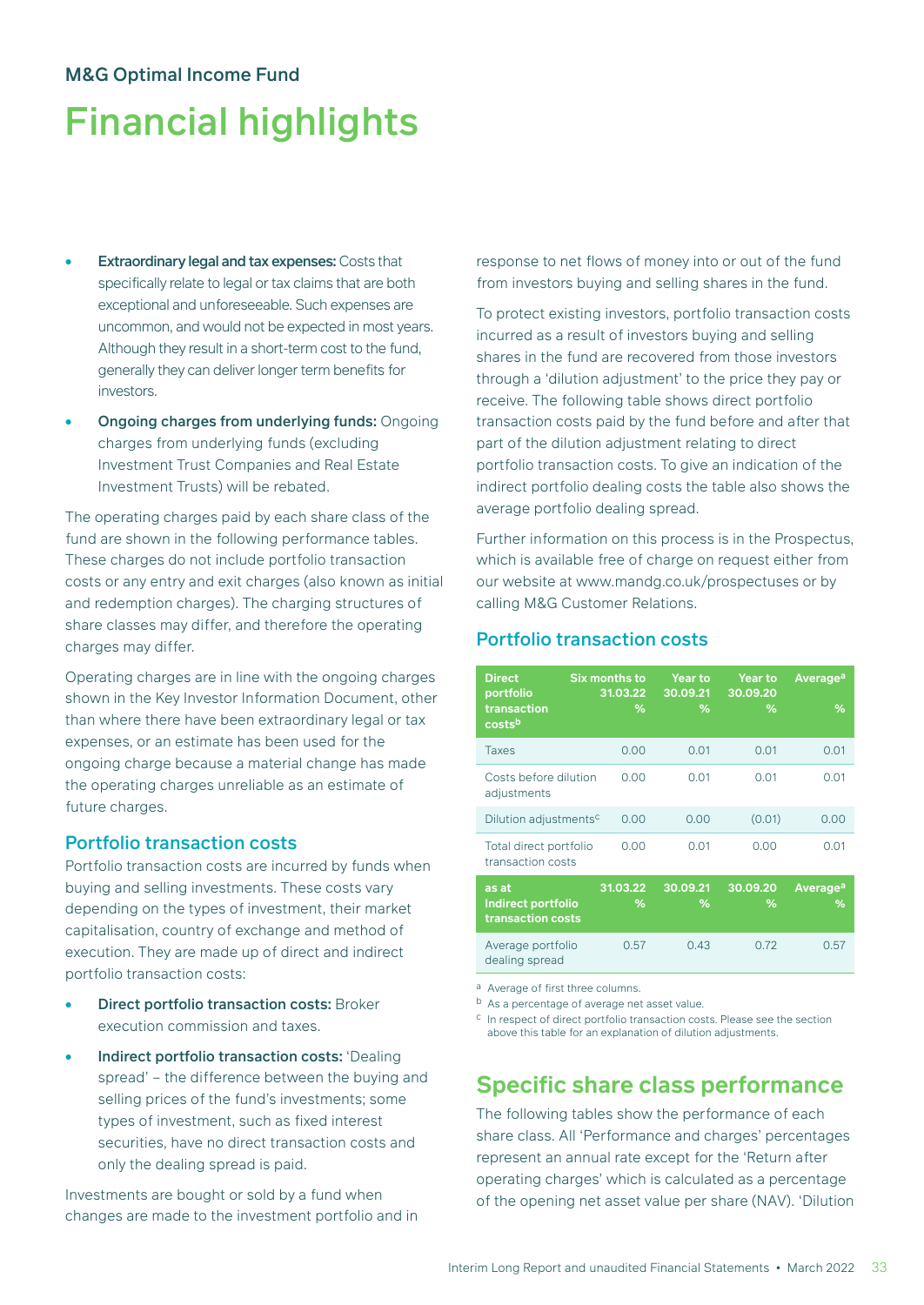# Financial highlights

- **Extraordinary legal and tax expenses: Costs that** specifically relate to legal or tax claims that are both exceptional and unforeseeable. Such expenses are uncommon, and would not be expected in most years. Although they result in a short-term cost to the fund, generally they can deliver longer term benefits for investors.
- Ongoing charges from underlying funds: Ongoing charges from underlying funds (excluding Investment Trust Companies and Real Estate Investment Trusts) will be rebated.

The operating charges paid by each share class of the fund are shown in the following performance tables. These charges do not include portfolio transaction costs or any entry and exit charges (also known as initial and redemption charges). The charging structures of share classes may differ, and therefore the operating charges may differ.

Operating charges are in line with the ongoing charges shown in the Key Investor Information Document, other than where there have been extraordinary legal or tax expenses, or an estimate has been used for the ongoing charge because a material change has made the operating charges unreliable as an estimate of future charges.

#### Portfolio transaction costs

Portfolio transaction costs are incurred by funds when buying and selling investments. These costs vary depending on the types of investment, their market capitalisation, country of exchange and method of execution. They are made up of direct and indirect portfolio transaction costs:

- **Direct portfolio transaction costs: Broker** execution commission and taxes.
- Indirect portfolio transaction costs: 'Dealing spread' – the difference between the buying and selling prices of the fund's investments; some types of investment, such as fixed interest securities, have no direct transaction costs and only the dealing spread is paid.

Investments are bought or sold by a fund when changes are made to the investment portfolio and in response to net flows of money into or out of the fund from investors buying and selling shares in the fund.

To protect existing investors, portfolio transaction costs incurred as a result of investors buying and selling shares in the fund are recovered from those investors through a 'dilution adjustment' to the price they pay or receive. The following table shows direct portfolio transaction costs paid by the fund before and after that part of the dilution adjustment relating to direct portfolio transaction costs. To give an indication of the indirect portfolio dealing costs the table also shows the average portfolio dealing spread.

Further information on this process is in the Prospectus, which is available free of charge on request either from our website at www.mandg.co.uk/prospectuses or by calling M&G Customer Relations.

### Portfolio transaction costs

| <b>Direct</b><br>portfolio<br>transaction<br>costsb | Six months to<br>31.03.22<br>℅ | <b>Year to</b><br>30.09.21<br>℅ | <b>Year to</b><br>30.09.20<br>℅ | <b>Average<sup>a</sup></b><br>% |
|-----------------------------------------------------|--------------------------------|---------------------------------|---------------------------------|---------------------------------|
| <b>Taxes</b>                                        | 0.00                           | 0.01                            | 0.01                            | 0.01                            |
| Costs before dilution<br>adjustments                | 0.00                           | 0.01                            | 0.01                            | 0.01                            |
| Dilution adjustmentsc                               | 0.00                           | 0.00                            | (0.01)                          | 0.00                            |
| Total direct portfolio<br>transaction costs         | 0.00                           | 0.01                            | 0.00                            | 0.01                            |
| as at<br>Indirect portfolio<br>transaction costs    | 31.03.22<br>℅                  | 30.09.21<br>℅                   | 30.09.20<br>℅                   | Average <sup>a</sup><br>%       |
| Average portfolio<br>dealing spread                 | 0.57                           | 0.43                            | 0.72                            | 0.57                            |

a Average of first three columns.

b As a percentage of average net asset value.

c In respect of direct portfolio transaction costs. Please see the section above this table for an explanation of dilution adjustments.

## **Specific share class performance**

The following tables show the performance of each share class. All 'Performance and charges' percentages represent an annual rate except for the 'Return after operating charges' which is calculated as a percentage of the opening net asset value per share (NAV). 'Dilution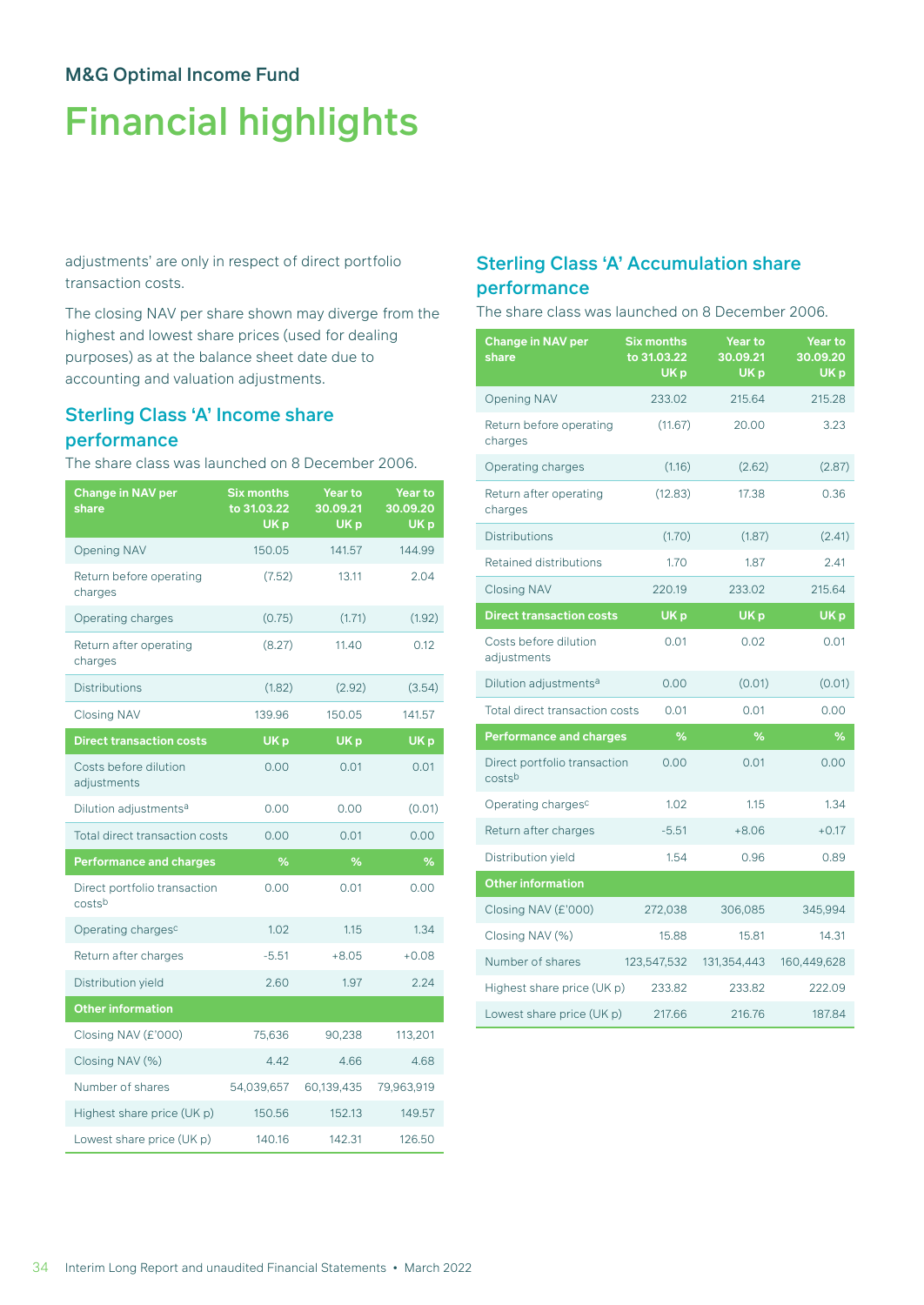# Financial highlights

adjustments' are only in respect of direct portfolio transaction costs.

The closing NAV per share shown may diverge from the highest and lowest share prices (used for dealing purposes) as at the balance sheet date due to accounting and valuation adjustments.

### Sterling Class 'A' Income share performance

The share class was launched on 8 December 2006.

| <b>Change in NAV per</b><br>share      | <b>Six months</b><br>to 31.03.22<br>UK <sub>p</sub> | <b>Year to</b><br>30.09.21<br>UK <sub>p</sub> | <b>Year to</b><br>30.09.20<br>UK <sub>p</sub> |
|----------------------------------------|-----------------------------------------------------|-----------------------------------------------|-----------------------------------------------|
| <b>Opening NAV</b>                     | 150.05                                              | 141.57                                        | 144.99                                        |
| Return before operating<br>charges     | (7.52)                                              | 13.11                                         | 2.04                                          |
| Operating charges                      | (0.75)                                              | (1.71)                                        | (1.92)                                        |
| Return after operating<br>charges      | (8.27)                                              | 11.40                                         | 0.12                                          |
| <b>Distributions</b>                   | (1.82)                                              | (2.92)                                        | (3.54)                                        |
| <b>Closing NAV</b>                     | 139.96                                              | 150.05                                        | 141.57                                        |
| <b>Direct transaction costs</b>        | UK <sub>p</sub>                                     | UK <sub>p</sub>                               | UK <sub>p</sub>                               |
| Costs before dilution<br>adjustments   | 0.00                                                | 0.01                                          | 0.01                                          |
| Dilution adjustments <sup>a</sup>      | 0.00                                                | 0.00                                          | (0.01)                                        |
| Total direct transaction costs         | 0.00                                                | 0.01                                          | 0.00                                          |
| <b>Performance and charges</b>         | %                                                   | %                                             | %                                             |
| Direct portfolio transaction<br>costsb | 0.00                                                | 0.01                                          | 0.00                                          |
| Operating charges <sup>c</sup>         | 1.02                                                | 1.15                                          | 1.34                                          |
| Return after charges                   | $-5.51$                                             | $+8.05$                                       | $+0.08$                                       |
| Distribution yield                     | 2.60                                                | 1.97                                          | 2.24                                          |
| <b>Other information</b>               |                                                     |                                               |                                               |
| Closing NAV (£'000)                    | 75,636                                              | 90,238                                        | 113,201                                       |
| Closing NAV (%)                        | 4.42                                                | 4.66                                          | 4.68                                          |
| Number of shares                       | 54,039,657                                          | 60,139,435                                    | 79,963,919                                    |
| Highest share price (UK p)             | 150.56                                              | 152.13                                        | 149.57                                        |
| Lowest share price (UK p)              | 140.16                                              | 142.31                                        | 126.50                                        |

## Sterling Class 'A' Accumulation share performance

The share class was launched on 8 December 2006.

| <b>Change in NAV per</b><br>share      | <b>Six months</b><br>to 31.03.22<br>UK <sub>p</sub> | Year to<br>30.09.21<br>UK <sub>p</sub> | <b>Year to</b><br>30.09.20<br>UK <sub>p</sub> |
|----------------------------------------|-----------------------------------------------------|----------------------------------------|-----------------------------------------------|
| <b>Opening NAV</b>                     | 233.02                                              | 215.64                                 | 215.28                                        |
| Return before operating<br>charges     | (11.67)                                             | 20.00                                  | 3.23                                          |
| Operating charges                      | (1.16)                                              | (2.62)                                 | (2.87)                                        |
| Return after operating<br>charges      | (12.83)                                             | 17.38                                  | 0.36                                          |
| <b>Distributions</b>                   | (1.70)                                              | (1.87)                                 | (2.41)                                        |
| <b>Retained distributions</b>          | 1.70                                                | 1.87                                   | 2.41                                          |
| <b>Closing NAV</b>                     | 220.19                                              | 233.02                                 | 215.64                                        |
| <b>Direct transaction costs</b>        | UK <sub>p</sub>                                     | UK <sub>p</sub>                        | UK <sub>p</sub>                               |
| Costs before dilution<br>adjustments   | 0.01                                                | 0.02                                   | 0.01                                          |
| Dilution adjustments <sup>a</sup>      | 0.00                                                | (0.01)                                 | (0.01)                                        |
| <b>Total direct transaction costs</b>  | 0.01                                                | 0.01                                   | 0.00                                          |
| <b>Performance and charges</b>         | %                                                   | %                                      | %                                             |
| Direct portfolio transaction<br>costsb | 0.00                                                | 0.01                                   | 0.00                                          |
| Operating charges <sup>c</sup>         | 1.02                                                | 1.15                                   | 1.34                                          |
| Return after charges                   | $-5.51$                                             | $+8.06$                                | $+0.17$                                       |
| Distribution yield                     | 1.54                                                | 0.96                                   | 0.89                                          |
| <b>Other information</b>               |                                                     |                                        |                                               |
| Closing NAV (£'000)                    | 272,038                                             | 306,085                                | 345,994                                       |
| Closing NAV (%)                        | 15.88                                               | 15.81                                  | 14.31                                         |
| Number of shares                       | 123,547,532                                         | 131,354,443                            | 160,449,628                                   |
| Highest share price (UK p)             | 233.82                                              | 233.82                                 | 222.09                                        |
| Lowest share price (UK p)              | 217.66                                              | 216.76                                 | 187.84                                        |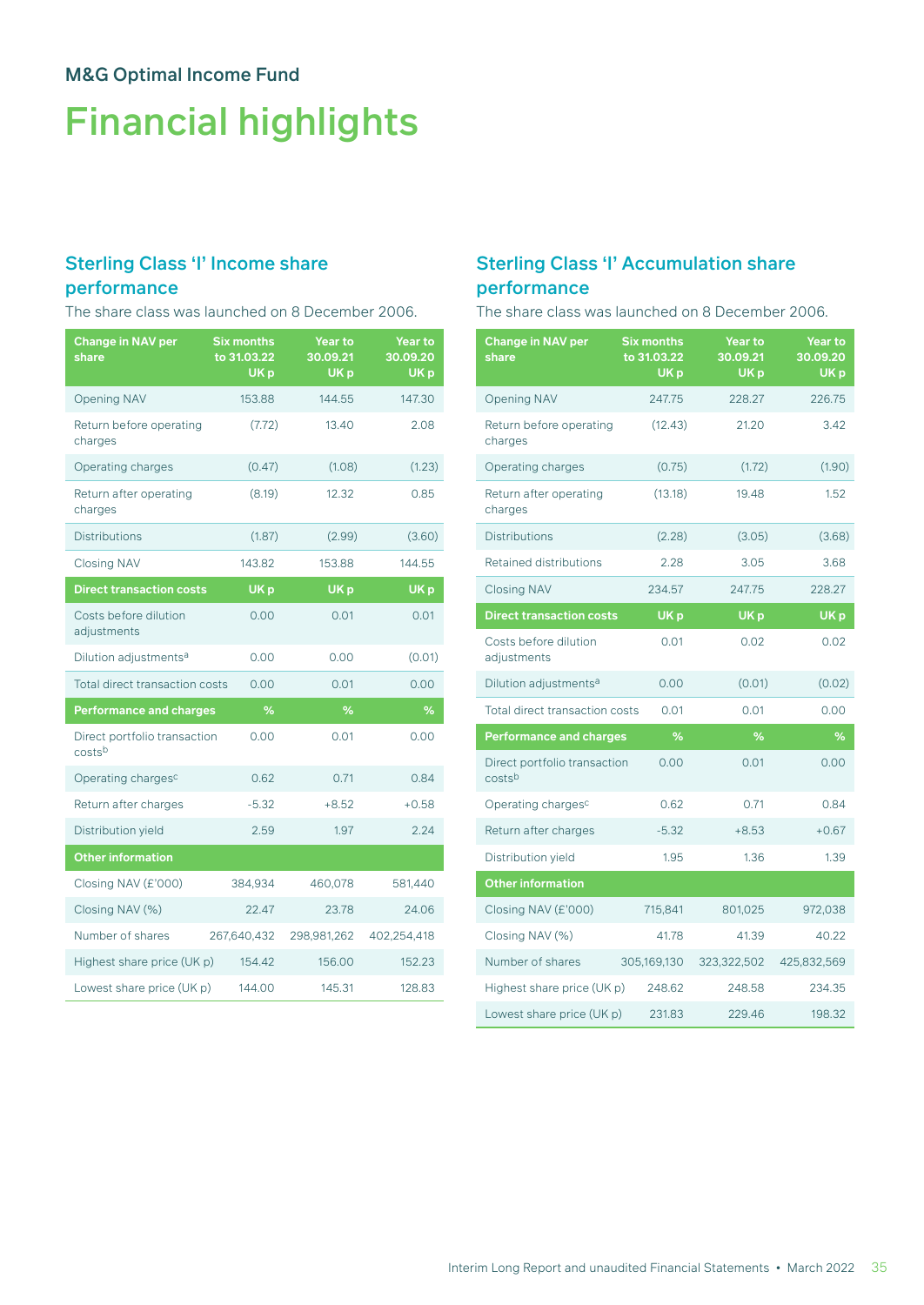# Financial highlights

# Sterling Class 'I' Income share

### performance

The share class was launched on 8 December 2006.

| <b>Change in NAV per</b><br>share      | <b>Six months</b><br>to 31.03.22<br>UK <sub>p</sub> | Year to<br>30.09.21<br>UK <sub>p</sub> | Year to<br>30.09.20<br>UK <sub>p</sub> |
|----------------------------------------|-----------------------------------------------------|----------------------------------------|----------------------------------------|
| <b>Opening NAV</b>                     | 153.88                                              | 144.55                                 | 147.30                                 |
| Return before operating<br>charges     | (7.72)                                              | 13.40                                  | 2.08                                   |
| Operating charges                      | (0.47)                                              | (1.08)                                 | (1.23)                                 |
| Return after operating<br>charges      | (8.19)                                              | 12.32                                  | 0.85                                   |
| <b>Distributions</b>                   | (1.87)                                              | (2.99)                                 | (3.60)                                 |
| <b>Closing NAV</b>                     | 143.82                                              | 153.88                                 | 144.55                                 |
| <b>Direct transaction costs</b>        | UK <sub>p</sub>                                     | UK <sub>p</sub>                        | UK <sub>p</sub>                        |
| Costs before dilution<br>adjustments   | 0.00                                                | 0.01                                   | 0.01                                   |
| Dilution adjustments <sup>a</sup>      | 0.00                                                | 0.00                                   | (0.01)                                 |
| <b>Total direct transaction costs</b>  | 0.00                                                | 0.01                                   | 0.00                                   |
| <b>Performance and charges</b>         | ℅                                                   | %                                      | %                                      |
| Direct portfolio transaction<br>costsb | 0.00                                                | 0.01                                   | 0.00                                   |
| Operating charges <sup>c</sup>         | 0.62                                                | 0.71                                   | 0.84                                   |
| Return after charges                   | $-5.32$                                             | $+8.52$                                | $+0.58$                                |
| Distribution yield                     | 2.59                                                | 1.97                                   | 2.24                                   |
| <b>Other information</b>               |                                                     |                                        |                                        |
| Closing NAV (£'000)                    | 384,934                                             | 460,078                                | 581,440                                |
| Closing NAV (%)                        | 22.47                                               | 23.78                                  | 24.06                                  |
| Number of shares                       | 267,640,432                                         | 298,981,262                            | 402,254,418                            |
| Highest share price (UK p)             | 154.42                                              | 156.00                                 | 152.23                                 |
| Lowest share price (UK p)              | 144.00                                              | 145.31                                 | 128.83                                 |

## Sterling Class 'I' Accumulation share performance

The share class was launched on 8 December 2006.

| Change in NAV per<br>share             | <b>Six months</b><br>to 31.03.22<br>UK <sub>p</sub> | <b>Year to</b><br>30.09.21<br>UK <sub>p</sub> | Year to<br>30.09.20<br>UK <sub>p</sub> |
|----------------------------------------|-----------------------------------------------------|-----------------------------------------------|----------------------------------------|
| <b>Opening NAV</b>                     | 247.75                                              | 228.27                                        | 226.75                                 |
| Return before operating<br>charges     | (12.43)                                             | 21.20                                         | 3.42                                   |
| Operating charges                      | (0.75)                                              | (1.72)                                        | (1.90)                                 |
| Return after operating<br>charges      | (13.18)                                             | 19.48                                         | 1.52                                   |
| <b>Distributions</b>                   | (2.28)                                              | (3.05)                                        | (3.68)                                 |
| Retained distributions                 | 2.28                                                | 3.05                                          | 3.68                                   |
| <b>Closing NAV</b>                     | 234.57                                              | 247.75                                        | 228.27                                 |
| <b>Direct transaction costs</b>        | UK <sub>p</sub>                                     | UK <sub>p</sub>                               | UK <sub>p</sub>                        |
| Costs before dilution<br>adjustments   | 0.01                                                | 0.02                                          | 0.02                                   |
| Dilution adjustments <sup>a</sup>      | 0.00                                                | (0.01)                                        | (0.02)                                 |
| <b>Total direct transaction costs</b>  | 0.01                                                | 0.01                                          | 0.00                                   |
| <b>Performance and charges</b>         | %                                                   | %                                             | %                                      |
| Direct portfolio transaction<br>costsb | 0.00                                                | 0.01                                          | 0.00                                   |
| Operating charges <sup>c</sup>         | 0.62                                                | 0.71                                          | 0.84                                   |
| Return after charges                   | $-5.32$                                             | $+8.53$                                       | $+0.67$                                |
| Distribution yield                     | 1.95                                                | 1.36                                          | 1.39                                   |
| <b>Other information</b>               |                                                     |                                               |                                        |
| Closing NAV (£'000)                    | 715,841                                             | 801,025                                       | 972,038                                |
| Closing NAV (%)                        | 41.78                                               | 41.39                                         | 40.22                                  |
| Number of shares                       | 305,169,130                                         | 323,322,502                                   | 425,832,569                            |
| Highest share price (UK p)             | 248.62                                              | 248.58                                        | 234.35                                 |
| Lowest share price (UK p)              | 231.83                                              | 229.46                                        | 198.32                                 |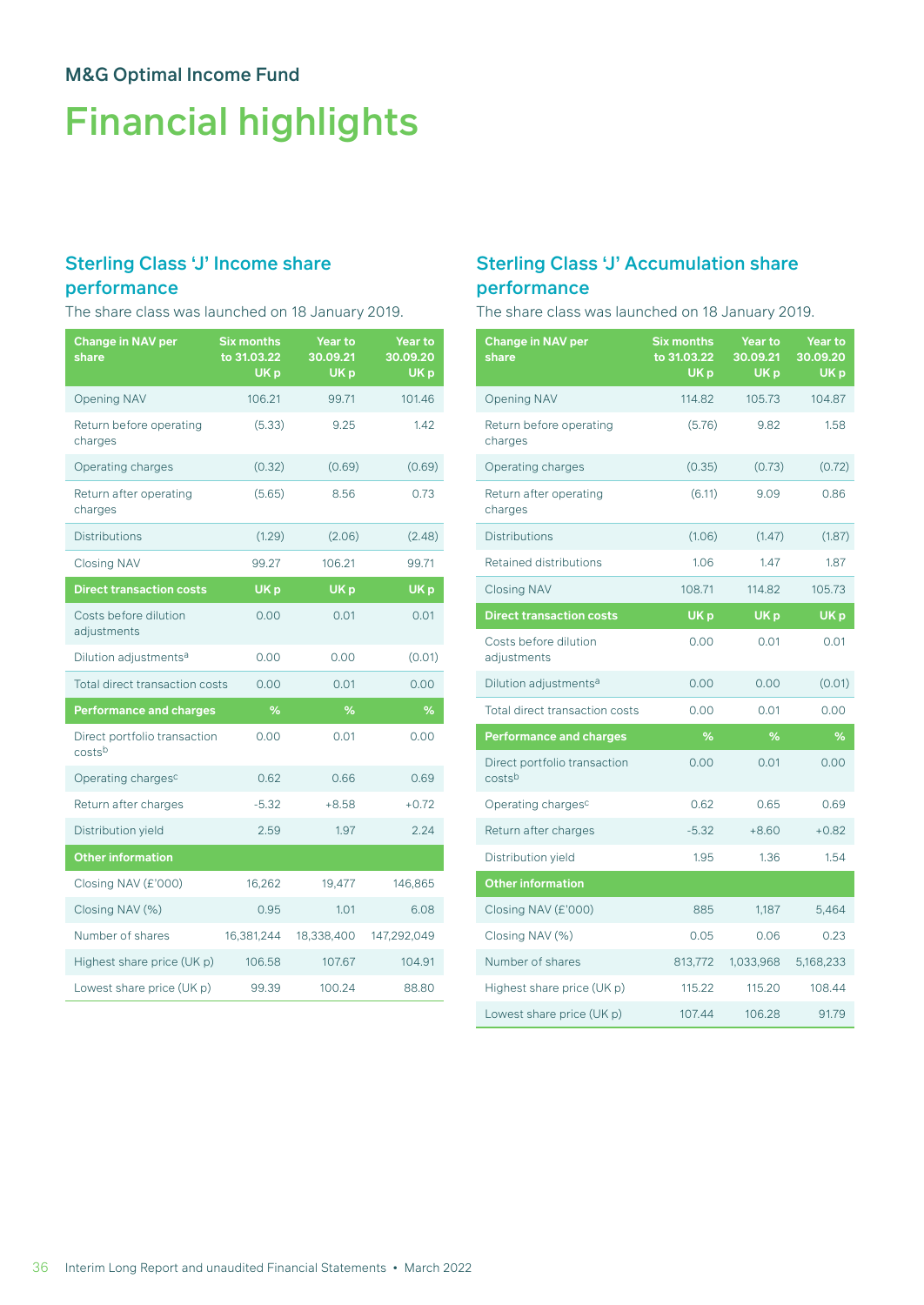# Financial highlights

# Sterling Class 'J' Income share

### performance

The share class was launched on 18 January 2019.

| <b>Change in NAV per</b><br>share      | <b>Six months</b><br>to 31.03.22<br>UK <sub>p</sub> | <b>Year to</b><br>30.09.21<br>UK <sub>p</sub> | Year to<br>30.09.20<br>UK <sub>p</sub> |
|----------------------------------------|-----------------------------------------------------|-----------------------------------------------|----------------------------------------|
| <b>Opening NAV</b>                     | 106.21                                              | 99.71                                         | 101.46                                 |
| Return before operating<br>charges     | (5.33)                                              | 9.25                                          | 1.42                                   |
| Operating charges                      | (0.32)                                              | (0.69)                                        | (0.69)                                 |
| Return after operating<br>charges      | (5.65)                                              | 8.56                                          | 0.73                                   |
| <b>Distributions</b>                   | (1.29)                                              | (2.06)                                        | (2.48)                                 |
| <b>Closing NAV</b>                     | 99.27                                               | 106.21                                        | 99.71                                  |
| <b>Direct transaction costs</b>        | UK <sub>p</sub>                                     | UK <sub>p</sub>                               | UK <sub>p</sub>                        |
| Costs before dilution<br>adjustments   | 0.00                                                | 0.01                                          | 0.01                                   |
| Dilution adjustments <sup>a</sup>      | 0.00                                                | 0.00                                          | (0.01)                                 |
| <b>Total direct transaction costs</b>  | 0.00                                                | 0.01                                          | 0.00                                   |
| <b>Performance and charges</b>         | %                                                   | $\overline{\%}$                               | $\frac{9}{6}$                          |
| Direct portfolio transaction<br>costsb | 0.00                                                | 0.01                                          | 0.00                                   |
| Operating charges <sup>c</sup>         | 0.62                                                | 0.66                                          | 0.69                                   |
| Return after charges                   | $-5.32$                                             | $+8.58$                                       | $+0.72$                                |
| Distribution yield                     | 2.59                                                | 1.97                                          | 2.24                                   |
| <b>Other information</b>               |                                                     |                                               |                                        |
| Closing NAV (£'000)                    | 16,262                                              | 19,477                                        | 146,865                                |
| Closing NAV (%)                        | 0.95                                                | 1.01                                          | 6.08                                   |
| Number of shares                       | 16,381,244                                          | 18,338,400                                    | 147,292,049                            |
| Highest share price (UK p)             | 106.58                                              | 107.67                                        | 104.91                                 |
| Lowest share price (UK p)              | 99.39                                               | 100.24                                        | 88.80                                  |

## Sterling Class 'J' Accumulation share performance

The share class was launched on 18 January 2019.

| <b>Change in NAV per</b><br>share      | <b>Six months</b><br>to 31.03.22<br>UK <sub>p</sub> | <b>Year to</b><br>30.09.21<br>UK <sub>p</sub> | <b>Year to</b><br>30.09.20<br>UK <sub>p</sub> |
|----------------------------------------|-----------------------------------------------------|-----------------------------------------------|-----------------------------------------------|
| <b>Opening NAV</b>                     | 114.82                                              | 105.73                                        | 104.87                                        |
| Return before operating<br>charges     | (5.76)                                              | 9.82                                          | 1.58                                          |
| Operating charges                      | (0.35)                                              | (0.73)                                        | (0.72)                                        |
| Return after operating<br>charges      | (6.11)                                              | 9.09                                          | 0.86                                          |
| <b>Distributions</b>                   | (1.06)                                              | (1.47)                                        | (1.87)                                        |
| Retained distributions                 | 1.06                                                | 1.47                                          | 1.87                                          |
| <b>Closing NAV</b>                     | 108.71                                              | 114.82                                        | 105.73                                        |
| <b>Direct transaction costs</b>        | UK <sub>p</sub>                                     | UK <sub>p</sub>                               | UK <sub>p</sub>                               |
| Costs before dilution<br>adjustments   | 0.00                                                | 0.01                                          | 0.01                                          |
| Dilution adjustments <sup>a</sup>      | 0.00                                                | 0.00                                          | (0.01)                                        |
| <b>Total direct transaction costs</b>  | 0.00                                                | 0.01                                          | 0.00                                          |
| <b>Performance and charges</b>         | %                                                   | %                                             | %                                             |
| Direct portfolio transaction<br>costsb | 0.00                                                | 0.01                                          | 0.00                                          |
| Operating charges <sup>c</sup>         | 0.62                                                | 0.65                                          | 0.69                                          |
| Return after charges                   | $-5.32$                                             | $+8.60$                                       | $+0.82$                                       |
| Distribution yield                     | 1.95                                                | 1.36                                          | 1.54                                          |
| <b>Other information</b>               |                                                     |                                               |                                               |
| Closing NAV (£'000)                    | 885                                                 | 1,187                                         | 5,464                                         |
| Closing NAV (%)                        | 0.05                                                | 0.06                                          | 0.23                                          |
| Number of shares                       | 813,772                                             | 1,033,968                                     | 5,168,233                                     |
| Highest share price (UK p)             | 115.22                                              | 115.20                                        | 108.44                                        |
| Lowest share price (UK p)              | 107.44                                              | 106.28                                        | 91.79                                         |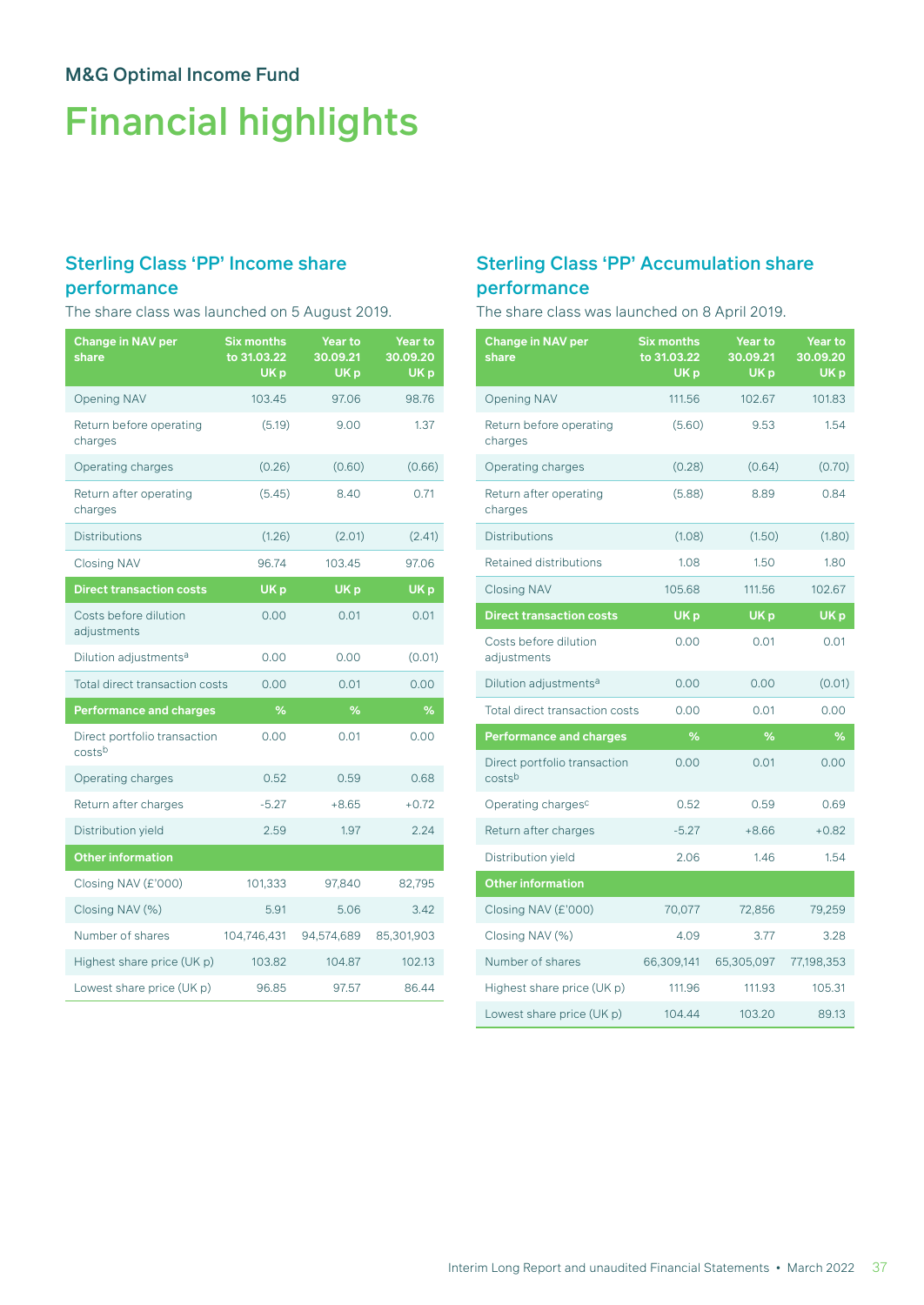# Financial highlights

# Sterling Class 'PP' Income share

### performance

The share class was launched on 5 August 2019.

| <b>Change in NAV per</b><br>share      | <b>Six months</b><br>to 31.03.22<br>UK <sub>p</sub> | Year to<br>30.09.21<br>UK <sub>p</sub> | <b>Year to</b><br>30.09.20<br>UK <sub>p</sub> |
|----------------------------------------|-----------------------------------------------------|----------------------------------------|-----------------------------------------------|
| <b>Opening NAV</b>                     | 103.45                                              | 97.06                                  | 98.76                                         |
| Return before operating<br>charges     | (5.19)                                              | 9.00                                   | 1.37                                          |
| Operating charges                      | (0.26)                                              | (0.60)                                 | (0.66)                                        |
| Return after operating<br>charges      | (5.45)                                              | 8.40                                   | 0.71                                          |
| <b>Distributions</b>                   | (1.26)                                              | (2.01)                                 | (2.41)                                        |
| <b>Closing NAV</b>                     | 96.74                                               | 103.45                                 | 97.06                                         |
| <b>Direct transaction costs</b>        | UK <sub>p</sub>                                     | UK <sub>p</sub>                        | UK <sub>p</sub>                               |
| Costs before dilution<br>adjustments   | 0.00                                                | 0.01                                   | 0.01                                          |
| Dilution adjustments <sup>a</sup>      | 0.00                                                | 0.00                                   | (0.01)                                        |
| <b>Total direct transaction costs</b>  | 0.00                                                | 0.01                                   | 0.00                                          |
| <b>Performance and charges</b>         | %                                                   | %                                      | %                                             |
| Direct portfolio transaction<br>costsb | 0.00                                                | 0.01                                   | 0.00                                          |
| Operating charges                      | 0.52                                                | 0.59                                   | 0.68                                          |
| Return after charges                   | $-5.27$                                             | $+8.65$                                | $+0.72$                                       |
| Distribution yield                     | 2.59                                                | 1.97                                   | 2.24                                          |
| <b>Other information</b>               |                                                     |                                        |                                               |
| Closing NAV (£'000)                    | 101,333                                             | 97,840                                 | 82,795                                        |
| Closing NAV (%)                        | 5.91                                                | 5.06                                   | 3.42                                          |
| Number of shares                       | 104,746,431                                         | 94,574,689                             | 85,301,903                                    |
| Highest share price (UK p)             | 103.82                                              | 104.87                                 | 102.13                                        |
| Lowest share price (UK p)              | 96.85                                               | 97.57                                  | 86.44                                         |

## Sterling Class 'PP' Accumulation share performance

The share class was launched on 8 April 2019.

| <b>Change in NAV per</b><br>share      | <b>Six months</b><br>to 31.03.22<br>UK <sub>p</sub> | <b>Year to</b><br>30.09.21<br>UK p | <b>Year to</b><br>30.09.20<br>UK <sub>p</sub> |
|----------------------------------------|-----------------------------------------------------|------------------------------------|-----------------------------------------------|
| <b>Opening NAV</b>                     | 111.56                                              | 102.67                             | 101.83                                        |
| Return before operating<br>charges     | (5.60)                                              | 9.53                               | 1.54                                          |
| Operating charges                      | (0.28)                                              | (0.64)                             | (0.70)                                        |
| Return after operating<br>charges      | (5.88)                                              | 8.89                               | 0.84                                          |
| <b>Distributions</b>                   | (1.08)                                              | (1.50)                             | (1.80)                                        |
| <b>Retained distributions</b>          | 1.08                                                | 1.50                               | 1.80                                          |
| <b>Closing NAV</b>                     | 105.68                                              | 111.56                             | 102.67                                        |
| <b>Direct transaction costs</b>        | UK <sub>p</sub>                                     | UK <sub>p</sub>                    | UK <sub>p</sub>                               |
| Costs before dilution<br>adjustments   | 0.00                                                | 0.01                               | 0.01                                          |
| Dilution adjustments <sup>a</sup>      | 0.00                                                | 0.00                               | (0.01)                                        |
| Total direct transaction costs         | 0.00                                                | 0.01                               | 0.00                                          |
| <b>Performance and charges</b>         | %                                                   | %                                  | %                                             |
| Direct portfolio transaction<br>costsb | 0.00                                                | 0.01                               | 0.00                                          |
| Operating charges <sup>c</sup>         | 0.52                                                | 0.59                               | 0.69                                          |
| Return after charges                   | $-5.27$                                             | $+8.66$                            | $+0.82$                                       |
| Distribution yield                     | 2.06                                                | 1.46                               | 1.54                                          |
| <b>Other information</b>               |                                                     |                                    |                                               |
| Closing NAV (£'000)                    | 70,077                                              | 72,856                             | 79,259                                        |
| Closing NAV (%)                        | 4.09                                                | 3.77                               | 3.28                                          |
| Number of shares                       | 66,309,141                                          | 65,305,097                         | 77,198,353                                    |
| Highest share price (UK p)             | 111.96                                              | 111.93                             | 105.31                                        |
| Lowest share price (UK p)              | 104.44                                              | 103.20                             | 89.13                                         |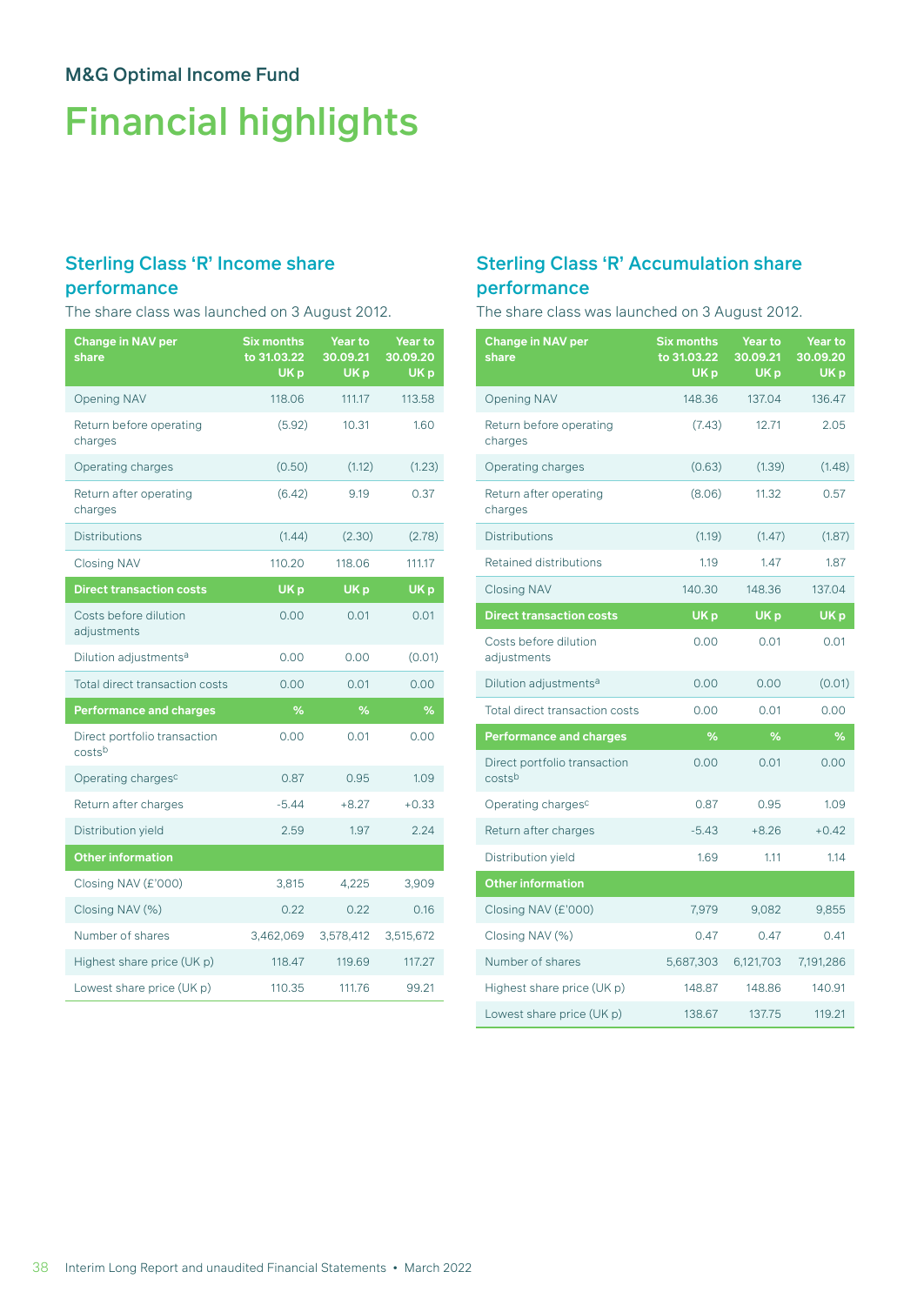# Financial highlights

# Sterling Class 'R' Income share

### performance

The share class was launched on 3 August 2012.

| <b>Change in NAV per</b><br>share      | <b>Six months</b><br>to 31.03.22<br>UK <sub>p</sub> | <b>Year to</b><br>30.09.21<br>UK <sub>p</sub> | <b>Year to</b><br>30.09.20<br>UK <sub>p</sub> |
|----------------------------------------|-----------------------------------------------------|-----------------------------------------------|-----------------------------------------------|
| <b>Opening NAV</b>                     | 118.06                                              | 111.17                                        | 113.58                                        |
| Return before operating<br>charges     | (5.92)                                              | 10.31                                         | 1.60                                          |
| Operating charges                      | (0.50)                                              | (1.12)                                        | (1.23)                                        |
| Return after operating<br>charges      | (6.42)                                              | 9.19                                          | 0.37                                          |
| <b>Distributions</b>                   | (1.44)                                              | (2.30)                                        | (2.78)                                        |
| <b>Closing NAV</b>                     | 110.20                                              | 118.06                                        | 111.17                                        |
| <b>Direct transaction costs</b>        | UK <sub>p</sub>                                     | UK <sub>p</sub>                               | UK <sub>p</sub>                               |
| Costs before dilution<br>adjustments   | 0.00                                                | 0.01                                          | 0.01                                          |
| Dilution adjustments <sup>a</sup>      | 0.00                                                | 0.00                                          | (0.01)                                        |
| Total direct transaction costs         | 0.00                                                | 0.01                                          | 0.00                                          |
| <b>Performance and charges</b>         | %                                                   | %                                             | %                                             |
| Direct portfolio transaction<br>costsb | 0.00                                                | 0.01                                          | 0.00                                          |
| Operating charges <sup>c</sup>         | 0.87                                                | 0.95                                          | 1.09                                          |
| Return after charges                   | $-5.44$                                             | $+8.27$                                       | $+0.33$                                       |
| Distribution yield                     | 2.59                                                | 1.97                                          | 2.24                                          |
| <b>Other information</b>               |                                                     |                                               |                                               |
| Closing NAV (£'000)                    | 3,815                                               | 4,225                                         | 3,909                                         |
| Closing NAV (%)                        | 0.22                                                | 0.22                                          | 0.16                                          |
| Number of shares                       | 3,462,069                                           | 3,578,412                                     | 3,515,672                                     |
| Highest share price (UK p)             | 118.47                                              | 119.69                                        | 117.27                                        |
| Lowest share price (UK p)              | 110.35                                              | 111.76                                        | 99.21                                         |

## Sterling Class 'R' Accumulation share performance

The share class was launched on 3 August 2012.

| <b>Change in NAV per</b><br>share      | <b>Six months</b><br>to 31.03.22<br>UK <sub>p</sub> | <b>Year to</b><br>30.09.21<br>UK <sub>p</sub> | Year to<br>30.09.20<br>UK <sub>p</sub> |
|----------------------------------------|-----------------------------------------------------|-----------------------------------------------|----------------------------------------|
| <b>Opening NAV</b>                     | 148.36                                              | 137.04                                        | 136.47                                 |
| Return before operating<br>charges     | (7.43)                                              | 12.71                                         | 2.05                                   |
| Operating charges                      | (0.63)                                              | (1.39)                                        | (1.48)                                 |
| Return after operating<br>charges      | (8.06)                                              | 11.32                                         | 0.57                                   |
| <b>Distributions</b>                   | (1.19)                                              | (1.47)                                        | (1.87)                                 |
| Retained distributions                 | 1.19                                                | 1.47                                          | 1.87                                   |
| <b>Closing NAV</b>                     | 140.30                                              | 148.36                                        | 137.04                                 |
| <b>Direct transaction costs</b>        | UK <sub>p</sub>                                     | UK <sub>p</sub>                               | UK <sub>p</sub>                        |
| Costs before dilution<br>adjustments   | 0.00                                                | 0.01                                          | 0.01                                   |
| Dilution adjustments <sup>a</sup>      | 0.00                                                | 0.00                                          | (0.01)                                 |
| <b>Total direct transaction costs</b>  | 0.00                                                | 0.01                                          | 0.00                                   |
| <b>Performance and charges</b>         | %                                                   | %                                             | %                                      |
| Direct portfolio transaction<br>costsb | 0.00                                                | 0.01                                          | 0.00                                   |
| Operating charges <sup>c</sup>         | 0.87                                                | 0.95                                          | 1.09                                   |
| Return after charges                   | $-5.43$                                             | $+8.26$                                       | $+0.42$                                |
| Distribution yield                     | 1.69                                                | 1.11                                          | 1.14                                   |
| <b>Other information</b>               |                                                     |                                               |                                        |
| Closing NAV (£'000)                    | 7,979                                               | 9,082                                         | 9,855                                  |
| Closing NAV (%)                        | 0.47                                                | 0.47                                          | 0.41                                   |
| Number of shares                       | 5,687,303                                           | 6,121,703                                     | 7,191,286                              |
| Highest share price (UK p)             | 148.87                                              | 148.86                                        | 140.91                                 |
| Lowest share price (UK p)              | 138.67                                              | 137.75                                        | 119.21                                 |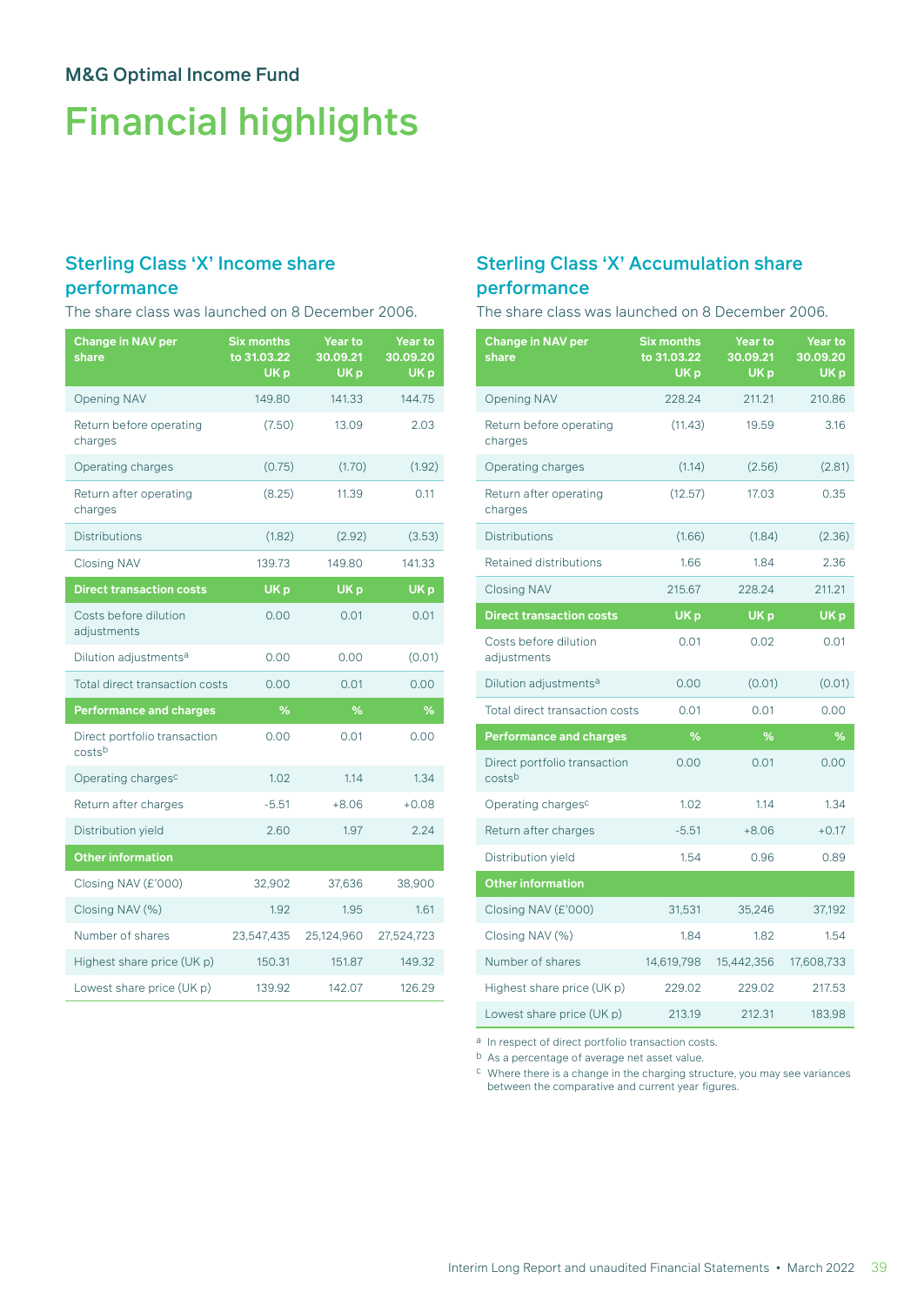# Financial highlights

## Sterling Class 'X' Income share

### performance

The share class was launched on 8 December 2006.

| <b>Change in NAV per</b><br>share      | <b>Six months</b><br>to 31.03.22<br>UK <sub>p</sub> | Year to<br>30.09.21<br>UK <sub>p</sub> | Year to<br>30.09.20<br>UK <sub>p</sub> |
|----------------------------------------|-----------------------------------------------------|----------------------------------------|----------------------------------------|
| <b>Opening NAV</b>                     | 149.80                                              | 141.33                                 | 144.75                                 |
| Return before operating<br>charges     | (7.50)                                              | 13.09                                  | 2.03                                   |
| Operating charges                      | (0.75)                                              | (1.70)                                 | (1.92)                                 |
| Return after operating<br>charges      | (8.25)                                              | 11.39                                  | 0.11                                   |
| <b>Distributions</b>                   | (1.82)                                              | (2.92)                                 | (3.53)                                 |
| <b>Closing NAV</b>                     | 139.73                                              | 149.80                                 | 141.33                                 |
| <b>Direct transaction costs</b>        | UK <sub>p</sub>                                     | UK <sub>p</sub>                        | UK <sub>p</sub>                        |
| Costs before dilution<br>adjustments   | 0.00                                                | 0.01                                   | 0.01                                   |
| Dilution adjustments <sup>a</sup>      | 0.00                                                | 0.00                                   | (0.01)                                 |
| Total direct transaction costs         | 0.00                                                | 0.01                                   | 0.00                                   |
| <b>Performance and charges</b>         | %                                                   | %                                      | %                                      |
| Direct portfolio transaction<br>costsb | 0.00                                                | 0.01                                   | 0.00                                   |
| Operating charges <sup>c</sup>         | 1.02                                                | 1.14                                   | 1.34                                   |
| Return after charges                   | $-5.51$                                             | $+8.06$                                | $+0.08$                                |
| Distribution yield                     | 2.60                                                | 1.97                                   | 2.24                                   |
| <b>Other information</b>               |                                                     |                                        |                                        |
| Closing NAV (£'000)                    | 32,902                                              | 37,636                                 | 38,900                                 |
| Closing NAV (%)                        | 1.92                                                | 1.95                                   | 1.61                                   |
| Number of shares                       | 23,547,435                                          | 25,124,960                             | 27,524,723                             |
| Highest share price (UK p)             | 150.31                                              | 151.87                                 | 149.32                                 |
| Lowest share price (UK p)              | 139.92                                              | 142.07                                 | 126.29                                 |

## Sterling Class 'X' Accumulation share performance

The share class was launched on 8 December 2006.

| <b>Change in NAV per</b><br>share      | <b>Six months</b><br>to 31.03.22<br>UK <sub>p</sub> | <b>Year to</b><br>30.09.21<br>UK <sub>p</sub> | <b>Year to</b><br>30.09.20<br>UK <sub>p</sub> |
|----------------------------------------|-----------------------------------------------------|-----------------------------------------------|-----------------------------------------------|
| <b>Opening NAV</b>                     | 228.24                                              | 211.21                                        | 210.86                                        |
| Return before operating<br>charges     | (11.43)                                             | 19.59                                         | 3.16                                          |
| Operating charges                      | (1.14)                                              | (2.56)                                        | (2.81)                                        |
| Return after operating<br>charges      | (12.57)                                             | 17.03                                         | 0.35                                          |
| <b>Distributions</b>                   | (1.66)                                              | (1.84)                                        | (2.36)                                        |
| <b>Retained distributions</b>          | 1.66                                                | 1.84                                          | 2.36                                          |
| <b>Closing NAV</b>                     | 215.67                                              | 228.24                                        | 211.21                                        |
| <b>Direct transaction costs</b>        | UK <sub>p</sub>                                     | UK <sub>p</sub>                               | UK <sub>p</sub>                               |
| Costs before dilution<br>adjustments   | 0.01                                                | 0.02                                          | 0.01                                          |
| Dilution adjustments <sup>a</sup>      | 0.00                                                | (0.01)                                        | (0.01)                                        |
| Total direct transaction costs         | 0.01                                                | 0.01                                          | 0.00                                          |
| <b>Performance and charges</b>         | %                                                   | $\%$                                          | %                                             |
| Direct portfolio transaction<br>costsb | 0.00                                                | 0.01                                          | 0.00                                          |
| Operating charges <sup>c</sup>         | 1.02                                                | 1.14                                          | 1.34                                          |
| Return after charges                   | $-5.51$                                             | $+8.06$                                       | $+0.17$                                       |
| Distribution yield                     | 1.54                                                | 0.96                                          | 0.89                                          |
| <b>Other information</b>               |                                                     |                                               |                                               |
| Closing NAV (£'000)                    | 31,531                                              | 35,246                                        | 37,192                                        |
| Closing NAV (%)                        | 1.84                                                | 1.82                                          | 1.54                                          |
| Number of shares                       | 14,619,798                                          | 15,442,356                                    | 17,608,733                                    |
| Highest share price (UK p)             | 229.02                                              | 229.02                                        | 217.53                                        |
| Lowest share price (UK p)              | 213.19                                              | 212.31                                        | 183.98                                        |

a In respect of direct portfolio transaction costs.

b As a percentage of average net asset value.

 $\,^{\rm c}$  Where there is a change in the charging structure, you may see variances between the comparative and current year figures.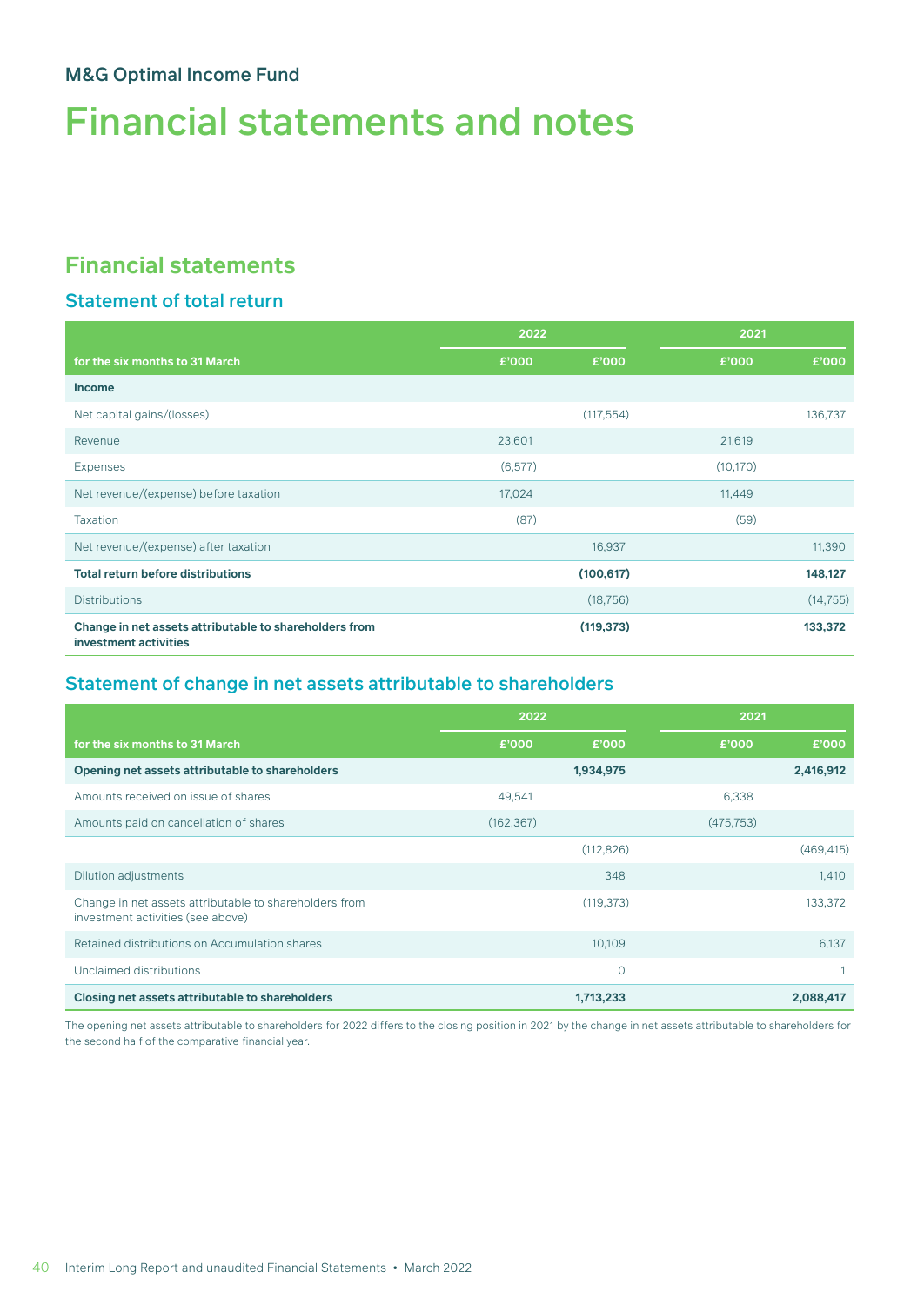# Financial statements and notes

# **Financial statements**

## Statement of total return

|                                                                                 | 2022     |            | 2021      |           |
|---------------------------------------------------------------------------------|----------|------------|-----------|-----------|
| for the six months to 31 March                                                  | £'000    | £'000      | £'000     | £'000     |
| <b>Income</b>                                                                   |          |            |           |           |
| Net capital gains/(losses)                                                      |          | (117, 554) |           | 136,737   |
| Revenue                                                                         | 23,601   |            | 21,619    |           |
| <b>Expenses</b>                                                                 | (6, 577) |            | (10, 170) |           |
| Net revenue/(expense) before taxation                                           | 17,024   |            | 11,449    |           |
| <b>Taxation</b>                                                                 | (87)     |            | (59)      |           |
| Net revenue/(expense) after taxation                                            |          | 16,937     |           | 11,390    |
| <b>Total return before distributions</b>                                        |          | (100, 617) |           | 148,127   |
| <b>Distributions</b>                                                            |          | (18, 756)  |           | (14, 755) |
| Change in net assets attributable to shareholders from<br>investment activities |          | (119, 373) |           | 133,372   |

## Statement of change in net assets attributable to shareholders

|                                                                                             | 2022       |            | 2021       |            |
|---------------------------------------------------------------------------------------------|------------|------------|------------|------------|
| for the six months to 31 March                                                              | £'000      | £'000      | £'000      | £'000      |
| Opening net assets attributable to shareholders                                             |            | 1,934,975  |            | 2,416,912  |
| Amounts received on issue of shares                                                         | 49,541     |            | 6,338      |            |
| Amounts paid on cancellation of shares                                                      | (162, 367) |            | (475, 753) |            |
|                                                                                             |            | (112, 826) |            | (469, 415) |
| Dilution adjustments                                                                        |            | 348        |            | 1,410      |
| Change in net assets attributable to shareholders from<br>investment activities (see above) |            | (119, 373) |            | 133,372    |
| Retained distributions on Accumulation shares                                               |            | 10,109     |            | 6,137      |
| Unclaimed distributions                                                                     |            | $\circ$    |            |            |
| Closing net assets attributable to shareholders                                             |            | 1,713,233  |            | 2,088,417  |

The opening net assets attributable to shareholders for 2022 differs to the closing position in 2021 by the change in net assets attributable to shareholders for the second half of the comparative financial year.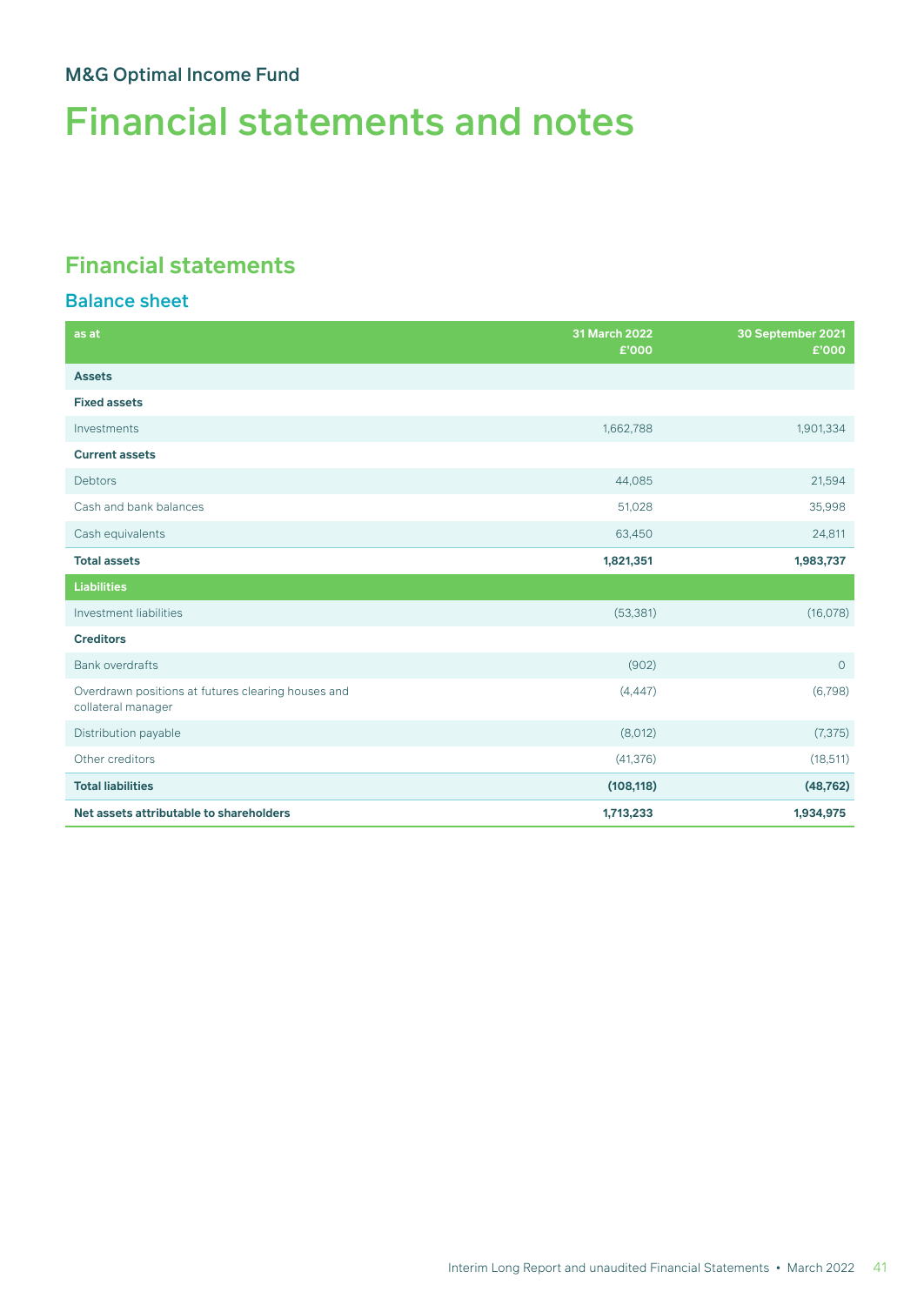# Financial statements and notes

# **Financial statements**

### Balance sheet

| as at                                                                    | 31 March 2022<br>£'000 | 30 September 2021<br>£'000 |
|--------------------------------------------------------------------------|------------------------|----------------------------|
| <b>Assets</b>                                                            |                        |                            |
| <b>Fixed assets</b>                                                      |                        |                            |
| Investments                                                              | 1,662,788              | 1,901,334                  |
| <b>Current assets</b>                                                    |                        |                            |
| <b>Debtors</b>                                                           | 44,085                 | 21,594                     |
| Cash and bank balances                                                   | 51,028                 | 35,998                     |
| Cash equivalents                                                         | 63,450                 | 24,811                     |
| <b>Total assets</b>                                                      | 1,821,351              | 1,983,737                  |
| <b>Liabilities</b>                                                       |                        |                            |
| Investment liabilities                                                   | (53, 381)              | (16,078)                   |
| <b>Creditors</b>                                                         |                        |                            |
| <b>Bank overdrafts</b>                                                   | (902)                  | $\circ$                    |
| Overdrawn positions at futures clearing houses and<br>collateral manager | (4, 447)               | (6,798)                    |
| Distribution payable                                                     | (8,012)                | (7, 375)                   |
| Other creditors                                                          | (41, 376)              | (18, 511)                  |
| <b>Total liabilities</b>                                                 | (108, 118)             | (48, 762)                  |
| Net assets attributable to shareholders                                  | 1,713,233              | 1,934,975                  |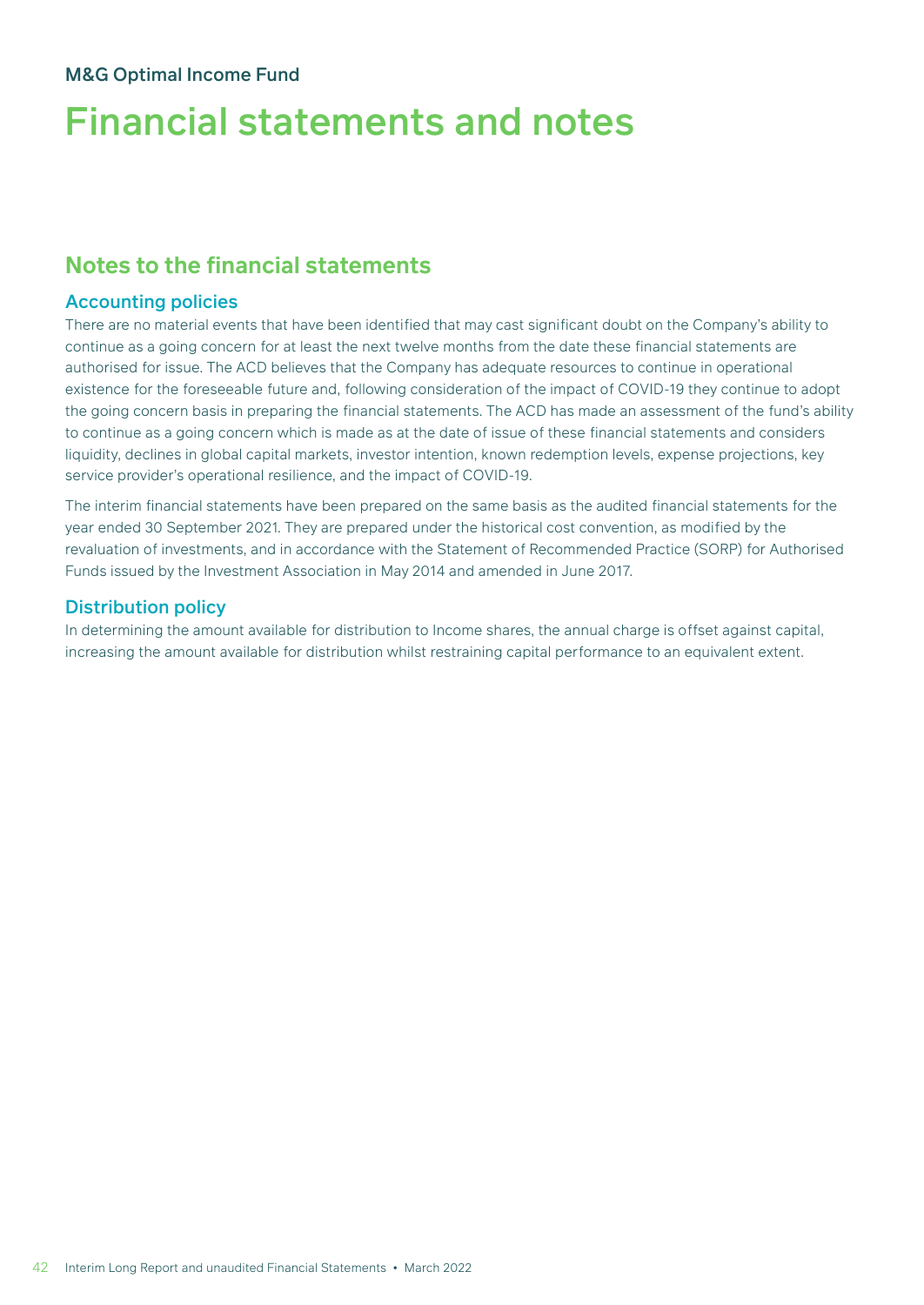# Financial statements and notes

## **Notes to the financial statements**

### Accounting policies

There are no material events that have been identified that may cast significant doubt on the Company's ability to continue as a going concern for at least the next twelve months from the date these financial statements are authorised for issue. The ACD believes that the Company has adequate resources to continue in operational existence for the foreseeable future and, following consideration of the impact of COVID-19 they continue to adopt the going concern basis in preparing the financial statements. The ACD has made an assessment of the fund's ability to continue as a going concern which is made as at the date of issue of these financial statements and considers liquidity, declines in global capital markets, investor intention, known redemption levels, expense projections, key service provider's operational resilience, and the impact of COVID-19.

The interim financial statements have been prepared on the same basis as the audited financial statements for the year ended 30 September 2021. They are prepared under the historical cost convention, as modified by the revaluation of investments, and in accordance with the Statement of Recommended Practice (SORP) for Authorised Funds issued by the Investment Association in May 2014 and amended in June 2017.

### Distribution policy

In determining the amount available for distribution to Income shares, the annual charge is offset against capital, increasing the amount available for distribution whilst restraining capital performance to an equivalent extent.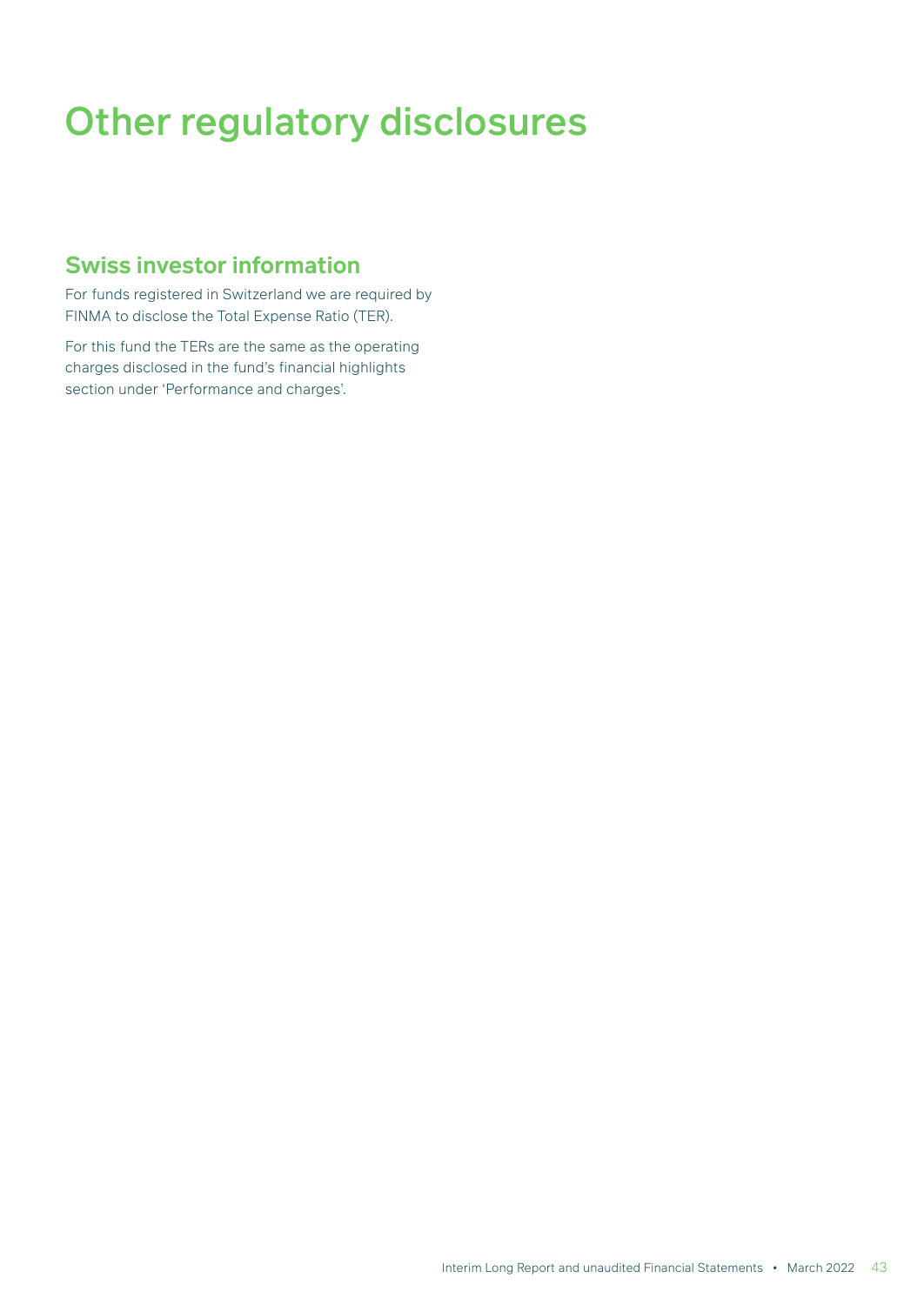# Other regulatory disclosures

## **Swiss investor information**

For funds registered in Switzerland we are required by FINMA to disclose the Total Expense Ratio (TER).

For this fund the TERs are the same as the operating charges disclosed in the fund's financial highlights section under 'Performance and charges'.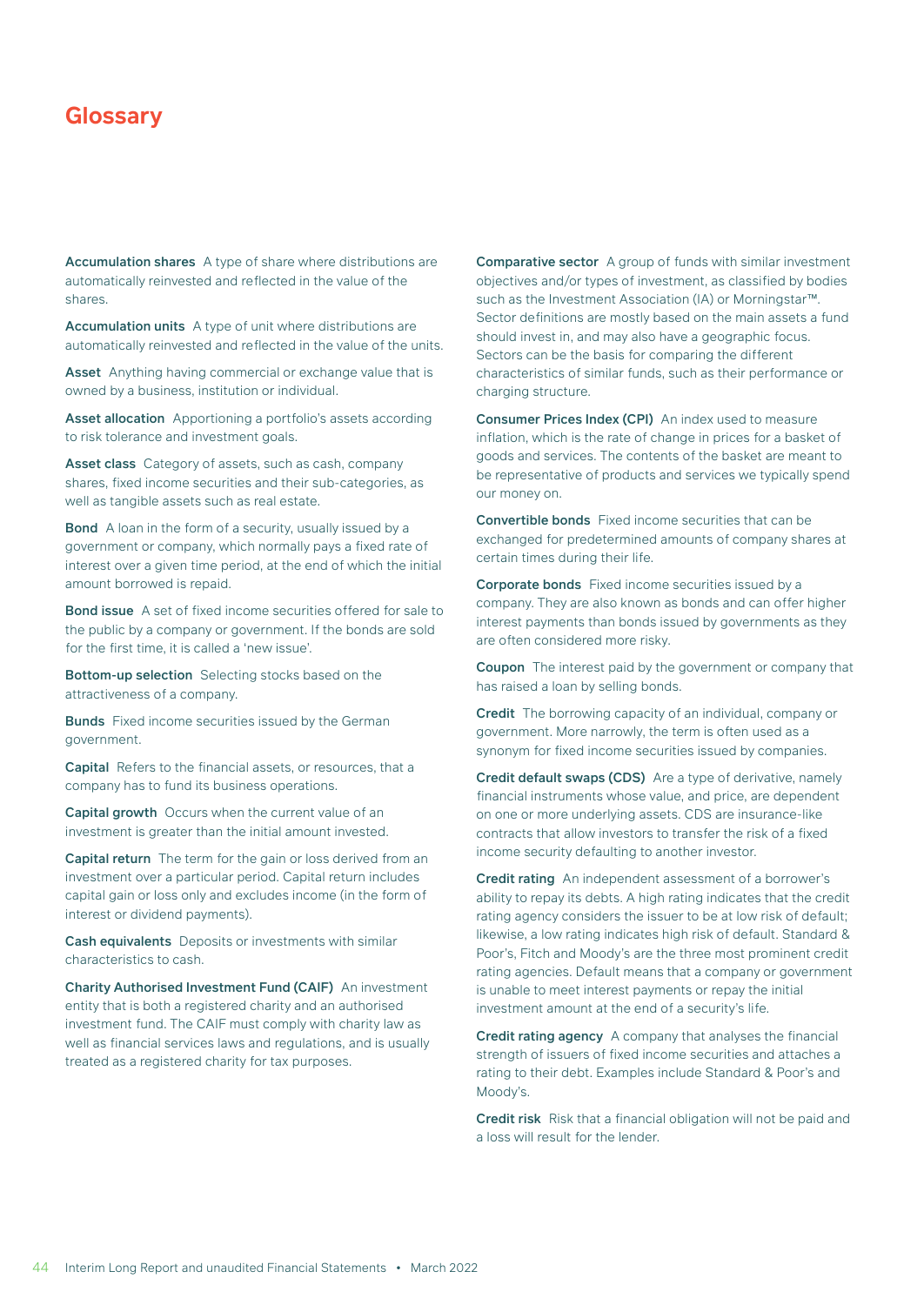Accumulation shares A type of share where distributions are automatically reinvested and reflected in the value of the shares.

Accumulation units A type of unit where distributions are automatically reinvested and reflected in the value of the units.

Asset Anything having commercial or exchange value that is owned by a business, institution or individual.

Asset allocation Apportioning a portfolio's assets according to risk tolerance and investment goals.

Asset class Category of assets, such as cash, company shares, fixed income securities and their sub-categories, as well as tangible assets such as real estate.

Bond A loan in the form of a security, usually issued by a government or company, which normally pays a fixed rate of interest over a given time period, at the end of which the initial amount borrowed is repaid.

Bond issue A set of fixed income securities offered for sale to the public by a company or government. If the bonds are sold for the first time, it is called a 'new issue'.

Bottom-up selection Selecting stocks based on the attractiveness of a company.

**Bunds** Fixed income securities issued by the German government.

Capital Refers to the financial assets, or resources, that a company has to fund its business operations.

Capital growth Occurs when the current value of an investment is greater than the initial amount invested.

Capital return The term for the gain or loss derived from an investment over a particular period. Capital return includes capital gain or loss only and excludes income (in the form of interest or dividend payments).

Cash equivalents Deposits or investments with similar characteristics to cash.

Charity Authorised Investment Fund (CAIF) An investment entity that is both a registered charity and an authorised investment fund. The CAIF must comply with charity law as well as financial services laws and regulations, and is usually treated as a registered charity for tax purposes.

Comparative sector A group of funds with similar investment objectives and/or types of investment, as classified by bodies such as the Investment Association (IA) or Morningstar™. Sector definitions are mostly based on the main assets a fund should invest in, and may also have a geographic focus. Sectors can be the basis for comparing the different characteristics of similar funds, such as their performance or charging structure.

Consumer Prices Index (CPI) An index used to measure inflation, which is the rate of change in prices for a basket of goods and services. The contents of the basket are meant to be representative of products and services we typically spend our money on.

Convertible bonds Fixed income securities that can be exchanged for predetermined amounts of company shares at certain times during their life.

Corporate bonds Fixed income securities issued by a company. They are also known as bonds and can offer higher interest payments than bonds issued by governments as they are often considered more risky.

Coupon The interest paid by the government or company that has raised a loan by selling bonds.

Credit The borrowing capacity of an individual, company or government. More narrowly, the term is often used as a synonym for fixed income securities issued by companies.

Credit default swaps (CDS) Are a type of derivative, namely financial instruments whose value, and price, are dependent on one or more underlying assets. CDS are insurance-like contracts that allow investors to transfer the risk of a fixed income security defaulting to another investor.

Credit rating An independent assessment of a borrower's ability to repay its debts. A high rating indicates that the credit rating agency considers the issuer to be at low risk of default; likewise, a low rating indicates high risk of default. Standard & Poor's, Fitch and Moody's are the three most prominent credit rating agencies. Default means that a company or government is unable to meet interest payments or repay the initial investment amount at the end of a security's life.

Credit rating agency A company that analyses the financial strength of issuers of fixed income securities and attaches a rating to their debt. Examples include Standard & Poor's and Moody's.

Credit risk Risk that a financial obligation will not be paid and a loss will result for the lender.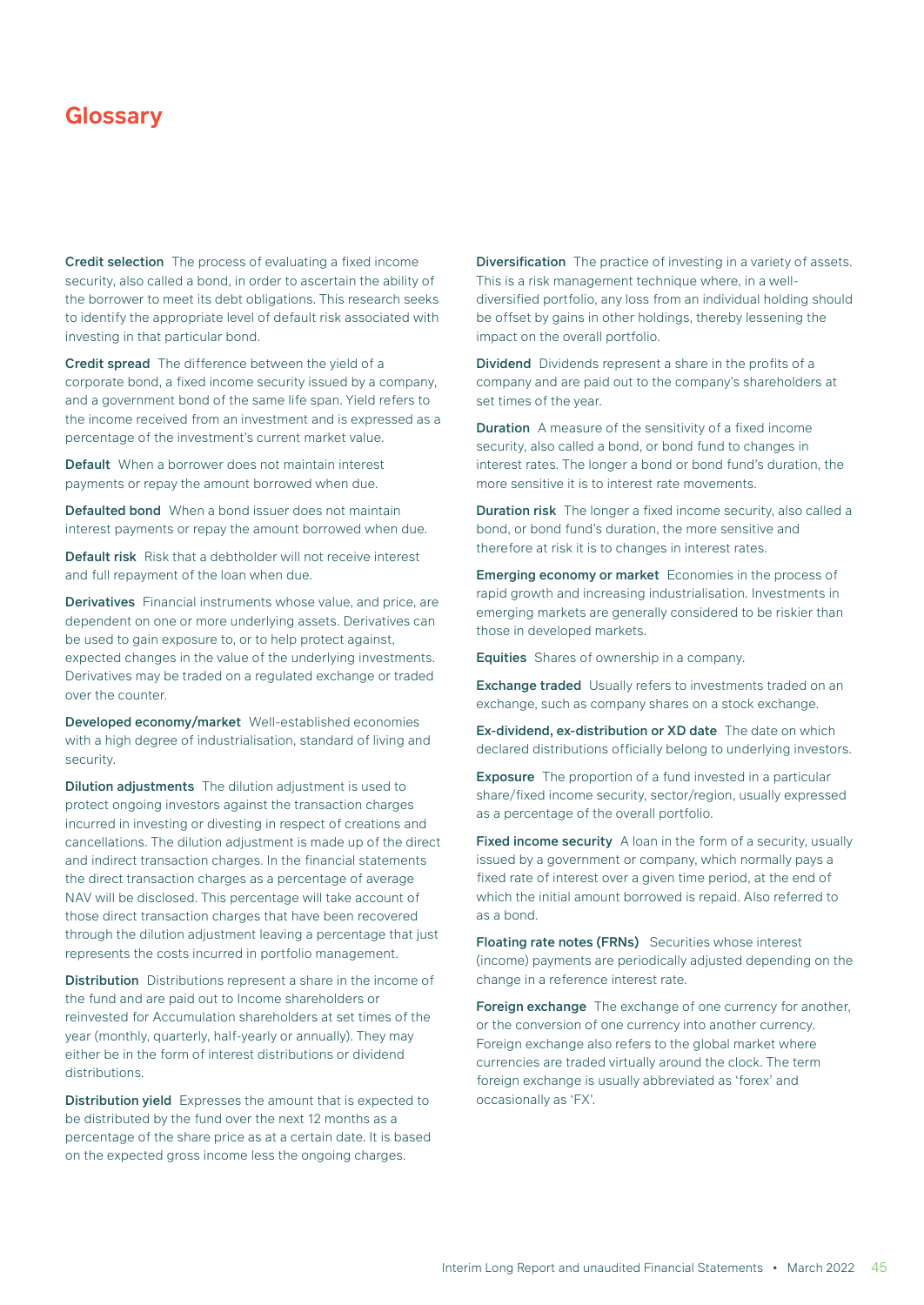Credit selection The process of evaluating a fixed income security, also called a bond, in order to ascertain the ability of the borrower to meet its debt obligations. This research seeks to identify the appropriate level of default risk associated with investing in that particular bond.

Credit spread The difference between the yield of a corporate bond, a fixed income security issued by a company, and a government bond of the same life span. Yield refers to the income received from an investment and is expressed as a percentage of the investment's current market value.

Default When a borrower does not maintain interest payments or repay the amount borrowed when due.

Defaulted bond When a bond issuer does not maintain interest payments or repay the amount borrowed when due.

Default risk Risk that a debtholder will not receive interest and full repayment of the loan when due.

Derivatives Financial instruments whose value, and price, are dependent on one or more underlying assets. Derivatives can be used to gain exposure to, or to help protect against, expected changes in the value of the underlying investments. Derivatives may be traded on a regulated exchange or traded over the counter.

Developed economy/market Well-established economies with a high degree of industrialisation, standard of living and security.

Dilution adjustments The dilution adjustment is used to protect ongoing investors against the transaction charges incurred in investing or divesting in respect of creations and cancellations. The dilution adjustment is made up of the direct and indirect transaction charges. In the financial statements the direct transaction charges as a percentage of average NAV will be disclosed. This percentage will take account of those direct transaction charges that have been recovered through the dilution adjustment leaving a percentage that just represents the costs incurred in portfolio management.

Distribution Distributions represent a share in the income of the fund and are paid out to Income shareholders or reinvested for Accumulation shareholders at set times of the year (monthly, quarterly, half-yearly or annually). They may either be in the form of interest distributions or dividend distributions.

Distribution yield Expresses the amount that is expected to be distributed by the fund over the next 12 months as a percentage of the share price as at a certain date. It is based on the expected gross income less the ongoing charges.

Diversification The practice of investing in a variety of assets. This is a risk management technique where, in a welldiversified portfolio, any loss from an individual holding should be offset by gains in other holdings, thereby lessening the impact on the overall portfolio.

Dividend Dividends represent a share in the profits of a company and are paid out to the company's shareholders at set times of the year.

**Duration** A measure of the sensitivity of a fixed income security, also called a bond, or bond fund to changes in interest rates. The longer a bond or bond fund's duration, the more sensitive it is to interest rate movements.

Duration risk The longer a fixed income security, also called a bond, or bond fund's duration, the more sensitive and therefore at risk it is to changes in interest rates.

Emerging economy or market Economies in the process of rapid growth and increasing industrialisation. Investments in emerging markets are generally considered to be riskier than those in developed markets.

Equities Shares of ownership in a company.

Exchange traded Usually refers to investments traded on an exchange, such as company shares on a stock exchange.

Ex-dividend, ex-distribution or XD date The date on which declared distributions officially belong to underlying investors.

Exposure The proportion of a fund invested in a particular share/fixed income security, sector/region, usually expressed as a percentage of the overall portfolio.

Fixed income security A loan in the form of a security, usually issued by a government or company, which normally pays a fixed rate of interest over a given time period, at the end of which the initial amount borrowed is repaid. Also referred to as a bond.

Floating rate notes (FRNs) Securities whose interest (income) payments are periodically adjusted depending on the change in a reference interest rate.

Foreign exchange The exchange of one currency for another, or the conversion of one currency into another currency. Foreign exchange also refers to the global market where currencies are traded virtually around the clock. The term foreign exchange is usually abbreviated as 'forex' and occasionally as 'FX'.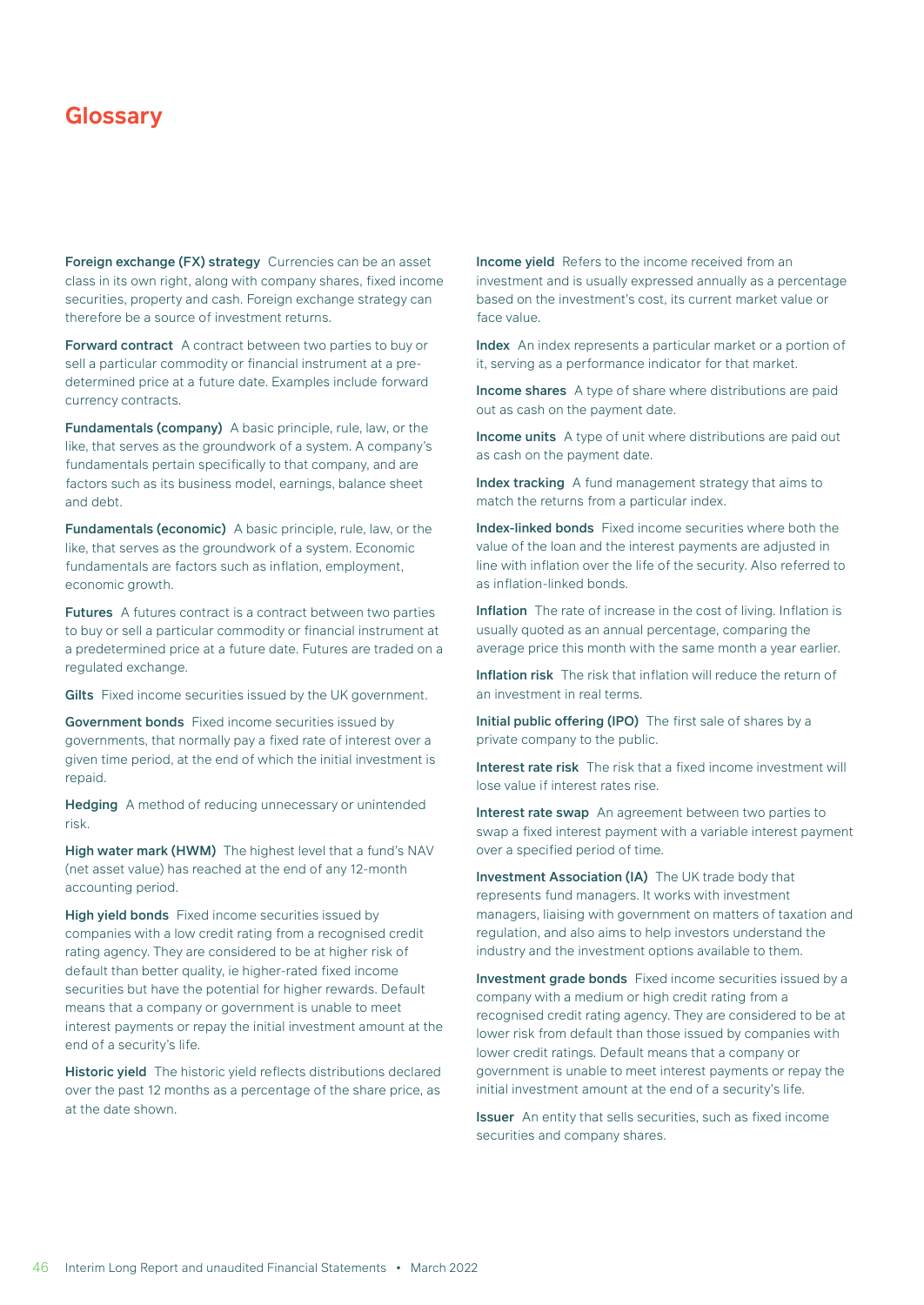Foreign exchange (FX) strategy Currencies can be an asset class in its own right, along with company shares, fixed income securities, property and cash. Foreign exchange strategy can therefore be a source of investment returns.

Forward contract A contract between two parties to buy or sell a particular commodity or financial instrument at a predetermined price at a future date. Examples include forward currency contracts.

Fundamentals (company) A basic principle, rule, law, or the like, that serves as the groundwork of a system. A company's fundamentals pertain specifically to that company, and are factors such as its business model, earnings, balance sheet and debt.

Fundamentals (economic) A basic principle, rule, law, or the like, that serves as the groundwork of a system. Economic fundamentals are factors such as inflation, employment, economic growth.

Futures A futures contract is a contract between two parties to buy or sell a particular commodity or financial instrument at a predetermined price at a future date. Futures are traded on a regulated exchange.

Gilts Fixed income securities issued by the UK government.

Government bonds Fixed income securities issued by governments, that normally pay a fixed rate of interest over a given time period, at the end of which the initial investment is repaid.

Hedging A method of reducing unnecessary or unintended risk.

High water mark (HWM) The highest level that a fund's NAV (net asset value) has reached at the end of any 12-month accounting period.

High yield bonds Fixed income securities issued by companies with a low credit rating from a recognised credit rating agency. They are considered to be at higher risk of default than better quality, ie higher-rated fixed income securities but have the potential for higher rewards. Default means that a company or government is unable to meet interest payments or repay the initial investment amount at the end of a security's life.

Historic yield The historic yield reflects distributions declared over the past 12 months as a percentage of the share price, as at the date shown.

Income yield Refers to the income received from an investment and is usually expressed annually as a percentage based on the investment's cost, its current market value or face value.

Index An index represents a particular market or a portion of it, serving as a performance indicator for that market.

Income shares A type of share where distributions are paid out as cash on the payment date.

Income units A type of unit where distributions are paid out as cash on the payment date.

Index tracking A fund management strategy that aims to match the returns from a particular index.

Index-linked bonds Fixed income securities where both the value of the loan and the interest payments are adjusted in line with inflation over the life of the security. Also referred to as inflation-linked bonds.

Inflation The rate of increase in the cost of living. Inflation is usually quoted as an annual percentage, comparing the average price this month with the same month a year earlier.

Inflation risk The risk that inflation will reduce the return of an investment in real terms.

Initial public offering (IPO) The first sale of shares by a private company to the public.

Interest rate risk The risk that a fixed income investment will lose value if interest rates rise.

Interest rate swap An agreement between two parties to swap a fixed interest payment with a variable interest payment over a specified period of time.

Investment Association (IA) The UK trade body that represents fund managers. It works with investment managers, liaising with government on matters of taxation and regulation, and also aims to help investors understand the industry and the investment options available to them.

Investment grade bonds Fixed income securities issued by a company with a medium or high credit rating from a recognised credit rating agency. They are considered to be at lower risk from default than those issued by companies with lower credit ratings. Default means that a company or government is unable to meet interest payments or repay the initial investment amount at the end of a security's life.

**Issuer** An entity that sells securities, such as fixed income securities and company shares.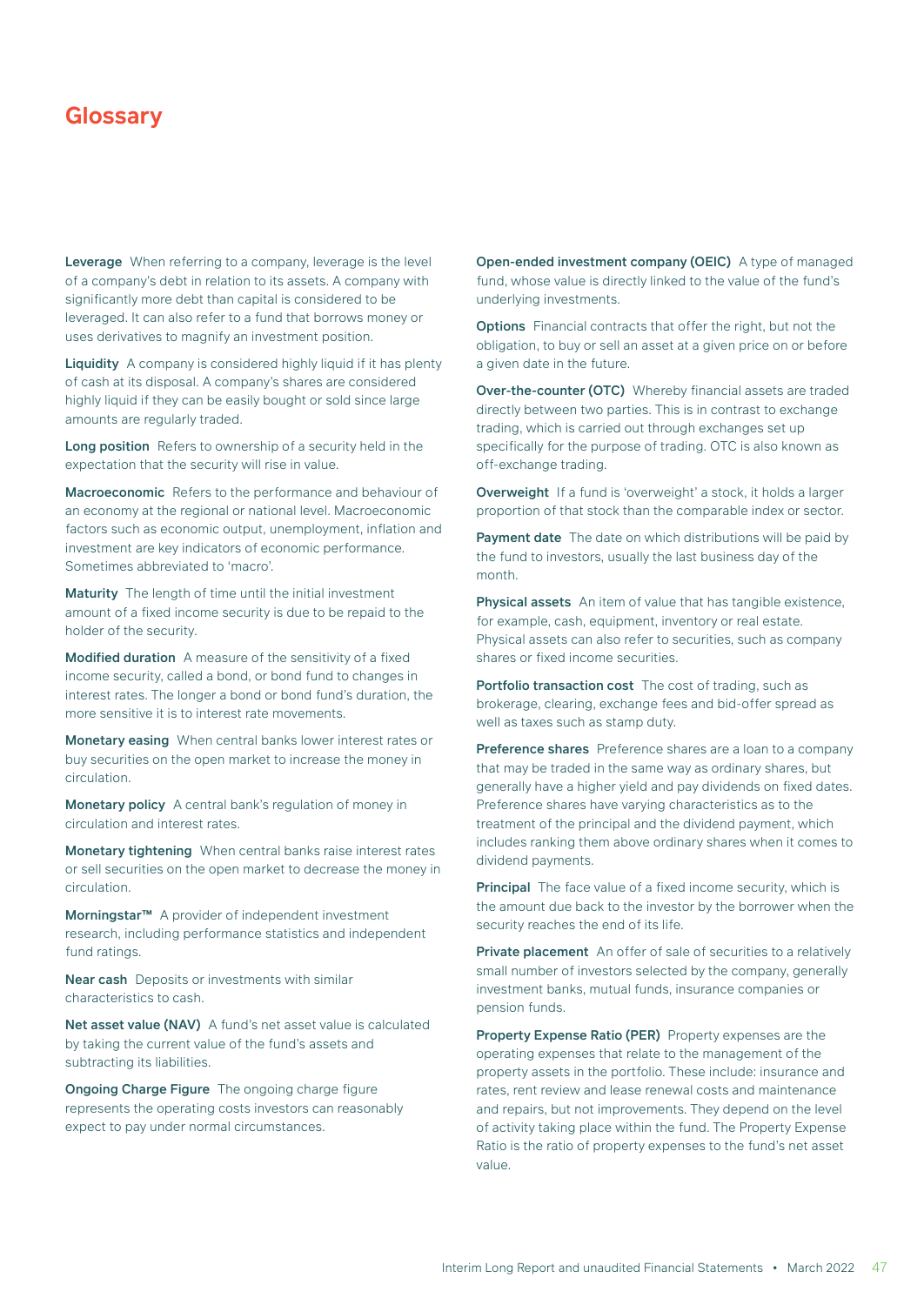Leverage When referring to a company, leverage is the level of a company's debt in relation to its assets. A company with significantly more debt than capital is considered to be leveraged. It can also refer to a fund that borrows money or uses derivatives to magnify an investment position.

Liquidity A company is considered highly liquid if it has plenty of cash at its disposal. A company's shares are considered highly liquid if they can be easily bought or sold since large amounts are regularly traded.

Long position Refers to ownership of a security held in the expectation that the security will rise in value.

Macroeconomic Refers to the performance and behaviour of an economy at the regional or national level. Macroeconomic factors such as economic output, unemployment, inflation and investment are key indicators of economic performance. Sometimes abbreviated to 'macro'.

Maturity The length of time until the initial investment amount of a fixed income security is due to be repaid to the holder of the security.

Modified duration A measure of the sensitivity of a fixed income security, called a bond, or bond fund to changes in interest rates. The longer a bond or bond fund's duration, the more sensitive it is to interest rate movements.

Monetary easing When central banks lower interest rates or buy securities on the open market to increase the money in circulation.

Monetary policy A central bank's regulation of money in circulation and interest rates.

Monetary tightening When central banks raise interest rates or sell securities on the open market to decrease the money in circulation.

Morningstar™ A provider of independent investment research, including performance statistics and independent fund ratings.

Near cash Deposits or investments with similar characteristics to cash.

Net asset value (NAV) A fund's net asset value is calculated by taking the current value of the fund's assets and subtracting its liabilities.

Ongoing Charge Figure The ongoing charge figure represents the operating costs investors can reasonably expect to pay under normal circumstances.

Open-ended investment company (OEIC) A type of managed fund, whose value is directly linked to the value of the fund's underlying investments.

**Options** Financial contracts that offer the right, but not the obligation, to buy or sell an asset at a given price on or before a given date in the future.

Over-the-counter (OTC) Whereby financial assets are traded directly between two parties. This is in contrast to exchange trading, which is carried out through exchanges set up specifically for the purpose of trading. OTC is also known as off-exchange trading.

Overweight If a fund is 'overweight' a stock, it holds a larger proportion of that stock than the comparable index or sector.

Payment date The date on which distributions will be paid by the fund to investors, usually the last business day of the month.

Physical assets An item of value that has tangible existence, for example, cash, equipment, inventory or real estate. Physical assets can also refer to securities, such as company shares or fixed income securities.

Portfolio transaction cost The cost of trading, such as brokerage, clearing, exchange fees and bid-offer spread as well as taxes such as stamp duty.

Preference shares Preference shares are a loan to a company that may be traded in the same way as ordinary shares, but generally have a higher yield and pay dividends on fixed dates. Preference shares have varying characteristics as to the treatment of the principal and the dividend payment, which includes ranking them above ordinary shares when it comes to dividend payments.

Principal The face value of a fixed income security, which is the amount due back to the investor by the borrower when the security reaches the end of its life.

Private placement An offer of sale of securities to a relatively small number of investors selected by the company, generally investment banks, mutual funds, insurance companies or pension funds.

Property Expense Ratio (PER) Property expenses are the operating expenses that relate to the management of the property assets in the portfolio. These include: insurance and rates, rent review and lease renewal costs and maintenance and repairs, but not improvements. They depend on the level of activity taking place within the fund. The Property Expense Ratio is the ratio of property expenses to the fund's net asset value.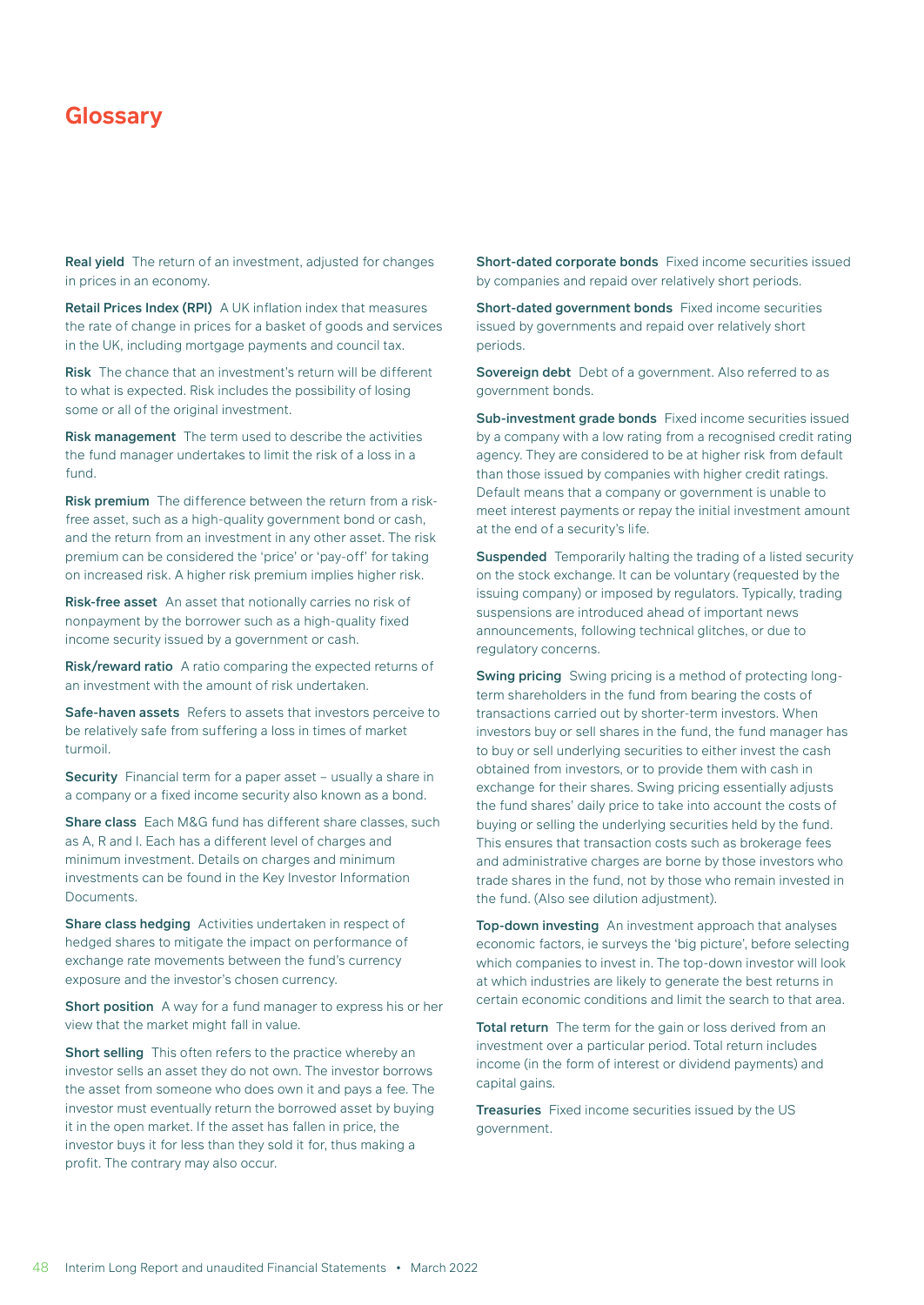Real yield The return of an investment, adjusted for changes in prices in an economy.

Retail Prices Index (RPI) A UK inflation index that measures the rate of change in prices for a basket of goods and services in the UK, including mortgage payments and council tax.

Risk The chance that an investment's return will be different to what is expected. Risk includes the possibility of losing some or all of the original investment.

Risk management The term used to describe the activities the fund manager undertakes to limit the risk of a loss in a fund.

Risk premium The difference between the return from a riskfree asset, such as a high-quality government bond or cash, and the return from an investment in any other asset. The risk premium can be considered the 'price' or 'pay-off' for taking on increased risk. A higher risk premium implies higher risk.

Risk-free asset An asset that notionally carries no risk of nonpayment by the borrower such as a high-quality fixed income security issued by a government or cash.

Risk/reward ratio A ratio comparing the expected returns of an investment with the amount of risk undertaken.

Safe-haven assets Refers to assets that investors perceive to be relatively safe from suffering a loss in times of market turmoil.

Security Financial term for a paper asset – usually a share in a company or a fixed income security also known as a bond.

Share class Each M&G fund has different share classes, such as A, R and I. Each has a different level of charges and minimum investment. Details on charges and minimum investments can be found in the Key Investor Information Documents.

Share class hedging Activities undertaken in respect of hedged shares to mitigate the impact on performance of exchange rate movements between the fund's currency exposure and the investor's chosen currency.

Short position A way for a fund manager to express his or her view that the market might fall in value.

Short selling This often refers to the practice whereby an investor sells an asset they do not own. The investor borrows the asset from someone who does own it and pays a fee. The investor must eventually return the borrowed asset by buying it in the open market. If the asset has fallen in price, the investor buys it for less than they sold it for, thus making a profit. The contrary may also occur.

Short-dated corporate bonds Fixed income securities issued by companies and repaid over relatively short periods.

Short-dated government bonds Fixed income securities issued by governments and repaid over relatively short periods.

Sovereign debt Debt of a government. Also referred to as government bonds.

Sub-investment grade bonds Fixed income securities issued by a company with a low rating from a recognised credit rating agency. They are considered to be at higher risk from default than those issued by companies with higher credit ratings. Default means that a company or government is unable to meet interest payments or repay the initial investment amount at the end of a security's life.

Suspended Temporarily halting the trading of a listed security on the stock exchange. It can be voluntary (requested by the issuing company) or imposed by regulators. Typically, trading suspensions are introduced ahead of important news announcements, following technical glitches, or due to regulatory concerns.

Swing pricing Swing pricing is a method of protecting longterm shareholders in the fund from bearing the costs of transactions carried out by shorter-term investors. When investors buy or sell shares in the fund, the fund manager has to buy or sell underlying securities to either invest the cash obtained from investors, or to provide them with cash in exchange for their shares. Swing pricing essentially adjusts the fund shares' daily price to take into account the costs of buying or selling the underlying securities held by the fund. This ensures that transaction costs such as brokerage fees and administrative charges are borne by those investors who trade shares in the fund, not by those who remain invested in the fund. (Also see dilution adjustment).

Top-down investing An investment approach that analyses economic factors, ie surveys the 'big picture', before selecting which companies to invest in. The top-down investor will look at which industries are likely to generate the best returns in certain economic conditions and limit the search to that area.

Total return The term for the gain or loss derived from an investment over a particular period. Total return includes income (in the form of interest or dividend payments) and capital gains.

Treasuries Fixed income securities issued by the US government.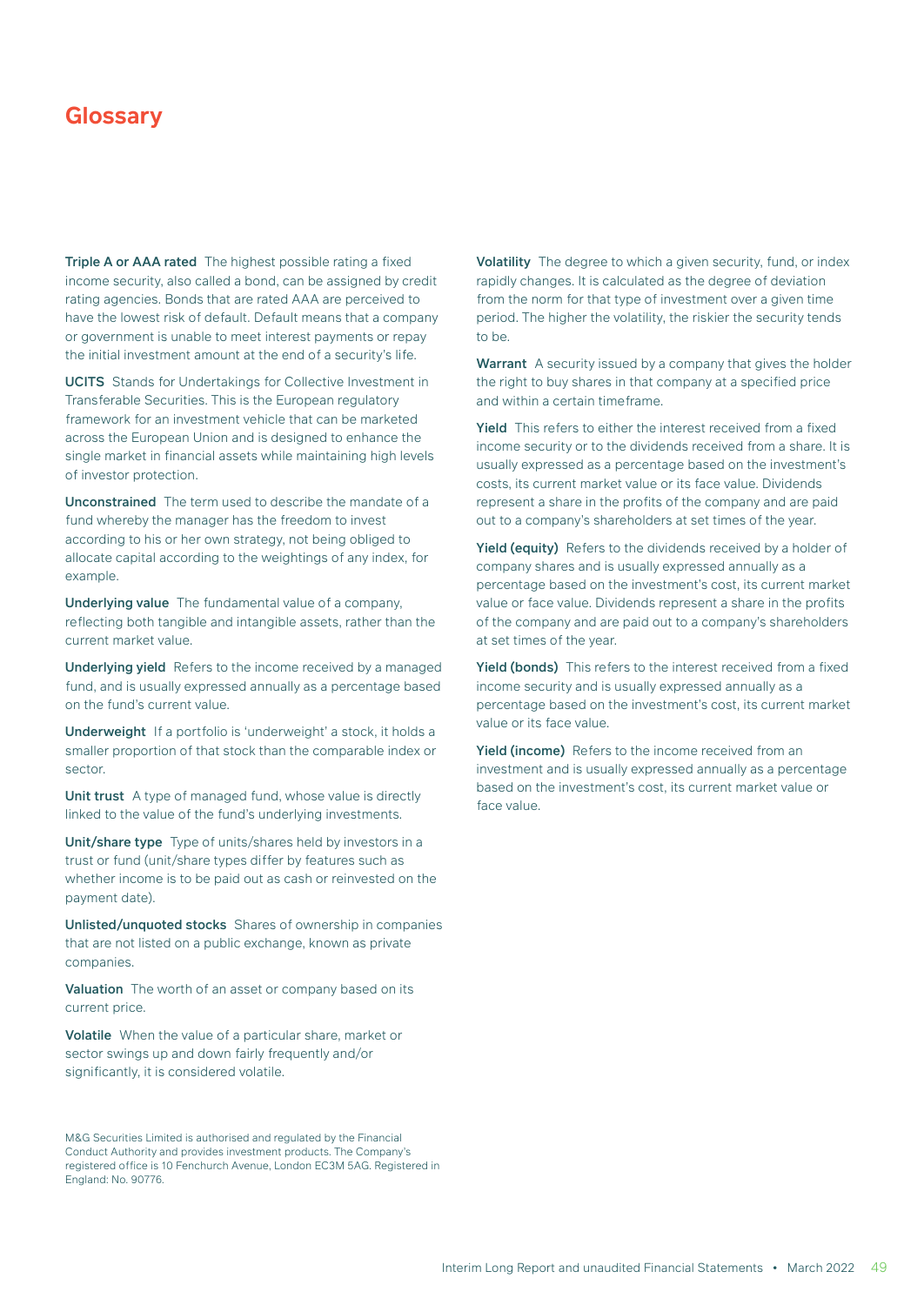Triple A or AAA rated The highest possible rating a fixed income security, also called a bond, can be assigned by credit rating agencies. Bonds that are rated AAA are perceived to have the lowest risk of default. Default means that a company or government is unable to meet interest payments or repay the initial investment amount at the end of a security's life.

UCITS Stands for Undertakings for Collective Investment in Transferable Securities. This is the European regulatory framework for an investment vehicle that can be marketed across the European Union and is designed to enhance the single market in financial assets while maintaining high levels of investor protection.

Unconstrained The term used to describe the mandate of a fund whereby the manager has the freedom to invest according to his or her own strategy, not being obliged to allocate capital according to the weightings of any index, for example.

Underlying value The fundamental value of a company, reflecting both tangible and intangible assets, rather than the current market value.

Underlying yield Refers to the income received by a managed fund, and is usually expressed annually as a percentage based on the fund's current value.

Underweight If a portfolio is 'underweight' a stock, it holds a smaller proportion of that stock than the comparable index or sector.

Unit trust A type of managed fund, whose value is directly linked to the value of the fund's underlying investments.

Unit/share type Type of units/shares held by investors in a trust or fund (unit/share types differ by features such as whether income is to be paid out as cash or reinvested on the payment date).

Unlisted/unquoted stocks Shares of ownership in companies that are not listed on a public exchange, known as private companies.

Valuation The worth of an asset or company based on its current price.

Volatile When the value of a particular share, market or sector swings up and down fairly frequently and/or significantly, it is considered volatile.

M&G Securities Limited is authorised and regulated by the Financial Conduct Authority and provides investment products. The Company's registered office is 10 Fenchurch Avenue, London EC3M 5AG. Registered in England: No. 90776.

Volatility The degree to which a given security, fund, or index rapidly changes. It is calculated as the degree of deviation from the norm for that type of investment over a given time period. The higher the volatility, the riskier the security tends to be.

Warrant A security issued by a company that gives the holder the right to buy shares in that company at a specified price and within a certain timeframe.

Yield This refers to either the interest received from a fixed income security or to the dividends received from a share. It is usually expressed as a percentage based on the investment's costs, its current market value or its face value. Dividends represent a share in the profits of the company and are paid out to a company's shareholders at set times of the year.

Yield (equity) Refers to the dividends received by a holder of company shares and is usually expressed annually as a percentage based on the investment's cost, its current market value or face value. Dividends represent a share in the profits of the company and are paid out to a company's shareholders at set times of the year.

Yield (bonds) This refers to the interest received from a fixed income security and is usually expressed annually as a percentage based on the investment's cost, its current market value or its face value.

Yield (income) Refers to the income received from an investment and is usually expressed annually as a percentage based on the investment's cost, its current market value or face value.